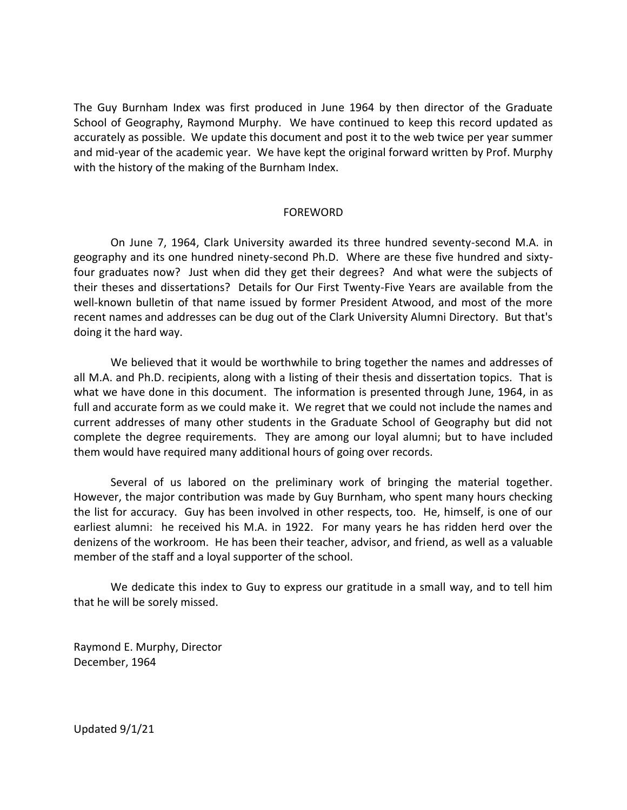The Guy Burnham Index was first produced in June 1964 by then director of the Graduate School of Geography, Raymond Murphy. We have continued to keep this record updated as accurately as possible. We update this document and post it to the web twice per year summer and mid-year of the academic year. We have kept the original forward written by Prof. Murphy with the history of the making of the Burnham Index.

## FOREWORD

On June 7, 1964, Clark University awarded its three hundred seventy-second M.A. in geography and its one hundred ninety-second Ph.D. Where are these five hundred and sixtyfour graduates now? Just when did they get their degrees? And what were the subjects of their theses and dissertations? Details for Our First Twenty-Five Years are available from the well-known bulletin of that name issued by former President Atwood, and most of the more recent names and addresses can be dug out of the Clark University Alumni Directory. But that's doing it the hard way.

We believed that it would be worthwhile to bring together the names and addresses of all M.A. and Ph.D. recipients, along with a listing of their thesis and dissertation topics. That is what we have done in this document. The information is presented through June, 1964, in as full and accurate form as we could make it. We regret that we could not include the names and current addresses of many other students in the Graduate School of Geography but did not complete the degree requirements. They are among our loyal alumni; but to have included them would have required many additional hours of going over records.

Several of us labored on the preliminary work of bringing the material together. However, the major contribution was made by Guy Burnham, who spent many hours checking the list for accuracy. Guy has been involved in other respects, too. He, himself, is one of our earliest alumni: he received his M.A. in 1922. For many years he has ridden herd over the denizens of the workroom. He has been their teacher, advisor, and friend, as well as a valuable member of the staff and a loyal supporter of the school.

We dedicate this index to Guy to express our gratitude in a small way, and to tell him that he will be sorely missed.

Raymond E. Murphy, Director December, 1964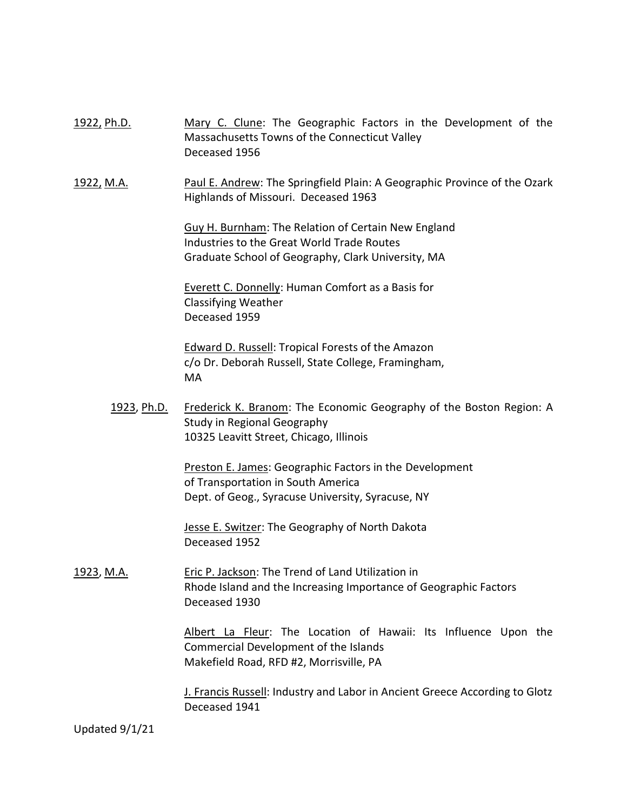| <u>1922, Ph.D.</u> | Mary C. Clune: The Geographic Factors in the Development of the<br>Massachusetts Towns of the Connecticut Valley<br>Deceased 1956                       |
|--------------------|---------------------------------------------------------------------------------------------------------------------------------------------------------|
| 1922, M.A.         | Paul E. Andrew: The Springfield Plain: A Geographic Province of the Ozark<br>Highlands of Missouri. Deceased 1963                                       |
|                    | Guy H. Burnham: The Relation of Certain New England<br>Industries to the Great World Trade Routes<br>Graduate School of Geography, Clark University, MA |
|                    | Everett C. Donnelly: Human Comfort as a Basis for<br><b>Classifying Weather</b><br>Deceased 1959                                                        |
|                    | Edward D. Russell: Tropical Forests of the Amazon<br>c/o Dr. Deborah Russell, State College, Framingham,<br>MA                                          |
| <u>1923, Ph.D.</u> | Frederick K. Branom: The Economic Geography of the Boston Region: A<br>Study in Regional Geography<br>10325 Leavitt Street, Chicago, Illinois           |
|                    | Preston E. James: Geographic Factors in the Development<br>of Transportation in South America<br>Dept. of Geog., Syracuse University, Syracuse, NY      |
|                    | Jesse E. Switzer: The Geography of North Dakota<br>Deceased 1952                                                                                        |
| <u>1923, M.A.</u>  | Eric P. Jackson: The Trend of Land Utilization in<br>Rhode Island and the Increasing Importance of Geographic Factors<br>Deceased 1930                  |
|                    | Albert La Fleur: The Location of Hawaii: Its Influence Upon the<br>Commercial Development of the Islands<br>Makefield Road, RFD #2, Morrisville, PA     |
|                    | J. Francis Russell: Industry and Labor in Ancient Greece According to Glotz<br>Deceased 1941                                                            |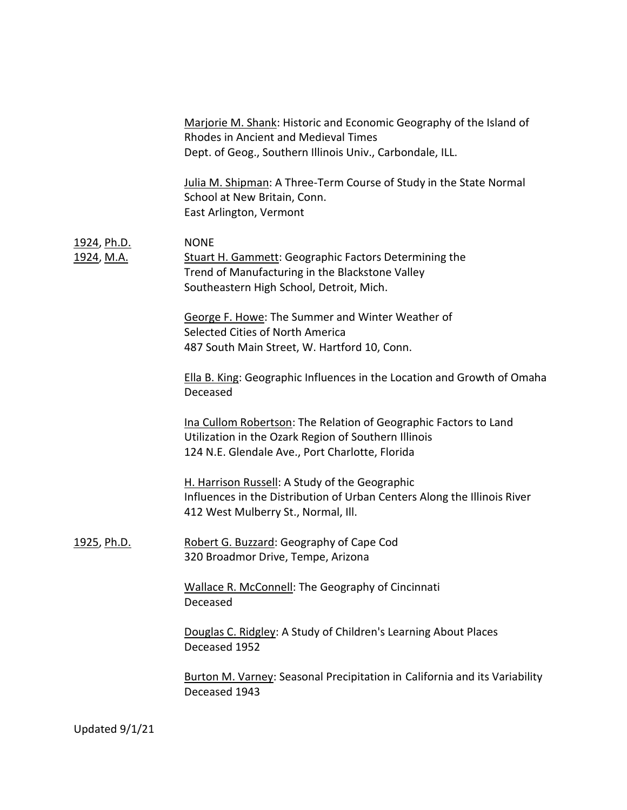|                                         | Marjorie M. Shank: Historic and Economic Geography of the Island of<br><b>Rhodes in Ancient and Medieval Times</b><br>Dept. of Geog., Southern Illinois Univ., Carbondale, ILL. |
|-----------------------------------------|---------------------------------------------------------------------------------------------------------------------------------------------------------------------------------|
|                                         | Julia M. Shipman: A Three-Term Course of Study in the State Normal<br>School at New Britain, Conn.<br>East Arlington, Vermont                                                   |
| <u>1924, Ph.D.</u><br><u>1924, M.A.</u> | <b>NONE</b><br><b>Stuart H. Gammett: Geographic Factors Determining the</b><br>Trend of Manufacturing in the Blackstone Valley<br>Southeastern High School, Detroit, Mich.      |
|                                         | George F. Howe: The Summer and Winter Weather of<br>Selected Cities of North America<br>487 South Main Street, W. Hartford 10, Conn.                                            |
|                                         | Ella B. King: Geographic Influences in the Location and Growth of Omaha<br>Deceased                                                                                             |
|                                         | Ina Cullom Robertson: The Relation of Geographic Factors to Land<br>Utilization in the Ozark Region of Southern Illinois<br>124 N.E. Glendale Ave., Port Charlotte, Florida     |
|                                         | H. Harrison Russell: A Study of the Geographic<br>Influences in the Distribution of Urban Centers Along the Illinois River<br>412 West Mulberry St., Normal, Ill.               |
| <u>1925, Ph.D.</u>                      | Robert G. Buzzard: Geography of Cape Cod<br>320 Broadmor Drive, Tempe, Arizona                                                                                                  |
|                                         | Wallace R. McConnell: The Geography of Cincinnati<br>Deceased                                                                                                                   |
|                                         | Douglas C. Ridgley: A Study of Children's Learning About Places<br>Deceased 1952                                                                                                |
|                                         | <b>Burton M. Varney: Seasonal Precipitation in California and its Variability</b><br>Deceased 1943                                                                              |
|                                         |                                                                                                                                                                                 |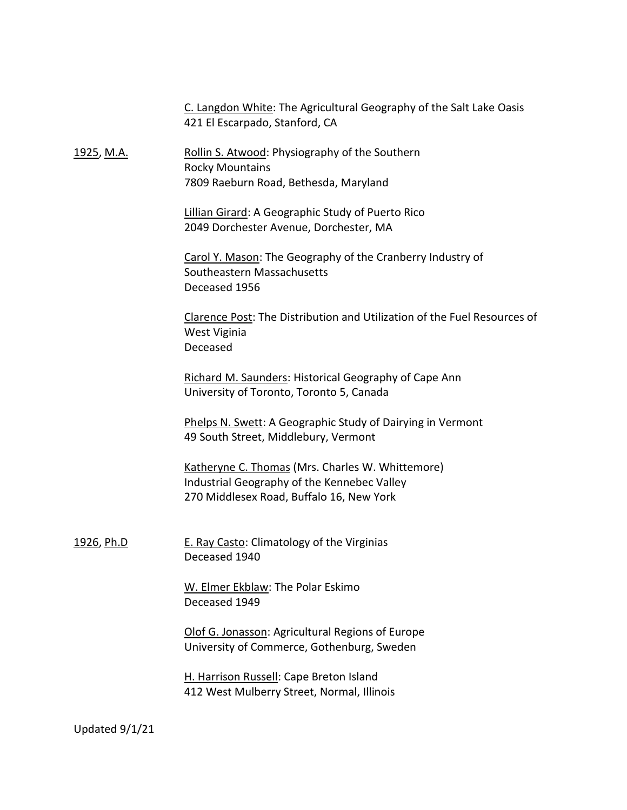|                   | C. Langdon White: The Agricultural Geography of the Salt Lake Oasis<br>421 El Escarpado, Stanford, CA                                       |
|-------------------|---------------------------------------------------------------------------------------------------------------------------------------------|
| <u>1925, M.A.</u> | Rollin S. Atwood: Physiography of the Southern<br><b>Rocky Mountains</b><br>7809 Raeburn Road, Bethesda, Maryland                           |
|                   | <b>Lillian Girard: A Geographic Study of Puerto Rico</b><br>2049 Dorchester Avenue, Dorchester, MA                                          |
|                   | Carol Y. Mason: The Geography of the Cranberry Industry of<br>Southeastern Massachusetts<br>Deceased 1956                                   |
|                   | Clarence Post: The Distribution and Utilization of the Fuel Resources of<br>West Viginia<br>Deceased                                        |
|                   | Richard M. Saunders: Historical Geography of Cape Ann<br>University of Toronto, Toronto 5, Canada                                           |
|                   | Phelps N. Swett: A Geographic Study of Dairying in Vermont<br>49 South Street, Middlebury, Vermont                                          |
|                   | Katheryne C. Thomas (Mrs. Charles W. Whittemore)<br>Industrial Geography of the Kennebec Valley<br>270 Middlesex Road, Buffalo 16, New York |
| <u>1926, Ph.D</u> | <b>E. Ray Casto: Climatology of the Virginias</b><br>Deceased 1940                                                                          |
|                   | W. Elmer Ekblaw: The Polar Eskimo<br>Deceased 1949                                                                                          |
|                   | Olof G. Jonasson: Agricultural Regions of Europe<br>University of Commerce, Gothenburg, Sweden                                              |
|                   | H. Harrison Russell: Cape Breton Island<br>412 West Mulberry Street, Normal, Illinois                                                       |
|                   |                                                                                                                                             |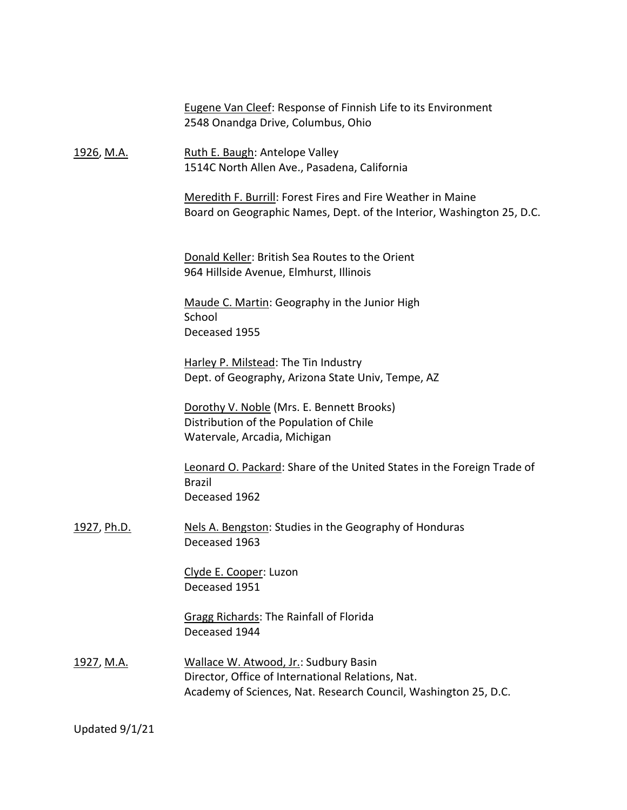|                   | <b>Eugene Van Cleef: Response of Finnish Life to its Environment</b><br>2548 Onandga Drive, Columbus, Ohio                                                    |
|-------------------|---------------------------------------------------------------------------------------------------------------------------------------------------------------|
| <u>1926, M.A.</u> | Ruth E. Baugh: Antelope Valley<br>1514C North Allen Ave., Pasadena, California                                                                                |
|                   | Meredith F. Burrill: Forest Fires and Fire Weather in Maine<br>Board on Geographic Names, Dept. of the Interior, Washington 25, D.C.                          |
|                   | Donald Keller: British Sea Routes to the Orient<br>964 Hillside Avenue, Elmhurst, Illinois                                                                    |
|                   | Maude C. Martin: Geography in the Junior High<br>School<br>Deceased 1955                                                                                      |
|                   | Harley P. Milstead: The Tin Industry<br>Dept. of Geography, Arizona State Univ, Tempe, AZ                                                                     |
|                   | Dorothy V. Noble (Mrs. E. Bennett Brooks)<br>Distribution of the Population of Chile<br>Watervale, Arcadia, Michigan                                          |
|                   | Leonard O. Packard: Share of the United States in the Foreign Trade of<br><b>Brazil</b><br>Deceased 1962                                                      |
| 1927, Ph.D.       | Nels A. Bengston: Studies in the Geography of Honduras<br>Deceased 1963                                                                                       |
|                   | Clyde E. Cooper: Luzon<br>Deceased 1951                                                                                                                       |
|                   | Gragg Richards: The Rainfall of Florida<br>Deceased 1944                                                                                                      |
| <u>1927, M.A.</u> | Wallace W. Atwood, Jr.: Sudbury Basin<br>Director, Office of International Relations, Nat.<br>Academy of Sciences, Nat. Research Council, Washington 25, D.C. |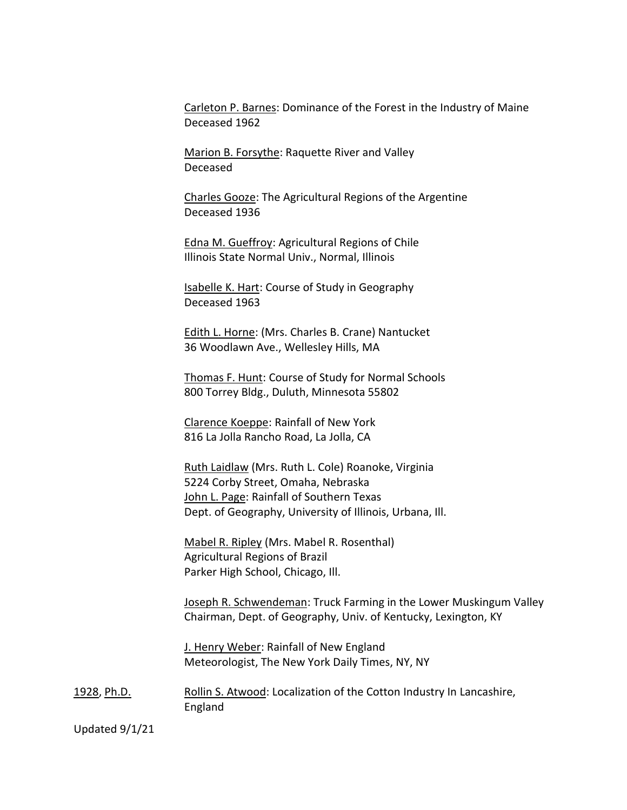Carleton P. Barnes: Dominance of the Forest in the Industry of Maine Deceased 1962

Marion B. Forsythe: Raquette River and Valley Deceased

Charles Gooze: The Agricultural Regions of the Argentine Deceased 1936

Edna M. Gueffroy: Agricultural Regions of Chile Illinois State Normal Univ., Normal, Illinois

Isabelle K. Hart: Course of Study in Geography Deceased 1963

Edith L. Horne: (Mrs. Charles B. Crane) Nantucket 36 Woodlawn Ave., Wellesley Hills, MA

Thomas F. Hunt: Course of Study for Normal Schools 800 Torrey Bldg., Duluth, Minnesota 55802

Clarence Koeppe: Rainfall of New York 816 La Jolla Rancho Road, La Jolla, CA

Ruth Laidlaw (Mrs. Ruth L. Cole) Roanoke, Virginia 5224 Corby Street, Omaha, Nebraska John L. Page: Rainfall of Southern Texas Dept. of Geography, University of Illinois, Urbana, Ill.

Mabel R. Ripley (Mrs. Mabel R. Rosenthal) Agricultural Regions of Brazil Parker High School, Chicago, Ill.

Joseph R. Schwendeman: Truck Farming in the Lower Muskingum Valley Chairman, Dept. of Geography, Univ. of Kentucky, Lexington, KY

J. Henry Weber: Rainfall of New England Meteorologist, The New York Daily Times, NY, NY

1928, Ph.D. Rollin S. Atwood: Localization of the Cotton Industry In Lancashire, England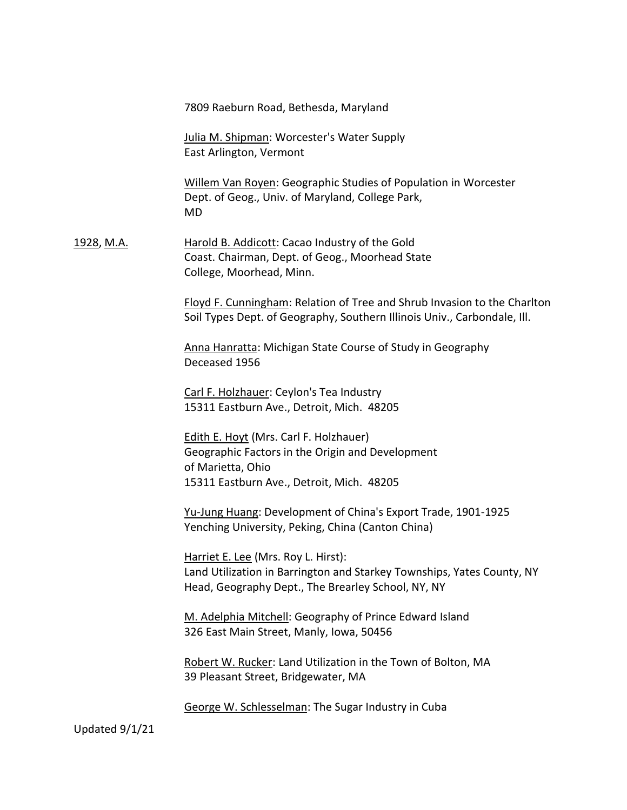7809 Raeburn Road, Bethesda, Maryland

Julia M. Shipman: Worcester's Water Supply East Arlington, Vermont

Willem Van Royen: Geographic Studies of Population in Worcester Dept. of Geog., Univ. of Maryland, College Park, MD

1928, M.A. Harold B. Addicott: Cacao Industry of the Gold Coast. Chairman, Dept. of Geog., Moorhead State College, Moorhead, Minn.

> Floyd F. Cunningham: Relation of Tree and Shrub Invasion to the Charlton Soil Types Dept. of Geography, Southern Illinois Univ., Carbondale, Ill.

Anna Hanratta: Michigan State Course of Study in Geography Deceased 1956

Carl F. Holzhauer: Ceylon's Tea Industry 15311 Eastburn Ave., Detroit, Mich. 48205

Edith E. Hoyt (Mrs. Carl F. Holzhauer) Geographic Factors in the Origin and Development of Marietta, Ohio 15311 Eastburn Ave., Detroit, Mich. 48205

Yu-Jung Huang: Development of China's Export Trade, 1901-1925 Yenching University, Peking, China (Canton China)

Harriet E. Lee (Mrs. Roy L. Hirst): Land Utilization in Barrington and Starkey Townships, Yates County, NY Head, Geography Dept., The Brearley School, NY, NY

M. Adelphia Mitchell: Geography of Prince Edward Island 326 East Main Street, Manly, Iowa, 50456

Robert W. Rucker: Land Utilization in the Town of Bolton, MA 39 Pleasant Street, Bridgewater, MA

George W. Schlesselman: The Sugar Industry in Cuba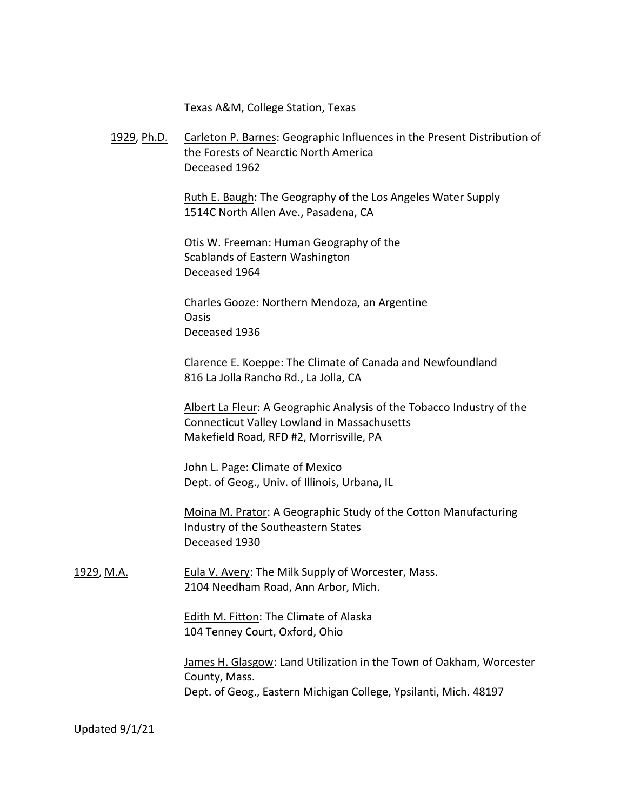Texas A&M, College Station, Texas

1929, Ph.D. Carleton P. Barnes: Geographic Influences in the Present Distribution of the Forests of Nearctic North America Deceased 1962

> Ruth E. Baugh: The Geography of the Los Angeles Water Supply 1514C North Allen Ave., Pasadena, CA

Otis W. Freeman: Human Geography of the Scablands of Eastern Washington Deceased 1964

Charles Gooze: Northern Mendoza, an Argentine Oasis Deceased 1936

Clarence E. Koeppe: The Climate of Canada and Newfoundland 816 La Jolla Rancho Rd., La Jolla, CA

Albert La Fleur: A Geographic Analysis of the Tobacco Industry of the Connecticut Valley Lowland in Massachusetts Makefield Road, RFD #2, Morrisville, PA

John L. Page: Climate of Mexico Dept. of Geog., Univ. of Illinois, Urbana, IL

Moina M. Prator: A Geographic Study of the Cotton Manufacturing Industry of the Southeastern States Deceased 1930

1929, M.A. **Eula V. Avery: The Milk Supply of Worcester, Mass.** 2104 Needham Road, Ann Arbor, Mich.

> Edith M. Fitton: The Climate of Alaska 104 Tenney Court, Oxford, Ohio

James H. Glasgow: Land Utilization in the Town of Oakham, Worcester County, Mass. Dept. of Geog., Eastern Michigan College, Ypsilanti, Mich. 48197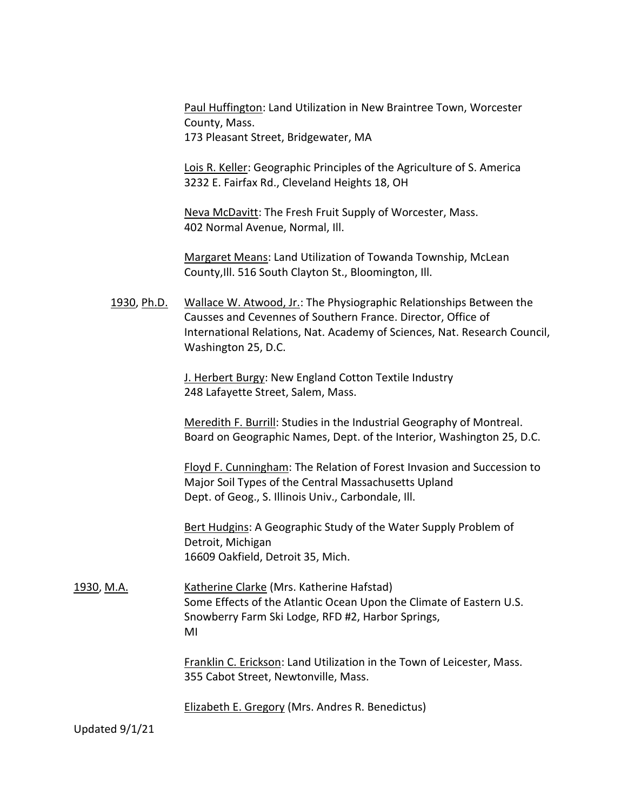Paul Huffington: Land Utilization in New Braintree Town, Worcester County, Mass. 173 Pleasant Street, Bridgewater, MA

Lois R. Keller: Geographic Principles of the Agriculture of S. America 3232 E. Fairfax Rd., Cleveland Heights 18, OH

Neva McDavitt: The Fresh Fruit Supply of Worcester, Mass. 402 Normal Avenue, Normal, Ill.

Margaret Means: Land Utilization of Towanda Township, McLean County,Ill. 516 South Clayton St., Bloomington, Ill.

1930, Ph.D. Wallace W. Atwood, Jr.: The Physiographic Relationships Between the Causses and Cevennes of Southern France. Director, Office of International Relations, Nat. Academy of Sciences, Nat. Research Council, Washington 25, D.C.

> J. Herbert Burgy: New England Cotton Textile Industry 248 Lafayette Street, Salem, Mass.

Meredith F. Burrill: Studies in the Industrial Geography of Montreal. Board on Geographic Names, Dept. of the Interior, Washington 25, D.C.

Floyd F. Cunningham: The Relation of Forest Invasion and Succession to Major Soil Types of the Central Massachusetts Upland Dept. of Geog., S. Illinois Univ., Carbondale, Ill.

Bert Hudgins: A Geographic Study of the Water Supply Problem of Detroit, Michigan 16609 Oakfield, Detroit 35, Mich.

1930, M.A. Katherine Clarke (Mrs. Katherine Hafstad) Some Effects of the Atlantic Ocean Upon the Climate of Eastern U.S. Snowberry Farm Ski Lodge, RFD #2, Harbor Springs, MI

> Franklin C. Erickson: Land Utilization in the Town of Leicester, Mass. 355 Cabot Street, Newtonville, Mass.

Elizabeth E. Gregory (Mrs. Andres R. Benedictus)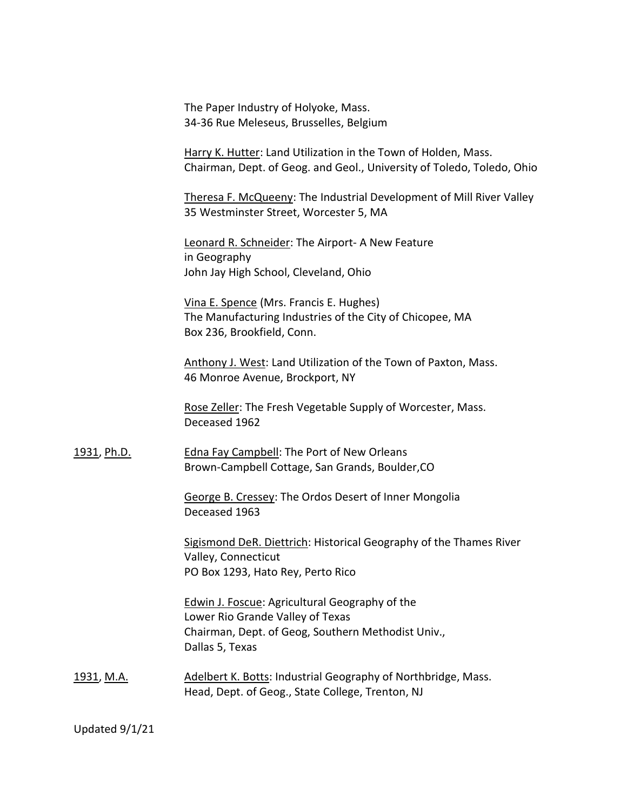The Paper Industry of Holyoke, Mass. 34-36 Rue Meleseus, Brusselles, Belgium

Harry K. Hutter: Land Utilization in the Town of Holden, Mass. Chairman, Dept. of Geog. and Geol., University of Toledo, Toledo, Ohio

Theresa F. McQueeny: The Industrial Development of Mill River Valley 35 Westminster Street, Worcester 5, MA

Leonard R. Schneider: The Airport- A New Feature in Geography John Jay High School, Cleveland, Ohio

Vina E. Spence (Mrs. Francis E. Hughes) The Manufacturing Industries of the City of Chicopee, MA Box 236, Brookfield, Conn.

Anthony J. West: Land Utilization of the Town of Paxton, Mass. 46 Monroe Avenue, Brockport, NY

Rose Zeller: The Fresh Vegetable Supply of Worcester, Mass. Deceased 1962

1931, Ph.D. Edna Fay Campbell: The Port of New Orleans Brown-Campbell Cottage, San Grands, Boulder,CO

> George B. Cressey: The Ordos Desert of Inner Mongolia Deceased 1963

Sigismond DeR. Diettrich: Historical Geography of the Thames River Valley, Connecticut PO Box 1293, Hato Rey, Perto Rico

Edwin J. Foscue: Agricultural Geography of the Lower Rio Grande Valley of Texas Chairman, Dept. of Geog, Southern Methodist Univ., Dallas 5, Texas

1931, M.A. Adelbert K. Botts: Industrial Geography of Northbridge, Mass. Head, Dept. of Geog., State College, Trenton, NJ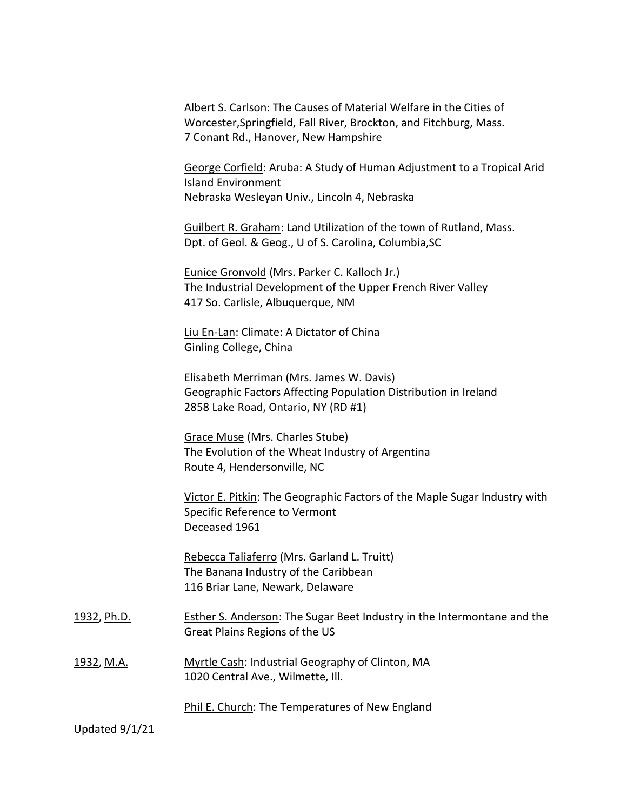|                    | Albert S. Carlson: The Causes of Material Welfare in the Cities of<br>Worcester, Springfield, Fall River, Brockton, and Fitchburg, Mass.<br>7 Conant Rd., Hanover, New Hampshire |
|--------------------|----------------------------------------------------------------------------------------------------------------------------------------------------------------------------------|
|                    | George Corfield: Aruba: A Study of Human Adjustment to a Tropical Arid<br><b>Island Environment</b><br>Nebraska Wesleyan Univ., Lincoln 4, Nebraska                              |
|                    | Guilbert R. Graham: Land Utilization of the town of Rutland, Mass.<br>Dpt. of Geol. & Geog., U of S. Carolina, Columbia, SC                                                      |
|                    | Eunice Gronvold (Mrs. Parker C. Kalloch Jr.)<br>The Industrial Development of the Upper French River Valley<br>417 So. Carlisle, Albuquerque, NM                                 |
|                    | Liu En-Lan: Climate: A Dictator of China<br>Ginling College, China                                                                                                               |
|                    | Elisabeth Merriman (Mrs. James W. Davis)<br>Geographic Factors Affecting Population Distribution in Ireland<br>2858 Lake Road, Ontario, NY (RD #1)                               |
|                    | <b>Grace Muse (Mrs. Charles Stube)</b><br>The Evolution of the Wheat Industry of Argentina<br>Route 4, Hendersonville, NC                                                        |
|                    | Victor E. Pitkin: The Geographic Factors of the Maple Sugar Industry with<br>Specific Reference to Vermont<br>Deceased 1961                                                      |
|                    | Rebecca Taliaferro (Mrs. Garland L. Truitt)<br>The Banana Industry of the Caribbean<br>116 Briar Lane, Newark, Delaware                                                          |
| <u>1932, Ph.D.</u> | Esther S. Anderson: The Sugar Beet Industry in the Intermontane and the<br>Great Plains Regions of the US                                                                        |
| <u>1932, M.A.</u>  | Myrtle Cash: Industrial Geography of Clinton, MA<br>1020 Central Ave., Wilmette, Ill.                                                                                            |
|                    | Phil E. Church: The Temperatures of New England                                                                                                                                  |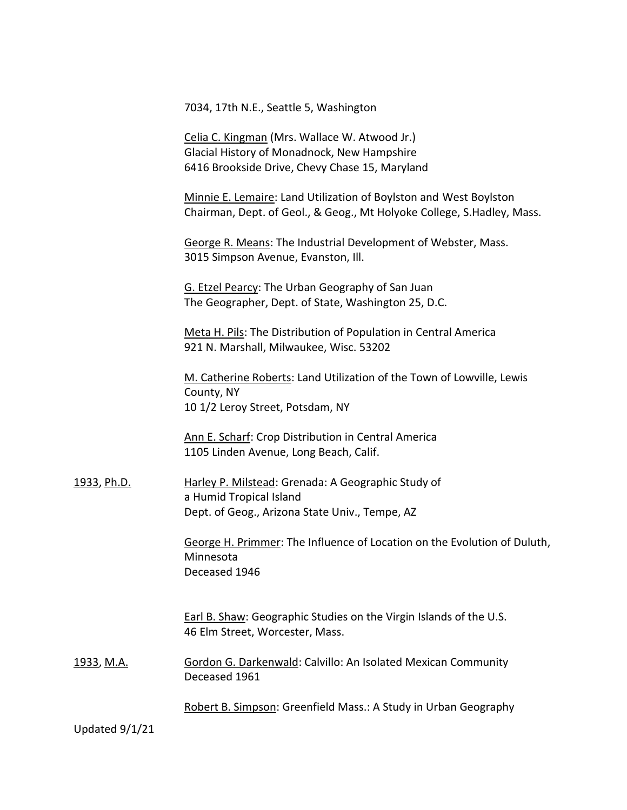7034, 17th N.E., Seattle 5, Washington

Celia C. Kingman (Mrs. Wallace W. Atwood Jr.) Glacial History of Monadnock, New Hampshire 6416 Brookside Drive, Chevy Chase 15, Maryland

Minnie E. Lemaire: Land Utilization of Boylston and West Boylston Chairman, Dept. of Geol., & Geog., Mt Holyoke College, S.Hadley, Mass.

George R. Means: The Industrial Development of Webster, Mass. 3015 Simpson Avenue, Evanston, Ill.

G. Etzel Pearcy: The Urban Geography of San Juan The Geographer, Dept. of State, Washington 25, D.C.

Meta H. Pils: The Distribution of Population in Central America 921 N. Marshall, Milwaukee, Wisc. 53202

M. Catherine Roberts: Land Utilization of the Town of Lowville, Lewis County, NY 10 1/2 Leroy Street, Potsdam, NY

Ann E. Scharf: Crop Distribution in Central America 1105 Linden Avenue, Long Beach, Calif.

1933, Ph.D. Harley P. Milstead: Grenada: A Geographic Study of a Humid Tropical Island Dept. of Geog., Arizona State Univ., Tempe, AZ

> George H. Primmer: The Influence of Location on the Evolution of Duluth, Minnesota Deceased 1946

Earl B. Shaw: Geographic Studies on the Virgin Islands of the U.S. 46 Elm Street, Worcester, Mass.

1933, M.A. **Gordon G. Darkenwald: Calvillo: An Isolated Mexican Community** Deceased 1961

Robert B. Simpson: Greenfield Mass.: A Study in Urban Geography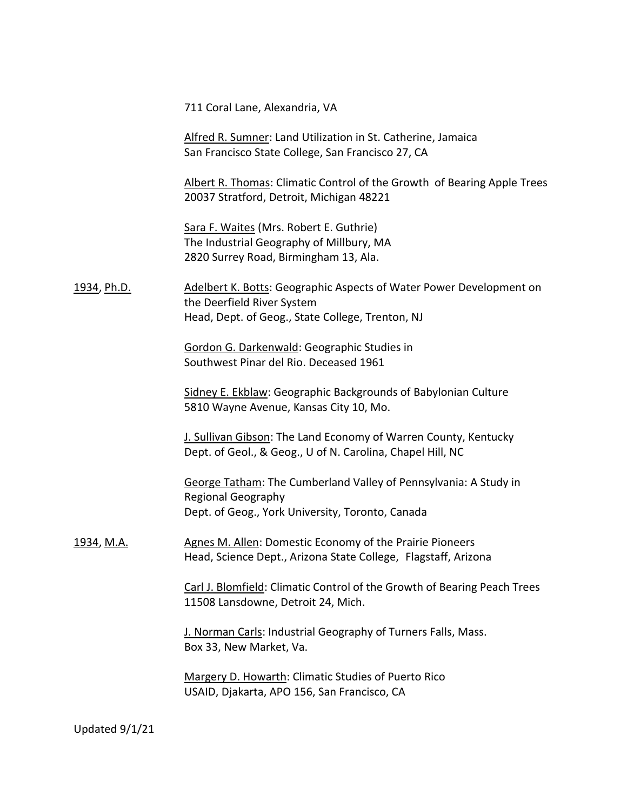711 Coral Lane, Alexandria, VA

Alfred R. Sumner: Land Utilization in St. Catherine, Jamaica San Francisco State College, San Francisco 27, CA

Albert R. Thomas: Climatic Control of the Growth of Bearing Apple Trees 20037 Stratford, Detroit, Michigan 48221

Sara F. Waites (Mrs. Robert E. Guthrie) The Industrial Geography of Millbury, MA 2820 Surrey Road, Birmingham 13, Ala.

1934, Ph.D. **Adelbert K. Botts: Geographic Aspects of Water Power Development on** the Deerfield River System Head, Dept. of Geog., State College, Trenton, NJ

> Gordon G. Darkenwald: Geographic Studies in Southwest Pinar del Rio. Deceased 1961

Sidney E. Ekblaw: Geographic Backgrounds of Babylonian Culture 5810 Wayne Avenue, Kansas City 10, Mo.

J. Sullivan Gibson: The Land Economy of Warren County, Kentucky Dept. of Geol., & Geog., U of N. Carolina, Chapel Hill, NC

George Tatham: The Cumberland Valley of Pennsylvania: A Study in Regional Geography Dept. of Geog., York University, Toronto, Canada

1934, M.A. Agnes M. Allen: Domestic Economy of the Prairie Pioneers Head, Science Dept., Arizona State College, Flagstaff, Arizona

> Carl J. Blomfield: Climatic Control of the Growth of Bearing Peach Trees 11508 Lansdowne, Detroit 24, Mich.

J. Norman Carls: Industrial Geography of Turners Falls, Mass. Box 33, New Market, Va.

Margery D. Howarth: Climatic Studies of Puerto Rico USAID, Djakarta, APO 156, San Francisco, CA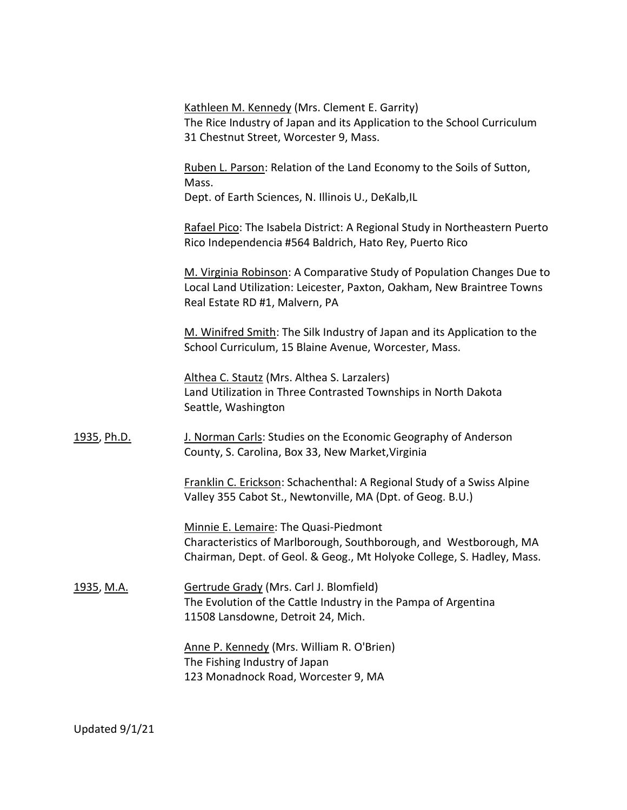|                    | Kathleen M. Kennedy (Mrs. Clement E. Garrity)<br>The Rice Industry of Japan and its Application to the School Curriculum<br>31 Chestnut Street, Worcester 9, Mass.                   |
|--------------------|--------------------------------------------------------------------------------------------------------------------------------------------------------------------------------------|
|                    | Ruben L. Parson: Relation of the Land Economy to the Soils of Sutton,<br>Mass.<br>Dept. of Earth Sciences, N. Illinois U., DeKalb, IL                                                |
|                    | Rafael Pico: The Isabela District: A Regional Study in Northeastern Puerto<br>Rico Independencia #564 Baldrich, Hato Rey, Puerto Rico                                                |
|                    | M. Virginia Robinson: A Comparative Study of Population Changes Due to<br>Local Land Utilization: Leicester, Paxton, Oakham, New Braintree Towns<br>Real Estate RD #1, Malvern, PA   |
|                    | M. Winifred Smith: The Silk Industry of Japan and its Application to the<br>School Curriculum, 15 Blaine Avenue, Worcester, Mass.                                                    |
|                    | Althea C. Stautz (Mrs. Althea S. Larzalers)<br>Land Utilization in Three Contrasted Townships in North Dakota<br>Seattle, Washington                                                 |
| <u>1935, Ph.D.</u> | J. Norman Carls: Studies on the Economic Geography of Anderson<br>County, S. Carolina, Box 33, New Market, Virginia                                                                  |
|                    | Franklin C. Erickson: Schachenthal: A Regional Study of a Swiss Alpine<br>Valley 355 Cabot St., Newtonville, MA (Dpt. of Geog. B.U.)                                                 |
|                    | Minnie E. Lemaire: The Quasi-Piedmont<br>Characteristics of Marlborough, Southborough, and Westborough, MA<br>Chairman, Dept. of Geol. & Geog., Mt Holyoke College, S. Hadley, Mass. |
| <u>1935, M.A.</u>  | Gertrude Grady (Mrs. Carl J. Blomfield)<br>The Evolution of the Cattle Industry in the Pampa of Argentina<br>11508 Lansdowne, Detroit 24, Mich.                                      |
|                    | Anne P. Kennedy (Mrs. William R. O'Brien)<br>The Fishing Industry of Japan<br>123 Monadnock Road, Worcester 9, MA                                                                    |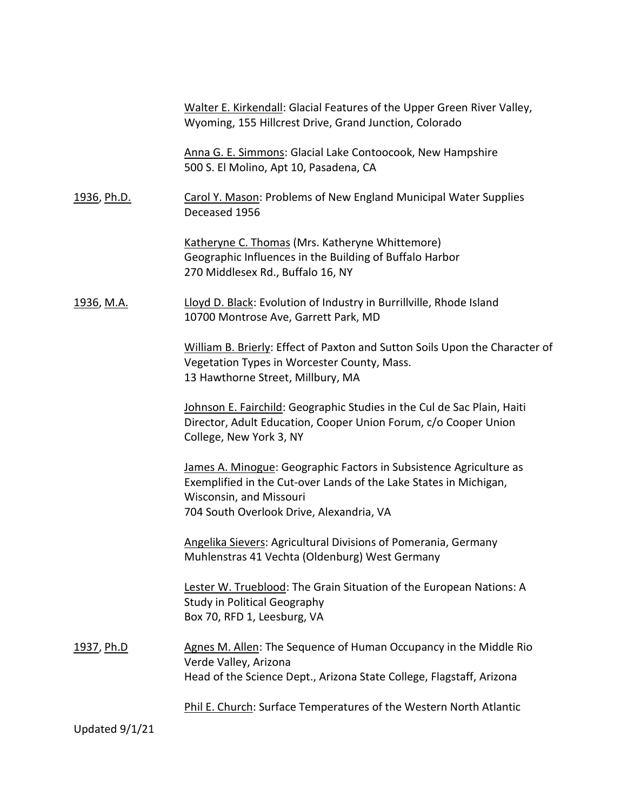|                    | Walter E. Kirkendall: Glacial Features of the Upper Green River Valley,<br>Wyoming, 155 Hillcrest Drive, Grand Junction, Colorado                                                                              |
|--------------------|----------------------------------------------------------------------------------------------------------------------------------------------------------------------------------------------------------------|
|                    | Anna G. E. Simmons: Glacial Lake Contoocook, New Hampshire<br>500 S. El Molino, Apt 10, Pasadena, CA                                                                                                           |
| <u>1936, Ph.D.</u> | Carol Y. Mason: Problems of New England Municipal Water Supplies<br>Deceased 1956                                                                                                                              |
|                    | Katheryne C. Thomas (Mrs. Katheryne Whittemore)<br>Geographic Influences in the Building of Buffalo Harbor<br>270 Middlesex Rd., Buffalo 16, NY                                                                |
| <u>1936, M.A.</u>  | Lloyd D. Black: Evolution of Industry in Burrillville, Rhode Island<br>10700 Montrose Ave, Garrett Park, MD                                                                                                    |
|                    | William B. Brierly: Effect of Paxton and Sutton Soils Upon the Character of<br>Vegetation Types in Worcester County, Mass.<br>13 Hawthorne Street, Millbury, MA                                                |
|                    | Johnson E. Fairchild: Geographic Studies in the Cul de Sac Plain, Haiti<br>Director, Adult Education, Cooper Union Forum, c/o Cooper Union<br>College, New York 3, NY                                          |
|                    | James A. Minogue: Geographic Factors in Subsistence Agriculture as<br>Exemplified in the Cut-over Lands of the Lake States in Michigan,<br>Wisconsin, and Missouri<br>704 South Overlook Drive, Alexandria, VA |
|                    | Angelika Sievers: Agricultural Divisions of Pomerania, Germany<br>Muhlenstras 41 Vechta (Oldenburg) West Germany                                                                                               |
|                    | Lester W. Trueblood: The Grain Situation of the European Nations: A<br>Study in Political Geography<br>Box 70, RFD 1, Leesburg, VA                                                                             |
| <u>1937, Ph.D</u>  | Agnes M. Allen: The Sequence of Human Occupancy in the Middle Rio<br>Verde Valley, Arizona<br>Head of the Science Dept., Arizona State College, Flagstaff, Arizona                                             |
|                    | Phil E. Church: Surface Temperatures of the Western North Atlantic                                                                                                                                             |
| Updated 9/1/21     |                                                                                                                                                                                                                |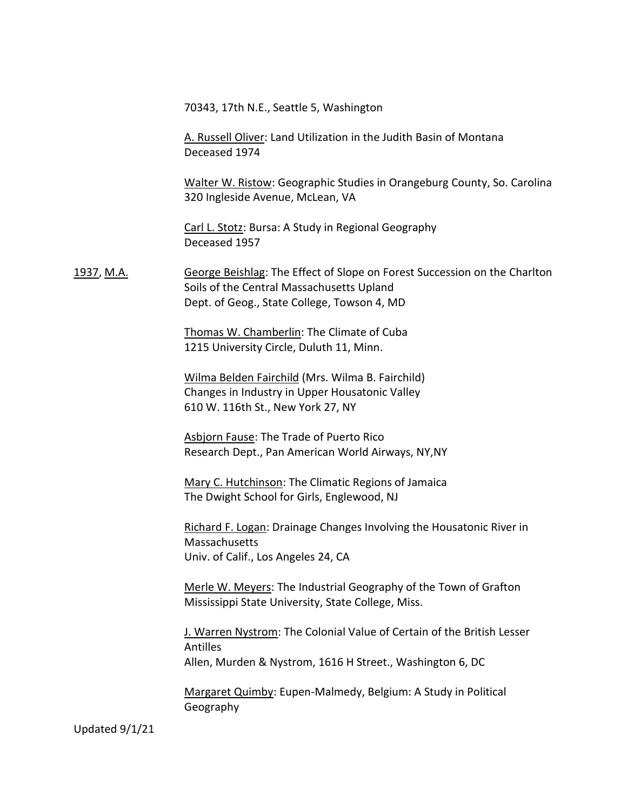70343, 17th N.E., Seattle 5, Washington

A. Russell Oliver: Land Utilization in the Judith Basin of Montana Deceased 1974

Walter W. Ristow: Geographic Studies in Orangeburg County, So. Carolina 320 Ingleside Avenue, McLean, VA

Carl L. Stotz: Bursa: A Study in Regional Geography Deceased 1957

1937, M.A. George Beishlag: The Effect of Slope on Forest Succession on the Charlton Soils of the Central Massachusetts Upland Dept. of Geog., State College, Towson 4, MD

> Thomas W. Chamberlin: The Climate of Cuba 1215 University Circle, Duluth 11, Minn.

Wilma Belden Fairchild (Mrs. Wilma B. Fairchild) Changes in Industry in Upper Housatonic Valley 610 W. 116th St., New York 27, NY

Asbjorn Fause: The Trade of Puerto Rico Research Dept., Pan American World Airways, NY,NY

Mary C. Hutchinson: The Climatic Regions of Jamaica The Dwight School for Girls, Englewood, NJ

Richard F. Logan: Drainage Changes Involving the Housatonic River in **Massachusetts** Univ. of Calif., Los Angeles 24, CA

Merle W. Meyers: The Industrial Geography of the Town of Grafton Mississippi State University, State College, Miss.

J. Warren Nystrom: The Colonial Value of Certain of the British Lesser Antilles Allen, Murden & Nystrom, 1616 H Street., Washington 6, DC

Margaret Quimby: Eupen-Malmedy, Belgium: A Study in Political Geography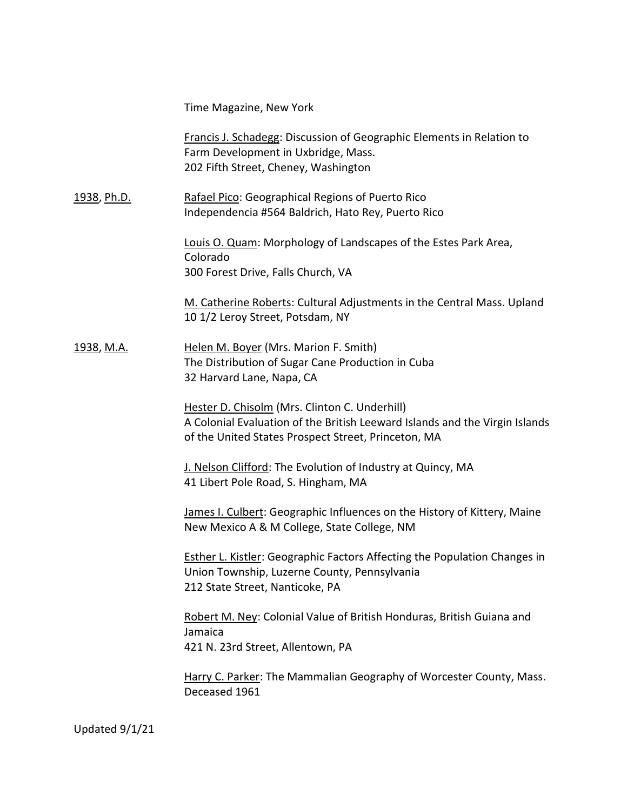Time Magazine, New York

Francis J. Schadegg: Discussion of Geographic Elements in Relation to Farm Development in Uxbridge, Mass. 202 Fifth Street, Cheney, Washington

1938, Ph.D. Rafael Pico: Geographical Regions of Puerto Rico Independencia #564 Baldrich, Hato Rey, Puerto Rico

> Louis O. Quam: Morphology of Landscapes of the Estes Park Area, Colorado 300 Forest Drive, Falls Church, VA

M. Catherine Roberts: Cultural Adjustments in the Central Mass. Upland 10 1/2 Leroy Street, Potsdam, NY

1938, M.A. **Helen M. Boyer (Mrs. Marion F. Smith)** The Distribution of Sugar Cane Production in Cuba 32 Harvard Lane, Napa, CA

> Hester D. Chisolm (Mrs. Clinton C. Underhill) A Colonial Evaluation of the British Leeward Islands and the Virgin Islands of the United States Prospect Street, Princeton, MA

J. Nelson Clifford: The Evolution of Industry at Quincy, MA 41 Libert Pole Road, S. Hingham, MA

James I. Culbert: Geographic Influences on the History of Kittery, Maine New Mexico A & M College, State College, NM

Esther L. Kistler: Geographic Factors Affecting the Population Changes in Union Township, Luzerne County, Pennsylvania 212 State Street, Nanticoke, PA

Robert M. Ney: Colonial Value of British Honduras, British Guiana and Jamaica 421 N. 23rd Street, Allentown, PA

Harry C. Parker: The Mammalian Geography of Worcester County, Mass. Deceased 1961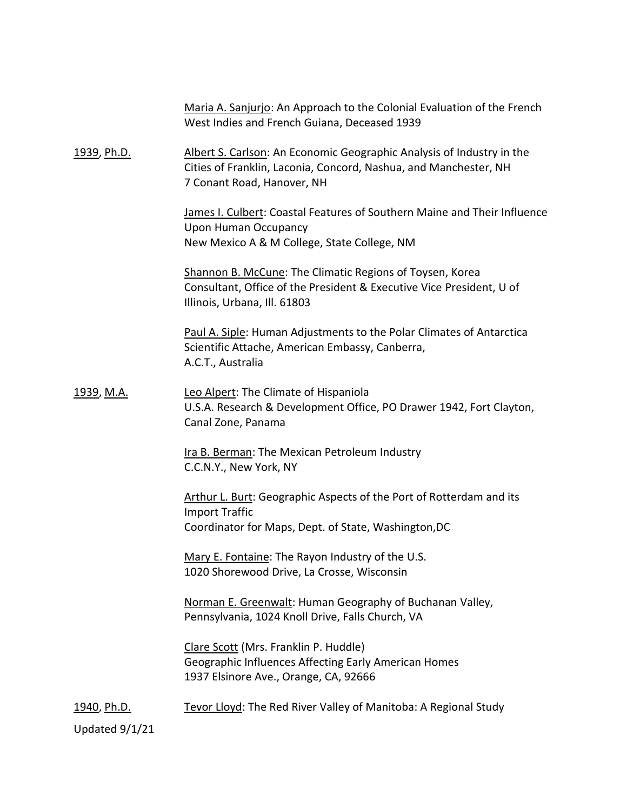|                    | Maria A. Sanjurjo: An Approach to the Colonial Evaluation of the French<br>West Indies and French Guiana, Deceased 1939                                                 |
|--------------------|-------------------------------------------------------------------------------------------------------------------------------------------------------------------------|
| 1939, Ph.D.        | Albert S. Carlson: An Economic Geographic Analysis of Industry in the<br>Cities of Franklin, Laconia, Concord, Nashua, and Manchester, NH<br>7 Conant Road, Hanover, NH |
|                    | James I. Culbert: Coastal Features of Southern Maine and Their Influence<br><b>Upon Human Occupancy</b><br>New Mexico A & M College, State College, NM                  |
|                    | Shannon B. McCune: The Climatic Regions of Toysen, Korea<br>Consultant, Office of the President & Executive Vice President, U of<br>Illinois, Urbana, Ill. 61803        |
|                    | Paul A. Siple: Human Adjustments to the Polar Climates of Antarctica<br>Scientific Attache, American Embassy, Canberra,<br>A.C.T., Australia                            |
| <u>1939, M.A.</u>  | Leo Alpert: The Climate of Hispaniola<br>U.S.A. Research & Development Office, PO Drawer 1942, Fort Clayton,<br>Canal Zone, Panama                                      |
|                    | Ira B. Berman: The Mexican Petroleum Industry<br>C.C.N.Y., New York, NY                                                                                                 |
|                    | Arthur L. Burt: Geographic Aspects of the Port of Rotterdam and its<br><b>Import Traffic</b><br>Coordinator for Maps, Dept. of State, Washington, DC                    |
|                    | Mary E. Fontaine: The Rayon Industry of the U.S.<br>1020 Shorewood Drive, La Crosse, Wisconsin                                                                          |
|                    | Norman E. Greenwalt: Human Geography of Buchanan Valley,<br>Pennsylvania, 1024 Knoll Drive, Falls Church, VA                                                            |
|                    | Clare Scott (Mrs. Franklin P. Huddle)<br>Geographic Influences Affecting Early American Homes<br>1937 Elsinore Ave., Orange, CA, 92666                                  |
| <u>1940, Ph.D.</u> | Tevor Lloyd: The Red River Valley of Manitoba: A Regional Study                                                                                                         |
| Updated 9/1/21     |                                                                                                                                                                         |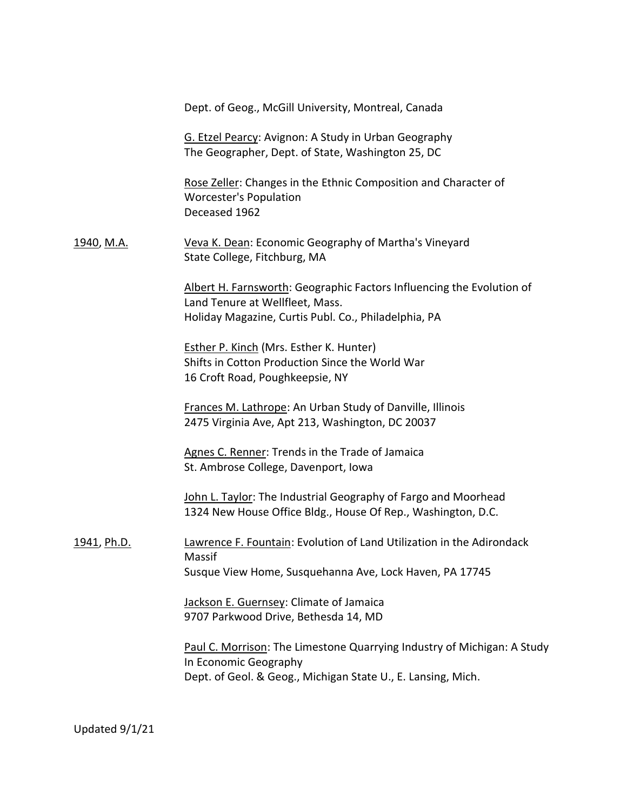|                   | Dept. of Geog., McGill University, Montreal, Canada                                                                                                              |
|-------------------|------------------------------------------------------------------------------------------------------------------------------------------------------------------|
|                   | G. Etzel Pearcy: Avignon: A Study in Urban Geography<br>The Geographer, Dept. of State, Washington 25, DC                                                        |
|                   | Rose Zeller: Changes in the Ethnic Composition and Character of<br><b>Worcester's Population</b><br>Deceased 1962                                                |
| <u>1940, M.A.</u> | Veva K. Dean: Economic Geography of Martha's Vineyard<br>State College, Fitchburg, MA                                                                            |
|                   | Albert H. Farnsworth: Geographic Factors Influencing the Evolution of<br>Land Tenure at Wellfleet, Mass.<br>Holiday Magazine, Curtis Publ. Co., Philadelphia, PA |
|                   | <b>Esther P. Kinch (Mrs. Esther K. Hunter)</b><br>Shifts in Cotton Production Since the World War<br>16 Croft Road, Poughkeepsie, NY                             |
|                   | Frances M. Lathrope: An Urban Study of Danville, Illinois<br>2475 Virginia Ave, Apt 213, Washington, DC 20037                                                    |
|                   | Agnes C. Renner: Trends in the Trade of Jamaica<br>St. Ambrose College, Davenport, Iowa                                                                          |
|                   | John L. Taylor: The Industrial Geography of Fargo and Moorhead<br>1324 New House Office Bldg., House Of Rep., Washington, D.C.                                   |
| 1941, Ph.D.       | Lawrence F. Fountain: Evolution of Land Utilization in the Adirondack<br>Massif                                                                                  |
|                   | Susque View Home, Susquehanna Ave, Lock Haven, PA 17745                                                                                                          |
|                   | Jackson E. Guernsey: Climate of Jamaica<br>9707 Parkwood Drive, Bethesda 14, MD                                                                                  |
|                   | Paul C. Morrison: The Limestone Quarrying Industry of Michigan: A Study<br>In Economic Geography<br>Dept. of Geol. & Geog., Michigan State U., E. Lansing, Mich. |
|                   |                                                                                                                                                                  |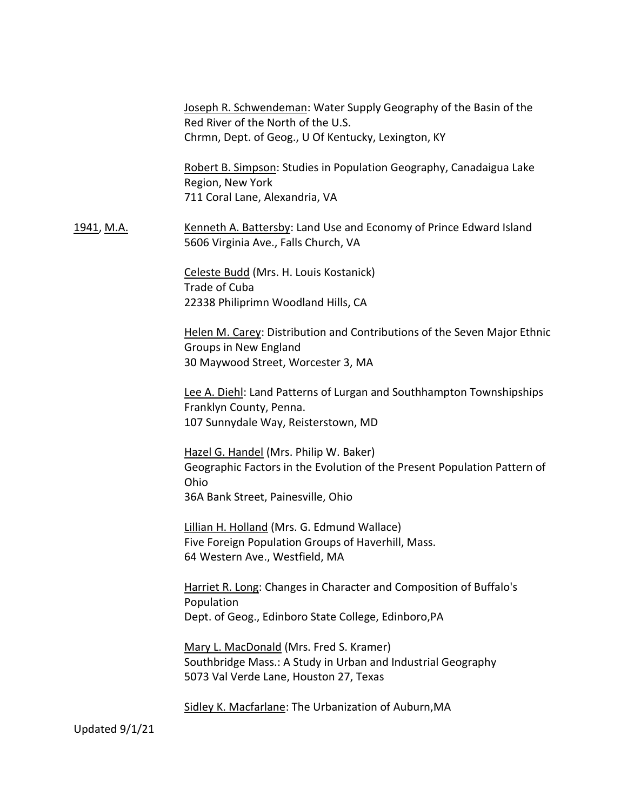Joseph R. Schwendeman: Water Supply Geography of the Basin of the Red River of the North of the U.S. Chrmn, Dept. of Geog., U Of Kentucky, Lexington, KY

Robert B. Simpson: Studies in Population Geography, Canadaigua Lake Region, New York 711 Coral Lane, Alexandria, VA

1941, M.A. Kenneth A. Battersby: Land Use and Economy of Prince Edward Island 5606 Virginia Ave., Falls Church, VA

> Celeste Budd (Mrs. H. Louis Kostanick) Trade of Cuba 22338 Philiprimn Woodland Hills, CA

Helen M. Carey: Distribution and Contributions of the Seven Major Ethnic Groups in New England 30 Maywood Street, Worcester 3, MA

Lee A. Diehl: Land Patterns of Lurgan and Southhampton Townshipships Franklyn County, Penna. 107 Sunnydale Way, Reisterstown, MD

Hazel G. Handel (Mrs. Philip W. Baker) Geographic Factors in the Evolution of the Present Population Pattern of Ohio 36A Bank Street, Painesville, Ohio

Lillian H. Holland (Mrs. G. Edmund Wallace) Five Foreign Population Groups of Haverhill, Mass. 64 Western Ave., Westfield, MA

Harriet R. Long: Changes in Character and Composition of Buffalo's Population Dept. of Geog., Edinboro State College, Edinboro,PA

Mary L. MacDonald (Mrs. Fred S. Kramer) Southbridge Mass.: A Study in Urban and Industrial Geography 5073 Val Verde Lane, Houston 27, Texas

Sidley K. Macfarlane: The Urbanization of Auburn,MA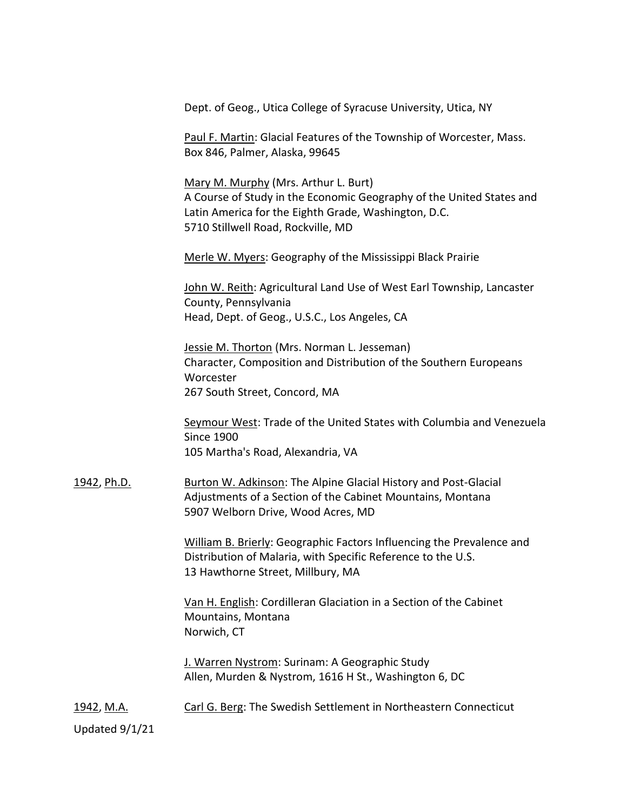Dept. of Geog., Utica College of Syracuse University, Utica, NY

Paul F. Martin: Glacial Features of the Township of Worcester, Mass. Box 846, Palmer, Alaska, 99645

Mary M. Murphy (Mrs. Arthur L. Burt) A Course of Study in the Economic Geography of the United States and Latin America for the Eighth Grade, Washington, D.C. 5710 Stillwell Road, Rockville, MD

Merle W. Myers: Geography of the Mississippi Black Prairie

John W. Reith: Agricultural Land Use of West Earl Township, Lancaster County, Pennsylvania Head, Dept. of Geog., U.S.C., Los Angeles, CA

Jessie M. Thorton (Mrs. Norman L. Jesseman) Character, Composition and Distribution of the Southern Europeans Worcester 267 South Street, Concord, MA

Seymour West: Trade of the United States with Columbia and Venezuela Since 1900 105 Martha's Road, Alexandria, VA

1942, Ph.D. Burton W. Adkinson: The Alpine Glacial History and Post-Glacial Adjustments of a Section of the Cabinet Mountains, Montana 5907 Welborn Drive, Wood Acres, MD

> William B. Brierly: Geographic Factors Influencing the Prevalence and Distribution of Malaria, with Specific Reference to the U.S. 13 Hawthorne Street, Millbury, MA

Van H. English: Cordilleran Glaciation in a Section of the Cabinet Mountains, Montana Norwich, CT

J. Warren Nystrom: Surinam: A Geographic Study Allen, Murden & Nystrom, 1616 H St., Washington 6, DC

1942, M.A. Carl G. Berg: The Swedish Settlement in Northeastern Connecticut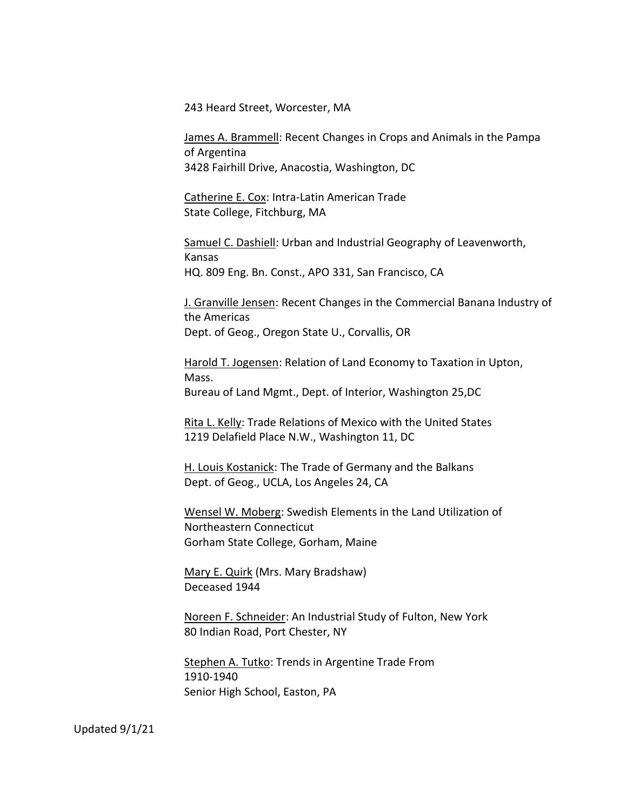243 Heard Street, Worcester, MA

James A. Brammell: Recent Changes in Crops and Animals in the Pampa of Argentina 3428 Fairhill Drive, Anacostia, Washington, DC

Catherine E. Cox: Intra-Latin American Trade State College, Fitchburg, MA

Samuel C. Dashiell: Urban and Industrial Geography of Leavenworth, Kansas HQ. 809 Eng. Bn. Const., APO 331, San Francisco, CA

J. Granville Jensen: Recent Changes in the Commercial Banana Industry of the Americas Dept. of Geog., Oregon State U., Corvallis, OR

Harold T. Jogensen: Relation of Land Economy to Taxation in Upton, Mass. Bureau of Land Mgmt., Dept. of Interior, Washington 25,DC

Rita L. Kelly: Trade Relations of Mexico with the United States 1219 Delafield Place N.W., Washington 11, DC

H. Louis Kostanick: The Trade of Germany and the Balkans Dept. of Geog., UCLA, Los Angeles 24, CA

Wensel W. Moberg: Swedish Elements in the Land Utilization of Northeastern Connecticut Gorham State College, Gorham, Maine

Mary E. Quirk (Mrs. Mary Bradshaw) Deceased 1944

Noreen F. Schneider: An Industrial Study of Fulton, New York 80 Indian Road, Port Chester, NY

Stephen A. Tutko: Trends in Argentine Trade From 1910-1940 Senior High School, Easton, PA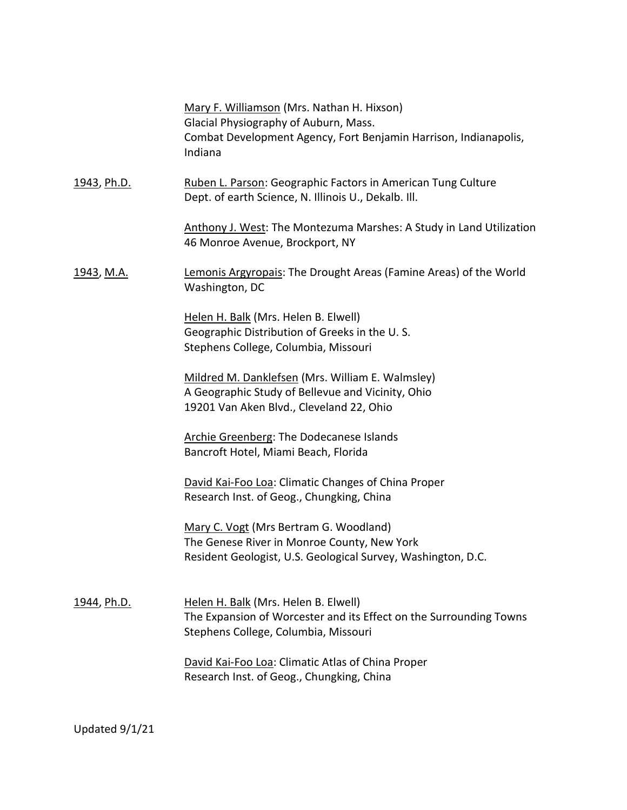|                    | Mary F. Williamson (Mrs. Nathan H. Hixson)<br>Glacial Physiography of Auburn, Mass.<br>Combat Development Agency, Fort Benjamin Harrison, Indianapolis,<br>Indiana |
|--------------------|--------------------------------------------------------------------------------------------------------------------------------------------------------------------|
| <u>1943, Ph.D.</u> | Ruben L. Parson: Geographic Factors in American Tung Culture<br>Dept. of earth Science, N. Illinois U., Dekalb. Ill.                                               |
|                    | Anthony J. West: The Montezuma Marshes: A Study in Land Utilization<br>46 Monroe Avenue, Brockport, NY                                                             |
| <u>1943, M.A.</u>  | Lemonis Argyropais: The Drought Areas (Famine Areas) of the World<br>Washington, DC                                                                                |
|                    | Helen H. Balk (Mrs. Helen B. Elwell)<br>Geographic Distribution of Greeks in the U.S.<br>Stephens College, Columbia, Missouri                                      |
|                    | Mildred M. Danklefsen (Mrs. William E. Walmsley)<br>A Geographic Study of Bellevue and Vicinity, Ohio<br>19201 Van Aken Blvd., Cleveland 22, Ohio                  |
|                    | Archie Greenberg: The Dodecanese Islands<br>Bancroft Hotel, Miami Beach, Florida                                                                                   |
|                    | David Kai-Foo Loa: Climatic Changes of China Proper<br>Research Inst. of Geog., Chungking, China                                                                   |
|                    | Mary C. Vogt (Mrs Bertram G. Woodland)<br>The Genese River in Monroe County, New York<br>Resident Geologist, U.S. Geological Survey, Washington, D.C.              |
| <u>1944, Ph.D.</u> | Helen H. Balk (Mrs. Helen B. Elwell)<br>The Expansion of Worcester and its Effect on the Surrounding Towns<br>Stephens College, Columbia, Missouri                 |
|                    | David Kai-Foo Loa: Climatic Atlas of China Proper<br>Research Inst. of Geog., Chungking, China                                                                     |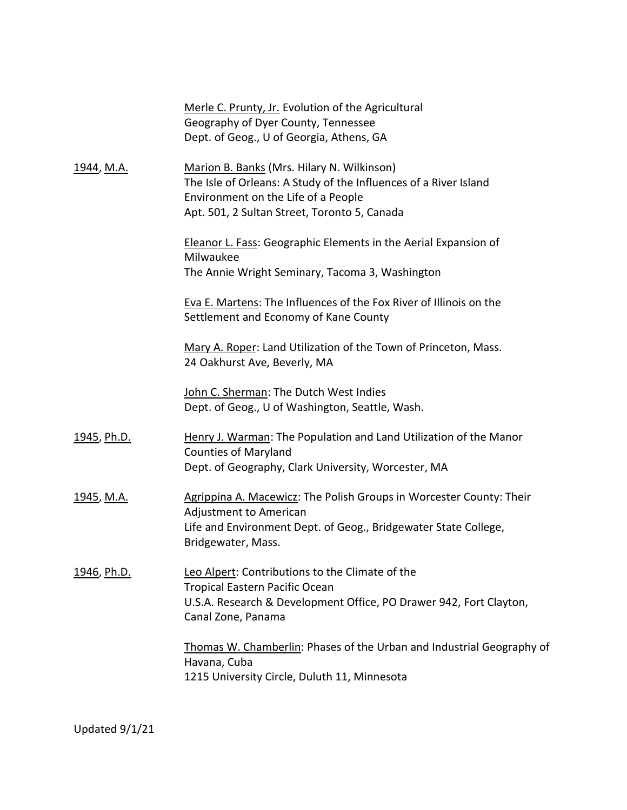|                    | Merle C. Prunty, Jr. Evolution of the Agricultural                                                          |
|--------------------|-------------------------------------------------------------------------------------------------------------|
|                    | Geography of Dyer County, Tennessee                                                                         |
|                    | Dept. of Geog., U of Georgia, Athens, GA                                                                    |
| <u>1944, M.A.</u>  | Marion B. Banks (Mrs. Hilary N. Wilkinson)                                                                  |
|                    | The Isle of Orleans: A Study of the Influences of a River Island                                            |
|                    | Environment on the Life of a People                                                                         |
|                    | Apt. 501, 2 Sultan Street, Toronto 5, Canada                                                                |
|                    | <b>Eleanor L. Fass: Geographic Elements in the Aerial Expansion of</b><br>Milwaukee                         |
|                    | The Annie Wright Seminary, Tacoma 3, Washington                                                             |
|                    | Eva E. Martens: The Influences of the Fox River of Illinois on the<br>Settlement and Economy of Kane County |
|                    | Mary A. Roper: Land Utilization of the Town of Princeton, Mass.<br>24 Oakhurst Ave, Beverly, MA             |
|                    | John C. Sherman: The Dutch West Indies                                                                      |
|                    | Dept. of Geog., U of Washington, Seattle, Wash.                                                             |
| 1945, Ph.D.        | Henry J. Warman: The Population and Land Utilization of the Manor<br><b>Counties of Maryland</b>            |
|                    | Dept. of Geography, Clark University, Worcester, MA                                                         |
| <u>1945, M.A.</u>  | Agrippina A. Macewicz: The Polish Groups in Worcester County: Their<br>Adjustment to American               |
|                    | Life and Environment Dept. of Geog., Bridgewater State College,<br>Bridgewater, Mass.                       |
| <u>1946, Ph.D.</u> | Leo Alpert: Contributions to the Climate of the<br><b>Tropical Eastern Pacific Ocean</b>                    |
|                    | U.S.A. Research & Development Office, PO Drawer 942, Fort Clayton,<br>Canal Zone, Panama                    |
|                    | Thomas W. Chamberlin: Phases of the Urban and Industrial Geography of<br>Havana, Cuba                       |
|                    | 1215 University Circle, Duluth 11, Minnesota                                                                |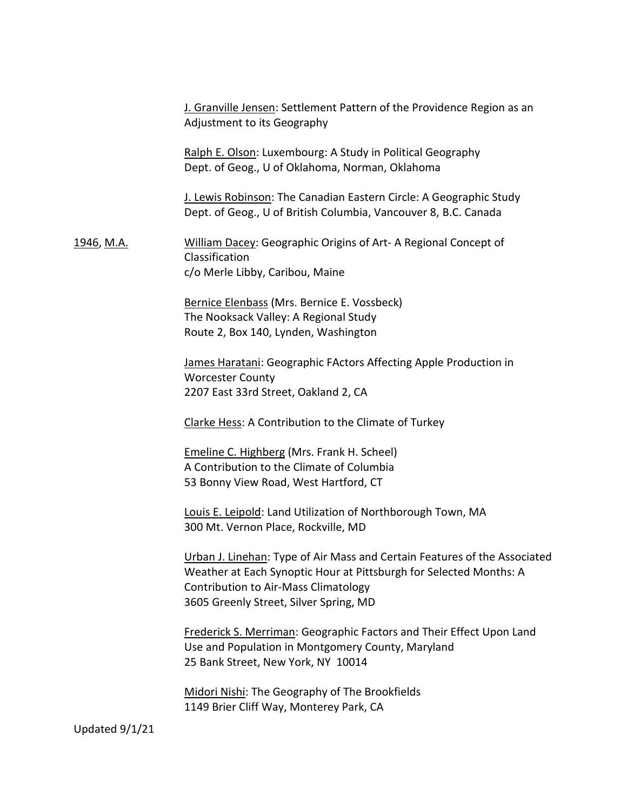|                   | J. Granville Jensen: Settlement Pattern of the Providence Region as an<br>Adjustment to its Geography                                                                                                                                    |
|-------------------|------------------------------------------------------------------------------------------------------------------------------------------------------------------------------------------------------------------------------------------|
|                   | Ralph E. Olson: Luxembourg: A Study in Political Geography<br>Dept. of Geog., U of Oklahoma, Norman, Oklahoma                                                                                                                            |
|                   | J. Lewis Robinson: The Canadian Eastern Circle: A Geographic Study<br>Dept. of Geog., U of British Columbia, Vancouver 8, B.C. Canada                                                                                                    |
| <u>1946, M.A.</u> | William Dacey: Geographic Origins of Art- A Regional Concept of<br>Classification<br>c/o Merle Libby, Caribou, Maine                                                                                                                     |
|                   | Bernice Elenbass (Mrs. Bernice E. Vossbeck)<br>The Nooksack Valley: A Regional Study<br>Route 2, Box 140, Lynden, Washington                                                                                                             |
|                   | James Haratani: Geographic FActors Affecting Apple Production in<br><b>Worcester County</b><br>2207 East 33rd Street, Oakland 2, CA                                                                                                      |
|                   | Clarke Hess: A Contribution to the Climate of Turkey                                                                                                                                                                                     |
|                   | Emeline C. Highberg (Mrs. Frank H. Scheel)<br>A Contribution to the Climate of Columbia<br>53 Bonny View Road, West Hartford, CT                                                                                                         |
|                   | Louis E. Leipold: Land Utilization of Northborough Town, MA<br>300 Mt. Vernon Place, Rockville, MD                                                                                                                                       |
|                   | Urban J. Linehan: Type of Air Mass and Certain Features of the Associated<br>Weather at Each Synoptic Hour at Pittsburgh for Selected Months: A<br><b>Contribution to Air-Mass Climatology</b><br>3605 Greenly Street, Silver Spring, MD |
|                   | Frederick S. Merriman: Geographic Factors and Their Effect Upon Land<br>Use and Population in Montgomery County, Maryland<br>25 Bank Street, New York, NY 10014                                                                          |
|                   | Midori Nishi: The Geography of The Brookfields<br>1149 Brier Cliff Way, Monterey Park, CA                                                                                                                                                |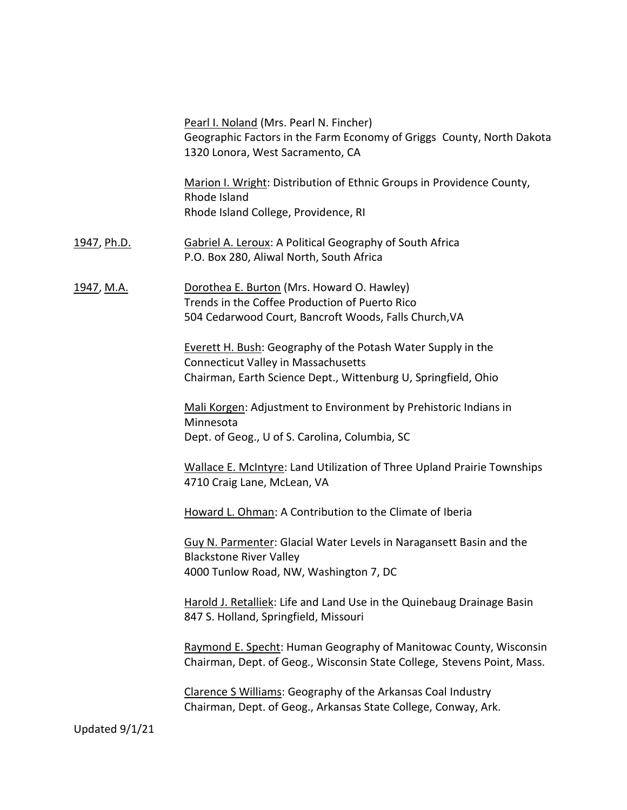|                    | Pearl I. Noland (Mrs. Pearl N. Fincher)<br>Geographic Factors in the Farm Economy of Griggs County, North Dakota<br>1320 Lonora, West Sacramento, CA                                |
|--------------------|-------------------------------------------------------------------------------------------------------------------------------------------------------------------------------------|
|                    | Marion I. Wright: Distribution of Ethnic Groups in Providence County,<br>Rhode Island<br>Rhode Island College, Providence, RI                                                       |
| <u>1947, Ph.D.</u> | <b>Gabriel A. Leroux: A Political Geography of South Africa</b><br>P.O. Box 280, Aliwal North, South Africa                                                                         |
| <u>1947, M.A.</u>  | Dorothea E. Burton (Mrs. Howard O. Hawley)<br>Trends in the Coffee Production of Puerto Rico<br>504 Cedarwood Court, Bancroft Woods, Falls Church, VA                               |
|                    | <b>Everett H. Bush: Geography of the Potash Water Supply in the</b><br><b>Connecticut Valley in Massachusetts</b><br>Chairman, Earth Science Dept., Wittenburg U, Springfield, Ohio |
|                    | Mali Korgen: Adjustment to Environment by Prehistoric Indians in<br>Minnesota<br>Dept. of Geog., U of S. Carolina, Columbia, SC                                                     |
|                    | <b>Wallace E. McIntyre: Land Utilization of Three Upland Prairie Townships</b><br>4710 Craig Lane, McLean, VA                                                                       |
|                    | Howard L. Ohman: A Contribution to the Climate of Iberia                                                                                                                            |
|                    | Guy N. Parmenter: Glacial Water Levels in Naragansett Basin and the<br><b>Blackstone River Valley</b><br>4000 Tunlow Road, NW, Washington 7, DC                                     |
|                    | Harold J. Retalliek: Life and Land Use in the Quinebaug Drainage Basin<br>847 S. Holland, Springfield, Missouri                                                                     |
|                    | Raymond E. Specht: Human Geography of Manitowac County, Wisconsin<br>Chairman, Dept. of Geog., Wisconsin State College, Stevens Point, Mass.                                        |
|                    | Clarence S Williams: Geography of the Arkansas Coal Industry<br>Chairman, Dept. of Geog., Arkansas State College, Conway, Ark.                                                      |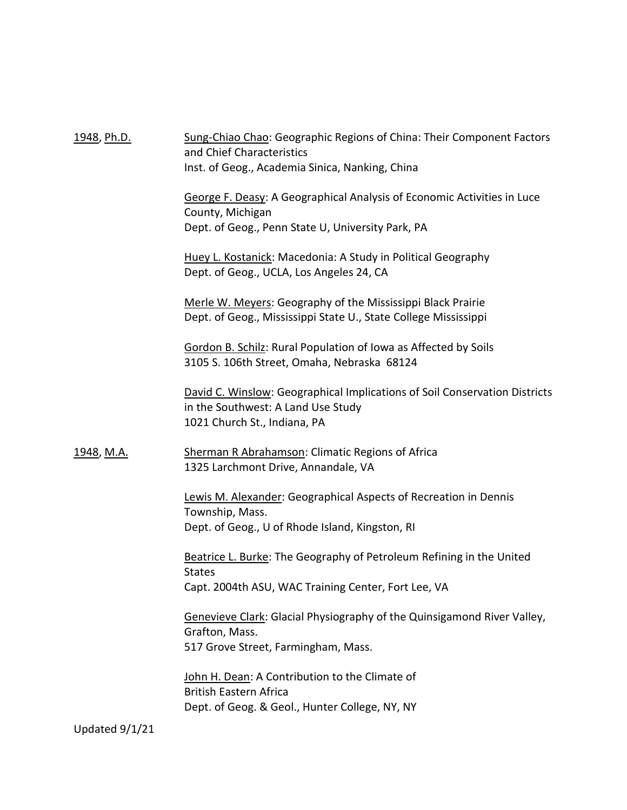1948, Ph.D. Sung-Chiao Chao: Geographic Regions of China: Their Component Factors and Chief Characteristics Inst. of Geog., Academia Sinica, Nanking, China George F. Deasy: A Geographical Analysis of Economic Activities in Luce County, Michigan Dept. of Geog., Penn State U, University Park, PA Huey L. Kostanick: Macedonia: A Study in Political Geography Dept. of Geog., UCLA, Los Angeles 24, CA Merle W. Meyers: Geography of the Mississippi Black Prairie Dept. of Geog., Mississippi State U., State College Mississippi Gordon B. Schilz: Rural Population of Iowa as Affected by Soils 3105 S. 106th Street, Omaha, Nebraska 68124 David C. Winslow: Geographical Implications of Soil Conservation Districts in the Southwest: A Land Use Study 1021 Church St., Indiana, PA 1948, M.A. Sherman R Abrahamson: Climatic Regions of Africa 1325 Larchmont Drive, Annandale, VA Lewis M. Alexander: Geographical Aspects of Recreation in Dennis Township, Mass. Dept. of Geog., U of Rhode Island, Kingston, RI Beatrice L. Burke: The Geography of Petroleum Refining in the United States Capt. 2004th ASU, WAC Training Center, Fort Lee, VA Genevieve Clark: Glacial Physiography of the Quinsigamond River Valley, Grafton, Mass. 517 Grove Street, Farmingham, Mass. John H. Dean: A Contribution to the Climate of British Eastern Africa Dept. of Geog. & Geol., Hunter College, NY, NY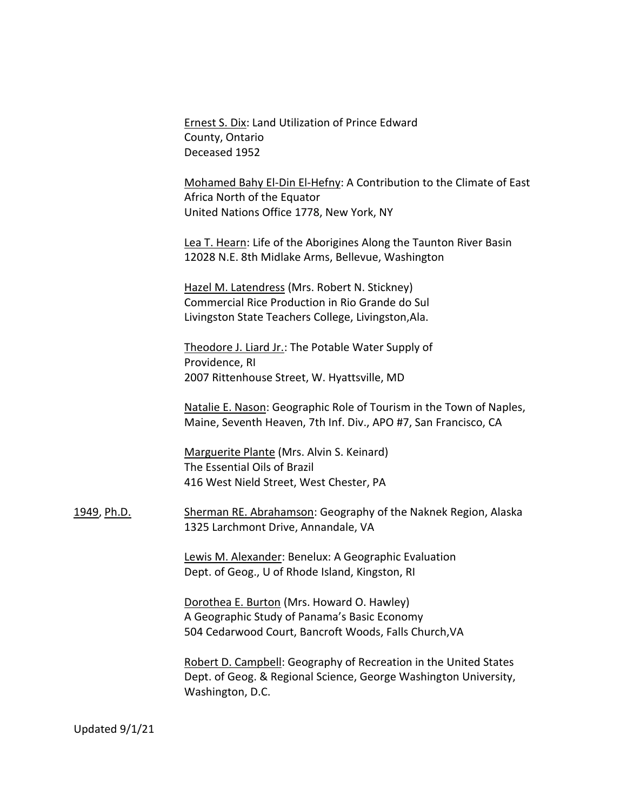Ernest S. Dix: Land Utilization of Prince Edward County, Ontario Deceased 1952

Mohamed Bahy El-Din El-Hefny: A Contribution to the Climate of East Africa North of the Equator United Nations Office 1778, New York, NY

Lea T. Hearn: Life of the Aborigines Along the Taunton River Basin 12028 N.E. 8th Midlake Arms, Bellevue, Washington

Hazel M. Latendress (Mrs. Robert N. Stickney) Commercial Rice Production in Rio Grande do Sul Livingston State Teachers College, Livingston,Ala.

Theodore J. Liard Jr.: The Potable Water Supply of Providence, RI 2007 Rittenhouse Street, W. Hyattsville, MD

Natalie E. Nason: Geographic Role of Tourism in the Town of Naples, Maine, Seventh Heaven, 7th Inf. Div., APO #7, San Francisco, CA

Marguerite Plante (Mrs. Alvin S. Keinard) The Essential Oils of Brazil 416 West Nield Street, West Chester, PA

1949, Ph.D. Sherman RE. Abrahamson: Geography of the Naknek Region, Alaska 1325 Larchmont Drive, Annandale, VA

> Lewis M. Alexander: Benelux: A Geographic Evaluation Dept. of Geog., U of Rhode Island, Kingston, RI

Dorothea E. Burton (Mrs. Howard O. Hawley) A Geographic Study of Panama's Basic Economy 504 Cedarwood Court, Bancroft Woods, Falls Church,VA

Robert D. Campbell: Geography of Recreation in the United States Dept. of Geog. & Regional Science, George Washington University, Washington, D.C.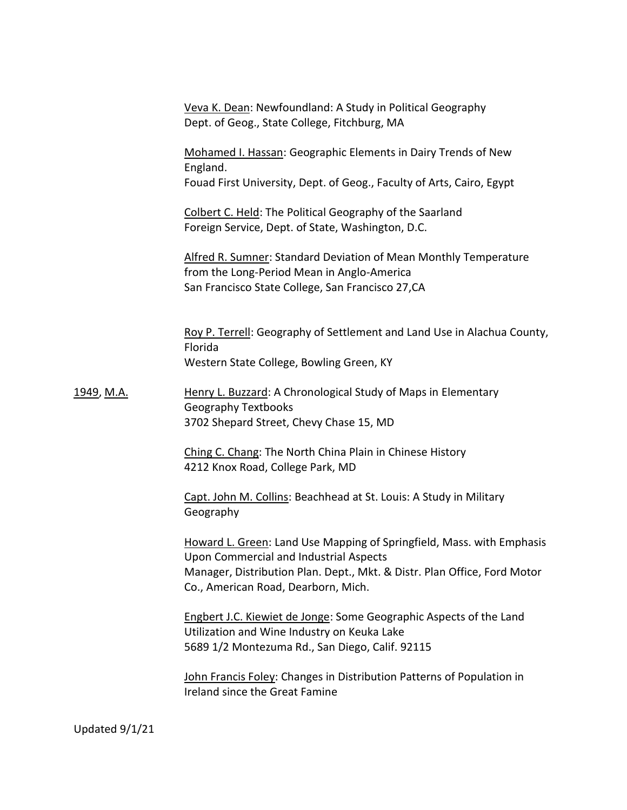|                   | Veva K. Dean: Newfoundland: A Study in Political Geography<br>Dept. of Geog., State College, Fitchburg, MA                                                                                                                         |
|-------------------|------------------------------------------------------------------------------------------------------------------------------------------------------------------------------------------------------------------------------------|
|                   | Mohamed I. Hassan: Geographic Elements in Dairy Trends of New<br>England.<br>Fouad First University, Dept. of Geog., Faculty of Arts, Cairo, Egypt                                                                                 |
|                   | Colbert C. Held: The Political Geography of the Saarland<br>Foreign Service, Dept. of State, Washington, D.C.                                                                                                                      |
|                   | Alfred R. Sumner: Standard Deviation of Mean Monthly Temperature<br>from the Long-Period Mean in Anglo-America<br>San Francisco State College, San Francisco 27, CA                                                                |
|                   | Roy P. Terrell: Geography of Settlement and Land Use in Alachua County,<br>Florida<br>Western State College, Bowling Green, KY                                                                                                     |
| <u>1949, M.A.</u> | Henry L. Buzzard: A Chronological Study of Maps in Elementary<br><b>Geography Textbooks</b><br>3702 Shepard Street, Chevy Chase 15, MD                                                                                             |
|                   | Ching C. Chang: The North China Plain in Chinese History<br>4212 Knox Road, College Park, MD                                                                                                                                       |
|                   | Capt. John M. Collins: Beachhead at St. Louis: A Study in Military<br>Geography                                                                                                                                                    |
|                   | Howard L. Green: Land Use Mapping of Springfield, Mass. with Emphasis<br>Upon Commercial and Industrial Aspects<br>Manager, Distribution Plan. Dept., Mkt. & Distr. Plan Office, Ford Motor<br>Co., American Road, Dearborn, Mich. |
|                   | <b>Engbert J.C. Kiewiet de Jonge: Some Geographic Aspects of the Land</b><br>Utilization and Wine Industry on Keuka Lake<br>5689 1/2 Montezuma Rd., San Diego, Calif. 92115                                                        |
|                   | John Francis Foley: Changes in Distribution Patterns of Population in<br>Ireland since the Great Famine                                                                                                                            |
|                   |                                                                                                                                                                                                                                    |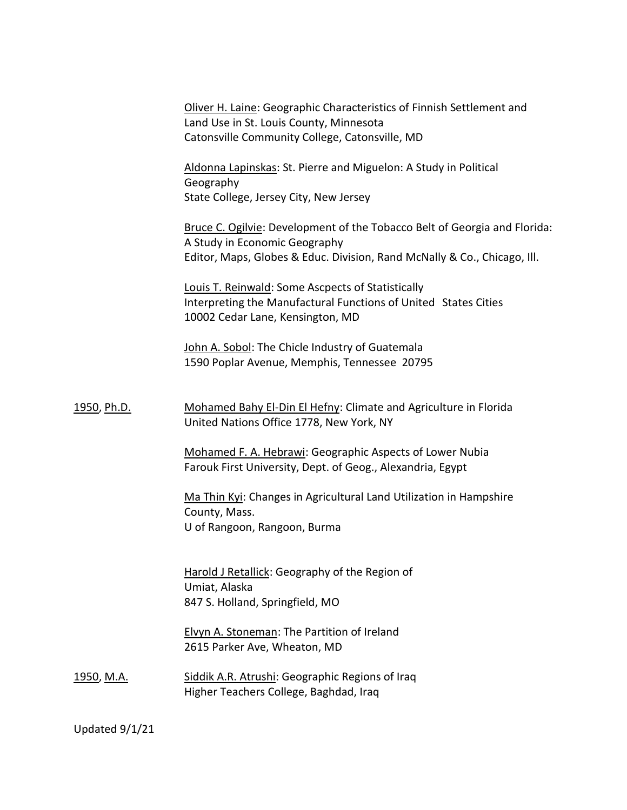Oliver H. Laine: Geographic Characteristics of Finnish Settlement and Land Use in St. Louis County, Minnesota Catonsville Community College, Catonsville, MD

Aldonna Lapinskas: St. Pierre and Miguelon: A Study in Political Geography State College, Jersey City, New Jersey

Bruce C. Ogilvie: Development of the Tobacco Belt of Georgia and Florida: A Study in Economic Geography Editor, Maps, Globes & Educ. Division, Rand McNally & Co., Chicago, Ill.

Louis T. Reinwald: Some Ascpects of Statistically Interpreting the Manufactural Functions of United States Cities 10002 Cedar Lane, Kensington, MD

John A. Sobol: The Chicle Industry of Guatemala 1590 Poplar Avenue, Memphis, Tennessee 20795

1950, Ph.D. Mohamed Bahy El-Din El Hefny: Climate and Agriculture in Florida United Nations Office 1778, New York, NY

> Mohamed F. A. Hebrawi: Geographic Aspects of Lower Nubia Farouk First University, Dept. of Geog., Alexandria, Egypt

Ma Thin Kyi: Changes in Agricultural Land Utilization in Hampshire County, Mass. U of Rangoon, Rangoon, Burma

Harold J Retallick: Geography of the Region of Umiat, Alaska 847 S. Holland, Springfield, MO

Elvyn A. Stoneman: The Partition of Ireland 2615 Parker Ave, Wheaton, MD

1950, M.A. Siddik A.R. Atrushi: Geographic Regions of Iraq Higher Teachers College, Baghdad, Iraq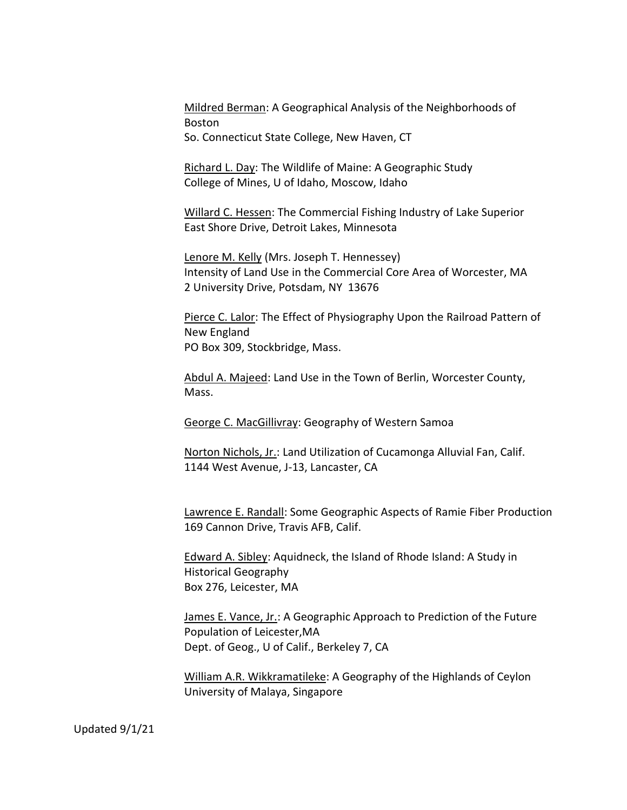Mildred Berman: A Geographical Analysis of the Neighborhoods of Boston

So. Connecticut State College, New Haven, CT

Richard L. Day: The Wildlife of Maine: A Geographic Study College of Mines, U of Idaho, Moscow, Idaho

Willard C. Hessen: The Commercial Fishing Industry of Lake Superior East Shore Drive, Detroit Lakes, Minnesota

Lenore M. Kelly (Mrs. Joseph T. Hennessey) Intensity of Land Use in the Commercial Core Area of Worcester, MA 2 University Drive, Potsdam, NY 13676

Pierce C. Lalor: The Effect of Physiography Upon the Railroad Pattern of New England PO Box 309, Stockbridge, Mass.

Abdul A. Majeed: Land Use in the Town of Berlin, Worcester County, Mass.

George C. MacGillivray: Geography of Western Samoa

Norton Nichols, Jr.: Land Utilization of Cucamonga Alluvial Fan, Calif. 1144 West Avenue, J-13, Lancaster, CA

Lawrence E. Randall: Some Geographic Aspects of Ramie Fiber Production 169 Cannon Drive, Travis AFB, Calif.

Edward A. Sibley: Aquidneck, the Island of Rhode Island: A Study in Historical Geography Box 276, Leicester, MA

James E. Vance, Jr.: A Geographic Approach to Prediction of the Future Population of Leicester,MA Dept. of Geog., U of Calif., Berkeley 7, CA

William A.R. Wikkramatileke: A Geography of the Highlands of Ceylon University of Malaya, Singapore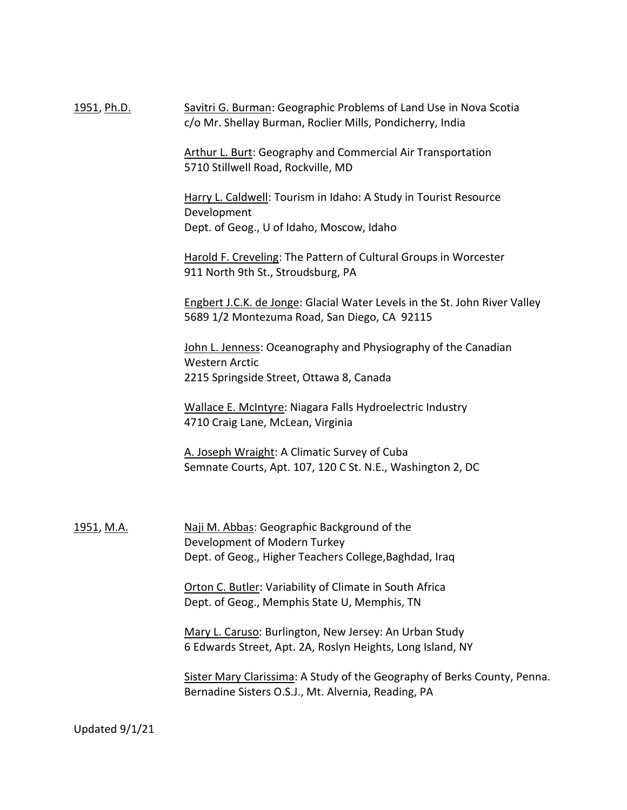1951, Ph.D. Savitri G. Burman: Geographic Problems of Land Use in Nova Scotia c/o Mr. Shellay Burman, Roclier Mills, Pondicherry, India

> Arthur L. Burt: Geography and Commercial Air Transportation 5710 Stillwell Road, Rockville, MD

Harry L. Caldwell: Tourism in Idaho: A Study in Tourist Resource Development Dept. of Geog., U of Idaho, Moscow, Idaho

Harold F. Creveling: The Pattern of Cultural Groups in Worcester 911 North 9th St., Stroudsburg, PA

Engbert J.C.K. de Jonge: Glacial Water Levels in the St. John River Valley 5689 1/2 Montezuma Road, San Diego, CA 92115

John L. Jenness: Oceanography and Physiography of the Canadian Western Arctic 2215 Springside Street, Ottawa 8, Canada

Wallace E. McIntyre: Niagara Falls Hydroelectric Industry 4710 Craig Lane, McLean, Virginia

A. Joseph Wraight: A Climatic Survey of Cuba Semnate Courts, Apt. 107, 120 C St. N.E., Washington 2, DC

1951, M.A. Naji M. Abbas: Geographic Background of the Development of Modern Turkey Dept. of Geog., Higher Teachers College,Baghdad, Iraq

> Orton C. Butler: Variability of Climate in South Africa Dept. of Geog., Memphis State U, Memphis, TN

Mary L. Caruso: Burlington, New Jersey: An Urban Study 6 Edwards Street, Apt. 2A, Roslyn Heights, Long Island, NY

Sister Mary Clarissima: A Study of the Geography of Berks County, Penna. Bernadine Sisters O.S.J., Mt. Alvernia, Reading, PA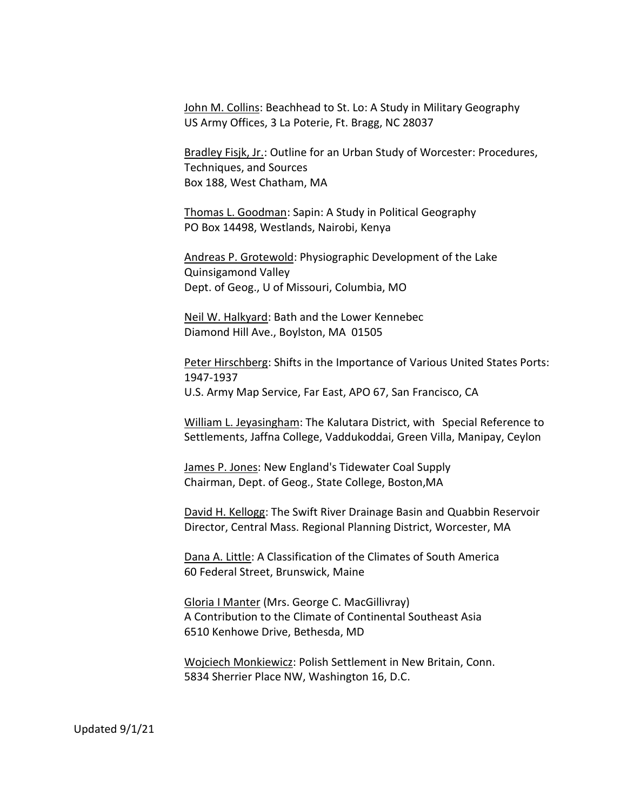John M. Collins: Beachhead to St. Lo: A Study in Military Geography US Army Offices, 3 La Poterie, Ft. Bragg, NC 28037

Bradley Fisjk, Jr.: Outline for an Urban Study of Worcester: Procedures, Techniques, and Sources Box 188, West Chatham, MA

Thomas L. Goodman: Sapin: A Study in Political Geography PO Box 14498, Westlands, Nairobi, Kenya

Andreas P. Grotewold: Physiographic Development of the Lake Quinsigamond Valley Dept. of Geog., U of Missouri, Columbia, MO

Neil W. Halkyard: Bath and the Lower Kennebec Diamond Hill Ave., Boylston, MA 01505

Peter Hirschberg: Shifts in the Importance of Various United States Ports: 1947-1937 U.S. Army Map Service, Far East, APO 67, San Francisco, CA

William L. Jeyasingham: The Kalutara District, with Special Reference to Settlements, Jaffna College, Vaddukoddai, Green Villa, Manipay, Ceylon

James P. Jones: New England's Tidewater Coal Supply Chairman, Dept. of Geog., State College, Boston,MA

David H. Kellogg: The Swift River Drainage Basin and Quabbin Reservoir Director, Central Mass. Regional Planning District, Worcester, MA

Dana A. Little: A Classification of the Climates of South America 60 Federal Street, Brunswick, Maine

Gloria I Manter (Mrs. George C. MacGillivray) A Contribution to the Climate of Continental Southeast Asia 6510 Kenhowe Drive, Bethesda, MD

Wojciech Monkiewicz: Polish Settlement in New Britain, Conn. 5834 Sherrier Place NW, Washington 16, D.C.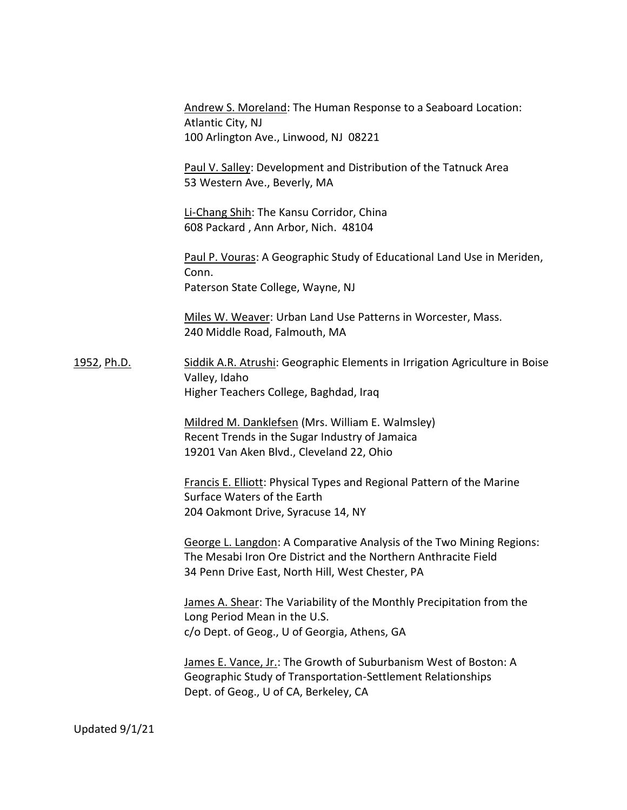Andrew S. Moreland: The Human Response to a Seaboard Location: Atlantic City, NJ 100 Arlington Ave., Linwood, NJ 08221

Paul V. Salley: Development and Distribution of the Tatnuck Area 53 Western Ave., Beverly, MA

Li-Chang Shih: The Kansu Corridor, China 608 Packard , Ann Arbor, Nich. 48104

Paul P. Vouras: A Geographic Study of Educational Land Use in Meriden, Conn. Paterson State College, Wayne, NJ

Miles W. Weaver: Urban Land Use Patterns in Worcester, Mass. 240 Middle Road, Falmouth, MA

1952, Ph.D. Siddik A.R. Atrushi: Geographic Elements in Irrigation Agriculture in Boise Valley, Idaho Higher Teachers College, Baghdad, Iraq

> Mildred M. Danklefsen (Mrs. William E. Walmsley) Recent Trends in the Sugar Industry of Jamaica 19201 Van Aken Blvd., Cleveland 22, Ohio

Francis E. Elliott: Physical Types and Regional Pattern of the Marine Surface Waters of the Earth 204 Oakmont Drive, Syracuse 14, NY

George L. Langdon: A Comparative Analysis of the Two Mining Regions: The Mesabi Iron Ore District and the Northern Anthracite Field 34 Penn Drive East, North Hill, West Chester, PA

James A. Shear: The Variability of the Monthly Precipitation from the Long Period Mean in the U.S. c/o Dept. of Geog., U of Georgia, Athens, GA

James E. Vance, Jr.: The Growth of Suburbanism West of Boston: A Geographic Study of Transportation-Settlement Relationships Dept. of Geog., U of CA, Berkeley, CA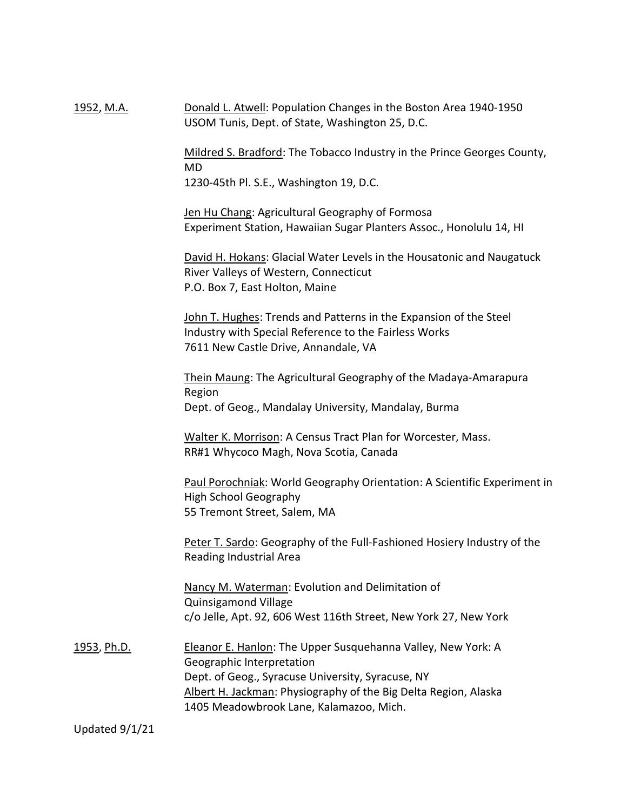1952, M.A. **Donald L. Atwell: Population Changes in the Boston Area 1940-1950** USOM Tunis, Dept. of State, Washington 25, D.C.

> Mildred S. Bradford: The Tobacco Industry in the Prince Georges County, MD

1230-45th Pl. S.E., Washington 19, D.C.

Jen Hu Chang: Agricultural Geography of Formosa Experiment Station, Hawaiian Sugar Planters Assoc., Honolulu 14, HI

David H. Hokans: Glacial Water Levels in the Housatonic and Naugatuck River Valleys of Western, Connecticut P.O. Box 7, East Holton, Maine

John T. Hughes: Trends and Patterns in the Expansion of the Steel Industry with Special Reference to the Fairless Works 7611 New Castle Drive, Annandale, VA

Thein Maung: The Agricultural Geography of the Madaya-Amarapura Region Dept. of Geog., Mandalay University, Mandalay, Burma

Walter K. Morrison: A Census Tract Plan for Worcester, Mass. RR#1 Whycoco Magh, Nova Scotia, Canada

Paul Porochniak: World Geography Orientation: A Scientific Experiment in High School Geography 55 Tremont Street, Salem, MA

Peter T. Sardo: Geography of the Full-Fashioned Hosiery Industry of the Reading Industrial Area

Nancy M. Waterman: Evolution and Delimitation of Quinsigamond Village c/o Jelle, Apt. 92, 606 West 116th Street, New York 27, New York

1953, Ph.D. Eleanor E. Hanlon: The Upper Susquehanna Valley, New York: A Geographic Interpretation Dept. of Geog., Syracuse University, Syracuse, NY Albert H. Jackman: Physiography of the Big Delta Region, Alaska 1405 Meadowbrook Lane, Kalamazoo, Mich.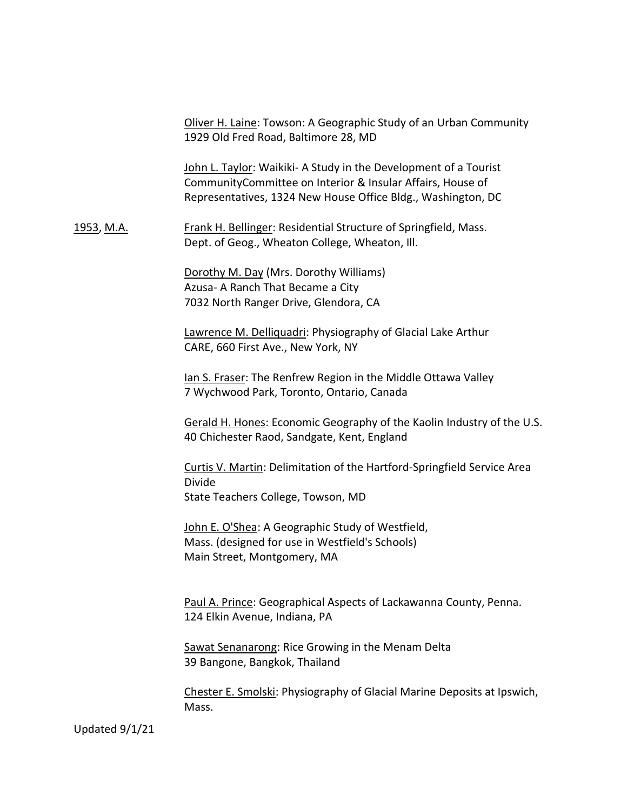Oliver H. Laine: Towson: A Geographic Study of an Urban Community 1929 Old Fred Road, Baltimore 28, MD

John L. Taylor: Waikiki- A Study in the Development of a Tourist CommunityCommittee on Interior & Insular Affairs, House of Representatives, 1324 New House Office Bldg., Washington, DC

1953, M.A. Frank H. Bellinger: Residential Structure of Springfield, Mass. Dept. of Geog., Wheaton College, Wheaton, Ill.

> Dorothy M. Day (Mrs. Dorothy Williams) Azusa- A Ranch That Became a City 7032 North Ranger Drive, Glendora, CA

Lawrence M. Delliquadri: Physiography of Glacial Lake Arthur CARE, 660 First Ave., New York, NY

Ian S. Fraser: The Renfrew Region in the Middle Ottawa Valley 7 Wychwood Park, Toronto, Ontario, Canada

Gerald H. Hones: Economic Geography of the Kaolin Industry of the U.S. 40 Chichester Raod, Sandgate, Kent, England

Curtis V. Martin: Delimitation of the Hartford-Springfield Service Area Divide State Teachers College, Towson, MD

John E. O'Shea: A Geographic Study of Westfield, Mass. (designed for use in Westfield's Schools) Main Street, Montgomery, MA

Paul A. Prince: Geographical Aspects of Lackawanna County, Penna. 124 Elkin Avenue, Indiana, PA

Sawat Senanarong: Rice Growing in the Menam Delta 39 Bangone, Bangkok, Thailand

Chester E. Smolski: Physiography of Glacial Marine Deposits at Ipswich, Mass.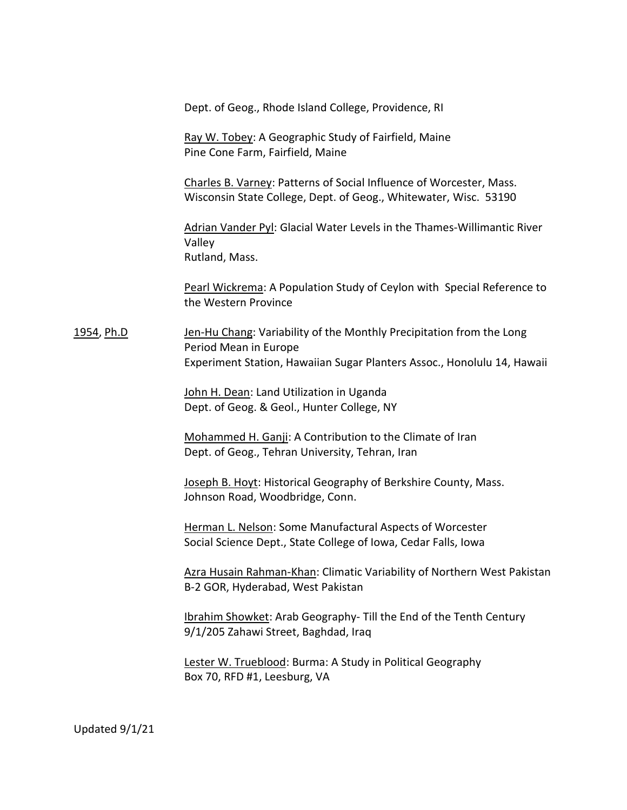Dept. of Geog., Rhode Island College, Providence, RI

Ray W. Tobey: A Geographic Study of Fairfield, Maine Pine Cone Farm, Fairfield, Maine

Charles B. Varney: Patterns of Social Influence of Worcester, Mass. Wisconsin State College, Dept. of Geog., Whitewater, Wisc. 53190

Adrian Vander Pyl: Glacial Water Levels in the Thames-Willimantic River Valley Rutland, Mass.

Pearl Wickrema: A Population Study of Ceylon with Special Reference to the Western Province

1954, Ph.D Jen-Hu Chang: Variability of the Monthly Precipitation from the Long Period Mean in Europe Experiment Station, Hawaiian Sugar Planters Assoc., Honolulu 14, Hawaii

> John H. Dean: Land Utilization in Uganda Dept. of Geog. & Geol., Hunter College, NY

Mohammed H. Ganji: A Contribution to the Climate of Iran Dept. of Geog., Tehran University, Tehran, Iran

Joseph B. Hoyt: Historical Geography of Berkshire County, Mass. Johnson Road, Woodbridge, Conn.

Herman L. Nelson: Some Manufactural Aspects of Worcester Social Science Dept., State College of Iowa, Cedar Falls, Iowa

Azra Husain Rahman-Khan: Climatic Variability of Northern West Pakistan B-2 GOR, Hyderabad, West Pakistan

Ibrahim Showket: Arab Geography- Till the End of the Tenth Century 9/1/205 Zahawi Street, Baghdad, Iraq

Lester W. Trueblood: Burma: A Study in Political Geography Box 70, RFD #1, Leesburg, VA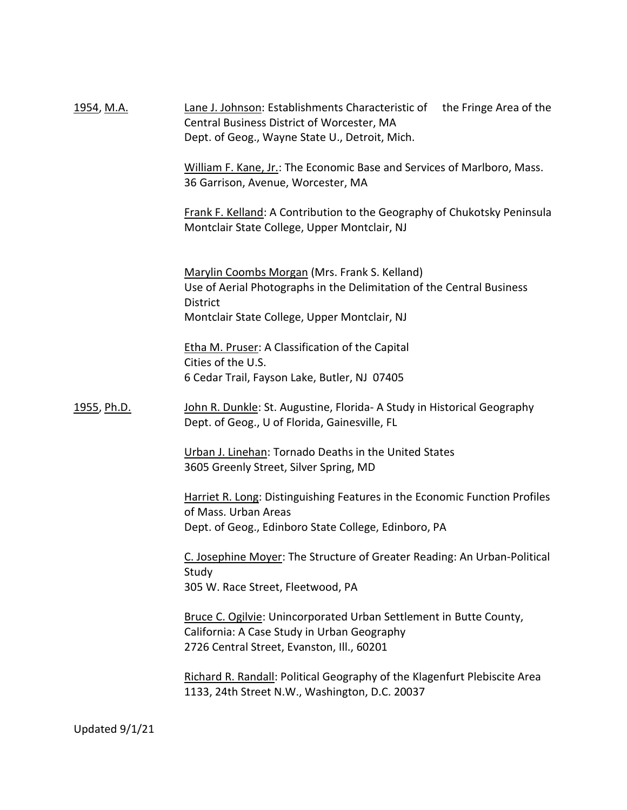| <u>1954, M.A.</u> | Lane J. Johnson: Establishments Characteristic of the Fringe Area of the<br>Central Business District of Worcester, MA<br>Dept. of Geog., Wayne State U., Detroit, Mich.                  |
|-------------------|-------------------------------------------------------------------------------------------------------------------------------------------------------------------------------------------|
|                   | William F. Kane, Jr.: The Economic Base and Services of Marlboro, Mass.<br>36 Garrison, Avenue, Worcester, MA                                                                             |
|                   | Frank F. Kelland: A Contribution to the Geography of Chukotsky Peninsula<br>Montclair State College, Upper Montclair, NJ                                                                  |
|                   | Marylin Coombs Morgan (Mrs. Frank S. Kelland)<br>Use of Aerial Photographs in the Delimitation of the Central Business<br><b>District</b><br>Montclair State College, Upper Montclair, NJ |
|                   | Etha M. Pruser: A Classification of the Capital<br>Cities of the U.S.<br>6 Cedar Trail, Fayson Lake, Butler, NJ 07405                                                                     |
| 1955, Ph.D.       | John R. Dunkle: St. Augustine, Florida- A Study in Historical Geography<br>Dept. of Geog., U of Florida, Gainesville, FL                                                                  |
|                   | Urban J. Linehan: Tornado Deaths in the United States<br>3605 Greenly Street, Silver Spring, MD                                                                                           |
|                   | Harriet R. Long: Distinguishing Features in the Economic Function Profiles<br>of Mass. Urban Areas<br>Dept. of Geog., Edinboro State College, Edinboro, PA                                |
|                   | C. Josephine Moyer: The Structure of Greater Reading: An Urban-Political<br>Study<br>305 W. Race Street, Fleetwood, PA                                                                    |
|                   | Bruce C. Ogilvie: Unincorporated Urban Settlement in Butte County,<br>California: A Case Study in Urban Geography<br>2726 Central Street, Evanston, Ill., 60201                           |
|                   | Richard R. Randall: Political Geography of the Klagenfurt Plebiscite Area<br>1133, 24th Street N.W., Washington, D.C. 20037                                                               |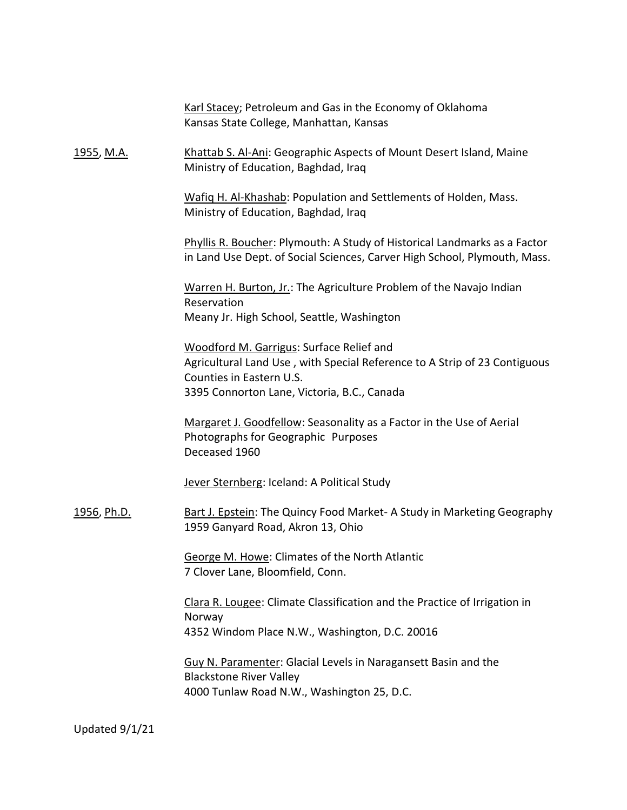|                    | Karl Stacey; Petroleum and Gas in the Economy of Oklahoma<br>Kansas State College, Manhattan, Kansas                                                                                             |
|--------------------|--------------------------------------------------------------------------------------------------------------------------------------------------------------------------------------------------|
| <u>1955, M.A.</u>  | Khattab S. Al-Ani: Geographic Aspects of Mount Desert Island, Maine<br>Ministry of Education, Baghdad, Iraq                                                                                      |
|                    | Wafig H. Al-Khashab: Population and Settlements of Holden, Mass.<br>Ministry of Education, Baghdad, Iraq                                                                                         |
|                    | Phyllis R. Boucher: Plymouth: A Study of Historical Landmarks as a Factor<br>in Land Use Dept. of Social Sciences, Carver High School, Plymouth, Mass.                                           |
|                    | Warren H. Burton, Jr.: The Agriculture Problem of the Navajo Indian<br>Reservation<br>Meany Jr. High School, Seattle, Washington                                                                 |
|                    | Woodford M. Garrigus: Surface Relief and<br>Agricultural Land Use, with Special Reference to A Strip of 23 Contiguous<br>Counties in Eastern U.S.<br>3395 Connorton Lane, Victoria, B.C., Canada |
|                    | Margaret J. Goodfellow: Seasonality as a Factor in the Use of Aerial<br>Photographs for Geographic Purposes<br>Deceased 1960                                                                     |
|                    | Jever Sternberg: Iceland: A Political Study                                                                                                                                                      |
| <u>1956, Ph.D.</u> | Bart J. Epstein: The Quincy Food Market-A Study in Marketing Geography<br>1959 Ganyard Road, Akron 13, Ohio                                                                                      |
|                    | George M. Howe: Climates of the North Atlantic<br>7 Clover Lane, Bloomfield, Conn.                                                                                                               |
|                    | Clara R. Lougee: Climate Classification and the Practice of Irrigation in<br>Norway<br>4352 Windom Place N.W., Washington, D.C. 20016                                                            |
|                    | <b>Guy N. Paramenter: Glacial Levels in Naragansett Basin and the</b><br><b>Blackstone River Valley</b><br>4000 Tunlaw Road N.W., Washington 25, D.C.                                            |
|                    |                                                                                                                                                                                                  |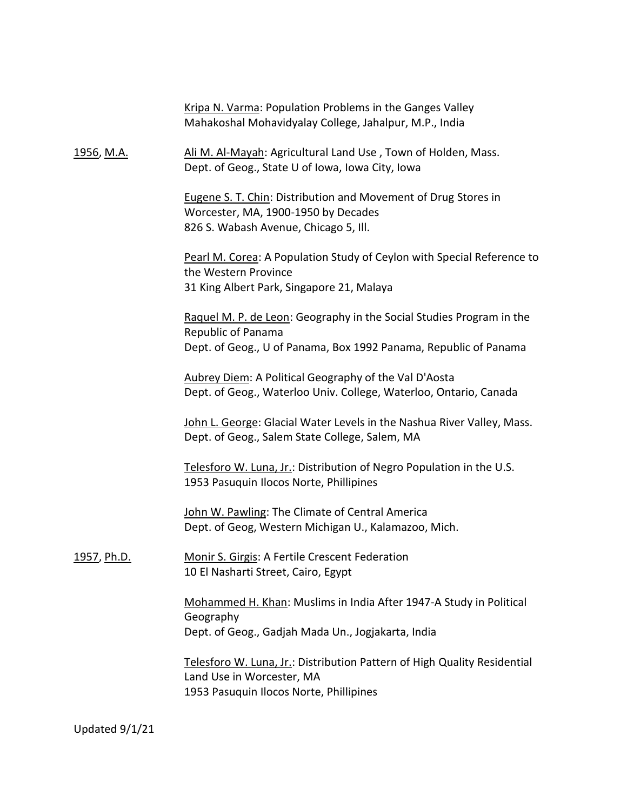|                     | Kripa N. Varma: Population Problems in the Ganges Valley<br>Mahakoshal Mohavidyalay College, Jahalpur, M.P., India                                             |
|---------------------|----------------------------------------------------------------------------------------------------------------------------------------------------------------|
| 1956, M.A.          | Ali M. Al-Mayah: Agricultural Land Use, Town of Holden, Mass.<br>Dept. of Geog., State U of Iowa, Iowa City, Iowa                                              |
|                     | Eugene S. T. Chin: Distribution and Movement of Drug Stores in<br>Worcester, MA, 1900-1950 by Decades<br>826 S. Wabash Avenue, Chicago 5, Ill.                 |
|                     | Pearl M. Corea: A Population Study of Ceylon with Special Reference to<br>the Western Province<br>31 King Albert Park, Singapore 21, Malaya                    |
|                     | Raquel M. P. de Leon: Geography in the Social Studies Program in the<br>Republic of Panama<br>Dept. of Geog., U of Panama, Box 1992 Panama, Republic of Panama |
|                     | Aubrey Diem: A Political Geography of the Val D'Aosta<br>Dept. of Geog., Waterloo Univ. College, Waterloo, Ontario, Canada                                     |
|                     | John L. George: Glacial Water Levels in the Nashua River Valley, Mass.<br>Dept. of Geog., Salem State College, Salem, MA                                       |
|                     | Telesforo W. Luna, Jr.: Distribution of Negro Population in the U.S.<br>1953 Pasuquin Ilocos Norte, Phillipines                                                |
|                     | John W. Pawling: The Climate of Central America<br>Dept. of Geog, Western Michigan U., Kalamazoo, Mich.                                                        |
| <u>1957</u> , Ph.D. | Monir S. Girgis: A Fertile Crescent Federation<br>10 El Nasharti Street, Cairo, Egypt                                                                          |
|                     | Mohammed H. Khan: Muslims in India After 1947-A Study in Political<br>Geography<br>Dept. of Geog., Gadjah Mada Un., Jogjakarta, India                          |
|                     | Telesforo W. Luna, Jr.: Distribution Pattern of High Quality Residential<br>Land Use in Worcester, MA<br>1953 Pasuquin Ilocos Norte, Phillipines               |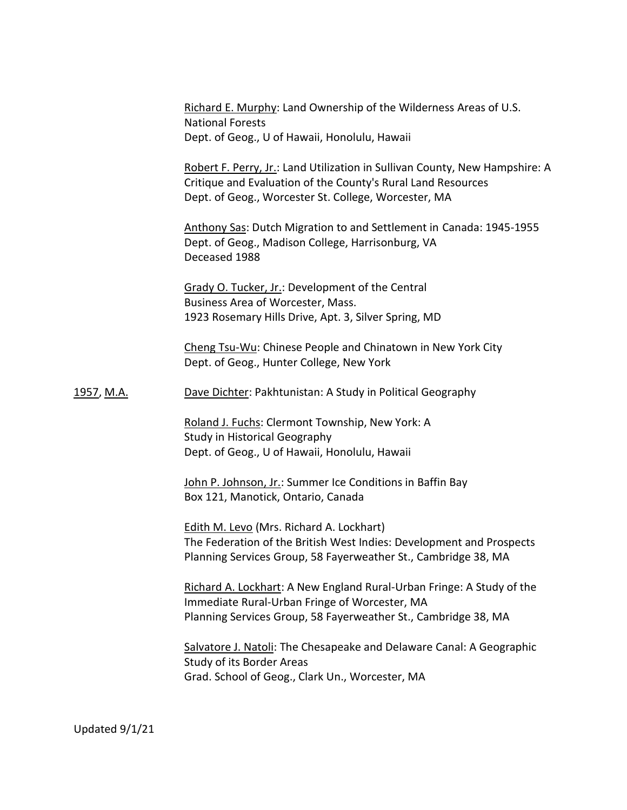| Richard E. Murphy: Land Ownership of the Wilderness Areas of U.S. |
|-------------------------------------------------------------------|
| <b>National Forests</b>                                           |
| Dept. of Geog., U of Hawaii, Honolulu, Hawaii                     |

Robert F. Perry, Jr.: Land Utilization in Sullivan County, New Hampshire: A Critique and Evaluation of the County's Rural Land Resources Dept. of Geog., Worcester St. College, Worcester, MA

Anthony Sas: Dutch Migration to and Settlement in Canada: 1945-1955 Dept. of Geog., Madison College, Harrisonburg, VA Deceased 1988

Grady O. Tucker, Jr.: Development of the Central Business Area of Worcester, Mass. 1923 Rosemary Hills Drive, Apt. 3, Silver Spring, MD

Cheng Tsu-Wu: Chinese People and Chinatown in New York City Dept. of Geog., Hunter College, New York

1957, M.A. Dave Dichter: Pakhtunistan: A Study in Political Geography

Roland J. Fuchs: Clermont Township, New York: A Study in Historical Geography Dept. of Geog., U of Hawaii, Honolulu, Hawaii

John P. Johnson, Jr.: Summer Ice Conditions in Baffin Bay Box 121, Manotick, Ontario, Canada

Edith M. Levo (Mrs. Richard A. Lockhart) The Federation of the British West Indies: Development and Prospects Planning Services Group, 58 Fayerweather St., Cambridge 38, MA

Richard A. Lockhart: A New England Rural-Urban Fringe: A Study of the Immediate Rural-Urban Fringe of Worcester, MA Planning Services Group, 58 Fayerweather St., Cambridge 38, MA

Salvatore J. Natoli: The Chesapeake and Delaware Canal: A Geographic Study of its Border Areas Grad. School of Geog., Clark Un., Worcester, MA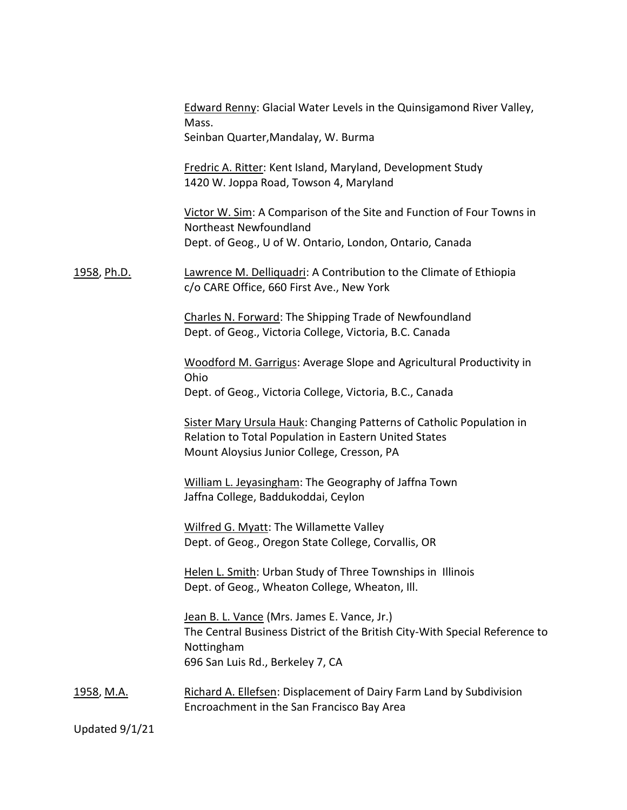|                    | Edward Renny: Glacial Water Levels in the Quinsigamond River Valley,<br>Mass.<br>Seinban Quarter, Mandalay, W. Burma                                                         |
|--------------------|------------------------------------------------------------------------------------------------------------------------------------------------------------------------------|
|                    | Fredric A. Ritter: Kent Island, Maryland, Development Study<br>1420 W. Joppa Road, Towson 4, Maryland                                                                        |
|                    | Victor W. Sim: A Comparison of the Site and Function of Four Towns in<br>Northeast Newfoundland<br>Dept. of Geog., U of W. Ontario, London, Ontario, Canada                  |
| <u>1958, Ph.D.</u> | Lawrence M. Delliquadri: A Contribution to the Climate of Ethiopia<br>c/o CARE Office, 660 First Ave., New York                                                              |
|                    | Charles N. Forward: The Shipping Trade of Newfoundland<br>Dept. of Geog., Victoria College, Victoria, B.C. Canada                                                            |
|                    | <b>Woodford M. Garrigus: Average Slope and Agricultural Productivity in</b><br>Ohio<br>Dept. of Geog., Victoria College, Victoria, B.C., Canada                              |
|                    | Sister Mary Ursula Hauk: Changing Patterns of Catholic Population in<br>Relation to Total Population in Eastern United States<br>Mount Aloysius Junior College, Cresson, PA  |
|                    | William L. Jeyasingham: The Geography of Jaffna Town<br>Jaffna College, Baddukoddai, Ceylon                                                                                  |
|                    | Wilfred G. Myatt: The Willamette Valley<br>Dept. of Geog., Oregon State College, Corvallis, OR                                                                               |
|                    | Helen L. Smith: Urban Study of Three Townships in Illinois<br>Dept. of Geog., Wheaton College, Wheaton, Ill.                                                                 |
|                    | Jean B. L. Vance (Mrs. James E. Vance, Jr.)<br>The Central Business District of the British City-With Special Reference to<br>Nottingham<br>696 San Luis Rd., Berkeley 7, CA |
| <u>1958, M.A.</u>  | Richard A. Ellefsen: Displacement of Dairy Farm Land by Subdivision<br>Encroachment in the San Francisco Bay Area                                                            |
|                    |                                                                                                                                                                              |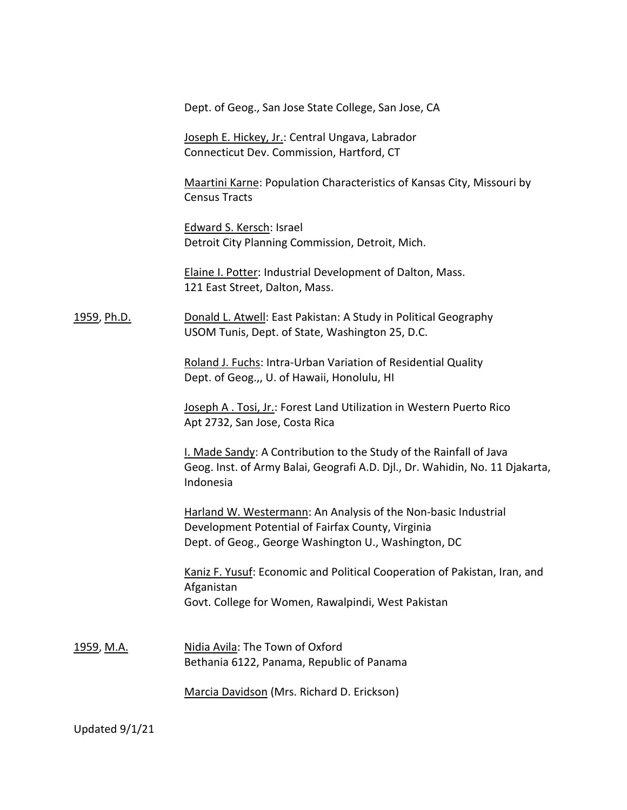Dept. of Geog., San Jose State College, San Jose, CA

Joseph E. Hickey, Jr.: Central Ungava, Labrador Connecticut Dev. Commission, Hartford, CT

Maartini Karne: Population Characteristics of Kansas City, Missouri by Census Tracts

Edward S. Kersch: Israel Detroit City Planning Commission, Detroit, Mich.

Elaine I. Potter: Industrial Development of Dalton, Mass. 121 East Street, Dalton, Mass.

1959, Ph.D. Donald L. Atwell: East Pakistan: A Study in Political Geography USOM Tunis, Dept. of State, Washington 25, D.C.

> Roland J. Fuchs: Intra-Urban Variation of Residential Quality Dept. of Geog.,, U. of Hawaii, Honolulu, HI

Joseph A . Tosi, Jr.: Forest Land Utilization in Western Puerto Rico Apt 2732, San Jose, Costa Rica

I. Made Sandy: A Contribution to the Study of the Rainfall of Java Geog. Inst. of Army Balai, Geografi A.D. Djl., Dr. Wahidin, No. 11 Djakarta, Indonesia

Harland W. Westermann: An Analysis of the Non-basic Industrial Development Potential of Fairfax County, Virginia Dept. of Geog., George Washington U., Washington, DC

Kaniz F. Yusuf: Economic and Political Cooperation of Pakistan, Iran, and Afganistan Govt. College for Women, Rawalpindi, West Pakistan

1959, M.A. Nidia Avila: The Town of Oxford Bethania 6122, Panama, Republic of Panama

Marcia Davidson (Mrs. Richard D. Erickson)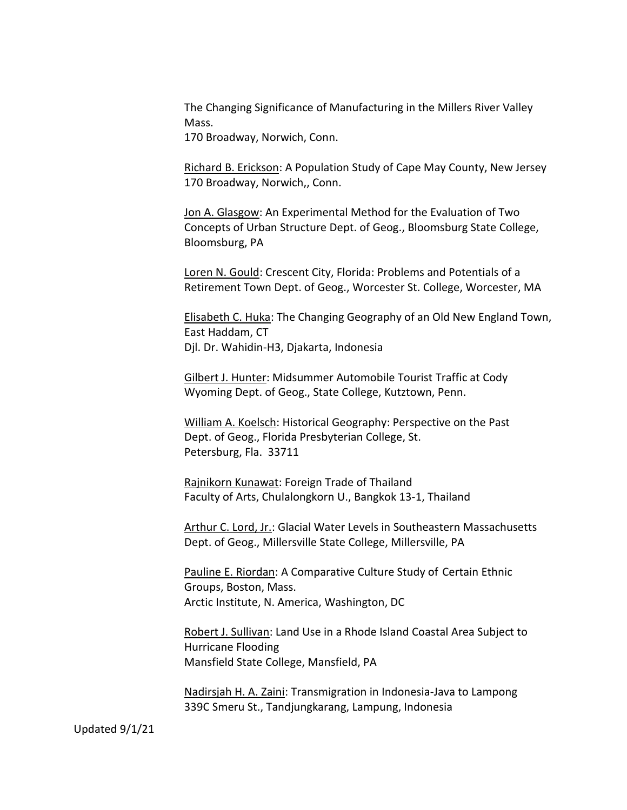The Changing Significance of Manufacturing in the Millers River Valley Mass.

170 Broadway, Norwich, Conn.

Richard B. Erickson: A Population Study of Cape May County, New Jersey 170 Broadway, Norwich,, Conn.

Jon A. Glasgow: An Experimental Method for the Evaluation of Two Concepts of Urban Structure Dept. of Geog., Bloomsburg State College, Bloomsburg, PA

Loren N. Gould: Crescent City, Florida: Problems and Potentials of a Retirement Town Dept. of Geog., Worcester St. College, Worcester, MA

Elisabeth C. Huka: The Changing Geography of an Old New England Town, East Haddam, CT Djl. Dr. Wahidin-H3, Djakarta, Indonesia

Gilbert J. Hunter: Midsummer Automobile Tourist Traffic at Cody Wyoming Dept. of Geog., State College, Kutztown, Penn.

William A. Koelsch: Historical Geography: Perspective on the Past Dept. of Geog., Florida Presbyterian College, St. Petersburg, Fla. 33711

Rajnikorn Kunawat: Foreign Trade of Thailand Faculty of Arts, Chulalongkorn U., Bangkok 13-1, Thailand

Arthur C. Lord, Jr.: Glacial Water Levels in Southeastern Massachusetts Dept. of Geog., Millersville State College, Millersville, PA

Pauline E. Riordan: A Comparative Culture Study of Certain Ethnic Groups, Boston, Mass. Arctic Institute, N. America, Washington, DC

Robert J. Sullivan: Land Use in a Rhode Island Coastal Area Subject to Hurricane Flooding Mansfield State College, Mansfield, PA

Nadirsjah H. A. Zaini: Transmigration in Indonesia-Java to Lampong 339C Smeru St., Tandjungkarang, Lampung, Indonesia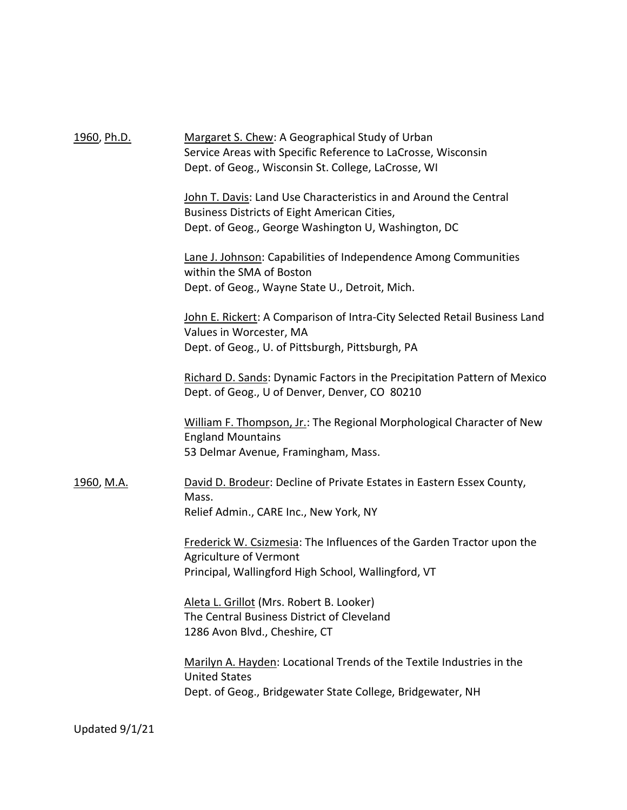| <u>1960, Ph.D.</u> | Margaret S. Chew: A Geographical Study of Urban<br>Service Areas with Specific Reference to LaCrosse, Wisconsin<br>Dept. of Geog., Wisconsin St. College, LaCrosse, WI   |
|--------------------|--------------------------------------------------------------------------------------------------------------------------------------------------------------------------|
|                    | John T. Davis: Land Use Characteristics in and Around the Central<br>Business Districts of Eight American Cities,<br>Dept. of Geog., George Washington U, Washington, DC |
|                    | Lane J. Johnson: Capabilities of Independence Among Communities<br>within the SMA of Boston<br>Dept. of Geog., Wayne State U., Detroit, Mich.                            |
|                    | John E. Rickert: A Comparison of Intra-City Selected Retail Business Land<br>Values in Worcester, MA<br>Dept. of Geog., U. of Pittsburgh, Pittsburgh, PA                 |
|                    | Richard D. Sands: Dynamic Factors in the Precipitation Pattern of Mexico<br>Dept. of Geog., U of Denver, Denver, CO 80210                                                |
|                    | William F. Thompson, Jr.: The Regional Morphological Character of New<br><b>England Mountains</b><br>53 Delmar Avenue, Framingham, Mass.                                 |
| <u>1960, M.A.</u>  | David D. Brodeur: Decline of Private Estates in Eastern Essex County,<br>Mass.<br>Relief Admin., CARE Inc., New York, NY                                                 |
|                    | <b>Frederick W. Csizmesia: The Influences of the Garden Tractor upon the</b><br>Agriculture of Vermont<br>Principal, Wallingford High School, Wallingford, VT            |
|                    | Aleta L. Grillot (Mrs. Robert B. Looker)<br>The Central Business District of Cleveland<br>1286 Avon Blvd., Cheshire, CT                                                  |
|                    | Marilyn A. Hayden: Locational Trends of the Textile Industries in the<br><b>United States</b><br>Dept. of Geog., Bridgewater State College, Bridgewater, NH              |
|                    |                                                                                                                                                                          |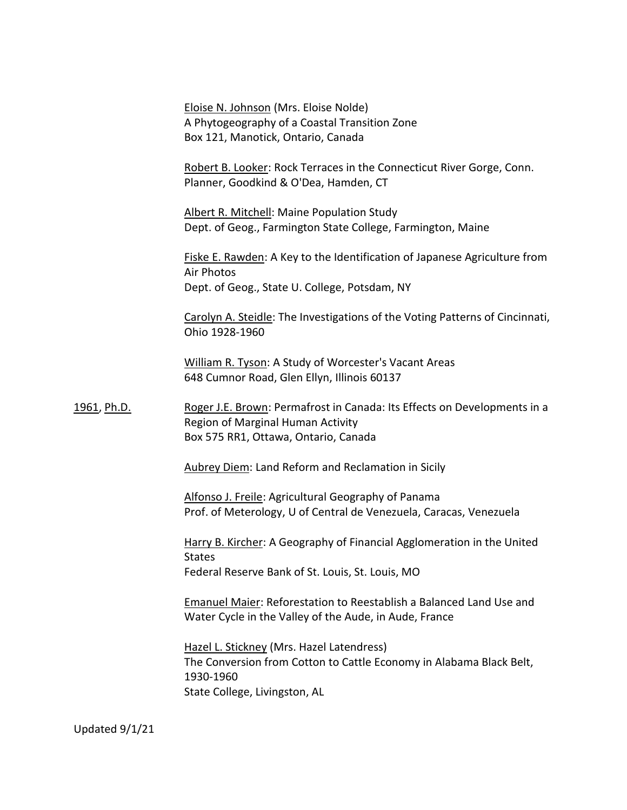Eloise N. Johnson (Mrs. Eloise Nolde) A Phytogeography of a Coastal Transition Zone Box 121, Manotick, Ontario, Canada

Robert B. Looker: Rock Terraces in the Connecticut River Gorge, Conn. Planner, Goodkind & O'Dea, Hamden, CT

Albert R. Mitchell: Maine Population Study Dept. of Geog., Farmington State College, Farmington, Maine

Fiske E. Rawden: A Key to the Identification of Japanese Agriculture from Air Photos Dept. of Geog., State U. College, Potsdam, NY

Carolyn A. Steidle: The Investigations of the Voting Patterns of Cincinnati, Ohio 1928-1960

William R. Tyson: A Study of Worcester's Vacant Areas 648 Cumnor Road, Glen Ellyn, Illinois 60137

1961, Ph.D. Roger J.E. Brown: Permafrost in Canada: Its Effects on Developments in a Region of Marginal Human Activity Box 575 RR1, Ottawa, Ontario, Canada

Aubrey Diem: Land Reform and Reclamation in Sicily

Alfonso J. Freile: Agricultural Geography of Panama Prof. of Meterology, U of Central de Venezuela, Caracas, Venezuela

Harry B. Kircher: A Geography of Financial Agglomeration in the United **States** Federal Reserve Bank of St. Louis, St. Louis, MO

Emanuel Maier: Reforestation to Reestablish a Balanced Land Use and Water Cycle in the Valley of the Aude, in Aude, France

Hazel L. Stickney (Mrs. Hazel Latendress) The Conversion from Cotton to Cattle Economy in Alabama Black Belt, 1930-1960 State College, Livingston, AL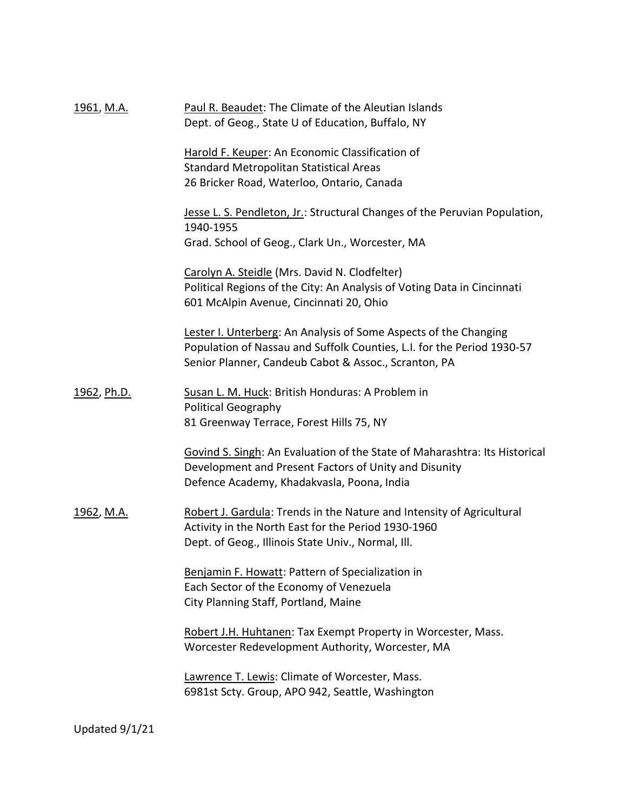| 1961, M.A.        | Paul R. Beaudet: The Climate of the Aleutian Islands<br>Dept. of Geog., State U of Education, Buffalo, NY                                                                                          |
|-------------------|----------------------------------------------------------------------------------------------------------------------------------------------------------------------------------------------------|
|                   | Harold F. Keuper: An Economic Classification of<br><b>Standard Metropolitan Statistical Areas</b><br>26 Bricker Road, Waterloo, Ontario, Canada                                                    |
|                   | Jesse L. S. Pendleton, Jr.: Structural Changes of the Peruvian Population,<br>1940-1955<br>Grad. School of Geog., Clark Un., Worcester, MA                                                         |
|                   | Carolyn A. Steidle (Mrs. David N. Clodfelter)<br>Political Regions of the City: An Analysis of Voting Data in Cincinnati<br>601 McAlpin Avenue, Cincinnati 20, Ohio                                |
|                   | Lester I. Unterberg: An Analysis of Some Aspects of the Changing<br>Population of Nassau and Suffolk Counties, L.I. for the Period 1930-57<br>Senior Planner, Candeub Cabot & Assoc., Scranton, PA |
| 1962, Ph.D.       | Susan L. M. Huck: British Honduras: A Problem in<br><b>Political Geography</b><br>81 Greenway Terrace, Forest Hills 75, NY                                                                         |
|                   | Govind S. Singh: An Evaluation of the State of Maharashtra: Its Historical<br>Development and Present Factors of Unity and Disunity<br>Defence Academy, Khadakvasla, Poona, India                  |
| <u>1962, M.A.</u> | Robert J. Gardula: Trends in the Nature and Intensity of Agricultural<br>Activity in the North East for the Period 1930-1960<br>Dept. of Geog., Illinois State Univ., Normal, Ill.                 |
|                   | Benjamin F. Howatt: Pattern of Specialization in<br>Each Sector of the Economy of Venezuela<br>City Planning Staff, Portland, Maine                                                                |
|                   | Robert J.H. Huhtanen: Tax Exempt Property in Worcester, Mass.<br>Worcester Redevelopment Authority, Worcester, MA                                                                                  |
|                   | Lawrence T. Lewis: Climate of Worcester, Mass.<br>6981st Scty. Group, APO 942, Seattle, Washington                                                                                                 |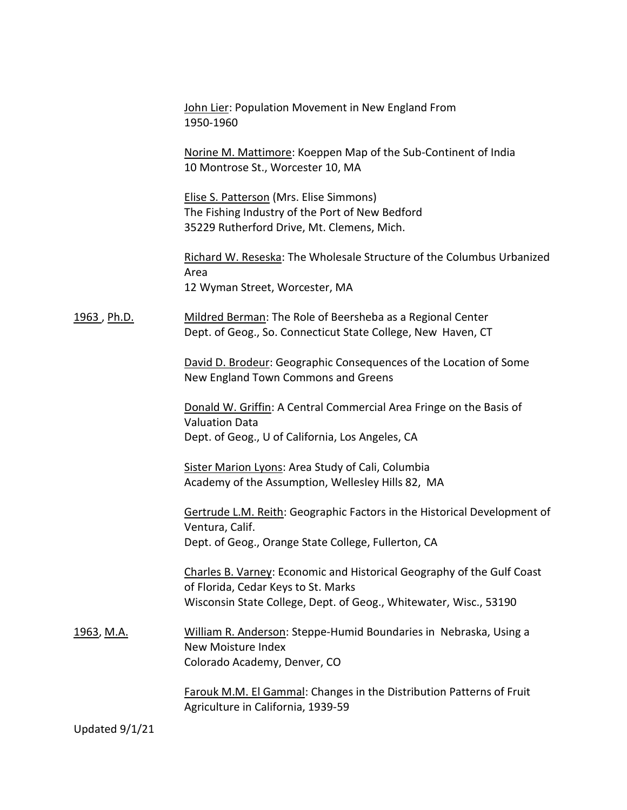|                   | John Lier: Population Movement in New England From<br>1950-1960                                                                                                                    |
|-------------------|------------------------------------------------------------------------------------------------------------------------------------------------------------------------------------|
|                   | Norine M. Mattimore: Koeppen Map of the Sub-Continent of India<br>10 Montrose St., Worcester 10, MA                                                                                |
|                   | Elise S. Patterson (Mrs. Elise Simmons)<br>The Fishing Industry of the Port of New Bedford<br>35229 Rutherford Drive, Mt. Clemens, Mich.                                           |
|                   | Richard W. Reseska: The Wholesale Structure of the Columbus Urbanized<br>Area<br>12 Wyman Street, Worcester, MA                                                                    |
| 1963, Ph.D.       | Mildred Berman: The Role of Beersheba as a Regional Center<br>Dept. of Geog., So. Connecticut State College, New Haven, CT                                                         |
|                   | David D. Brodeur: Geographic Consequences of the Location of Some<br>New England Town Commons and Greens                                                                           |
|                   | Donald W. Griffin: A Central Commercial Area Fringe on the Basis of<br><b>Valuation Data</b><br>Dept. of Geog., U of California, Los Angeles, CA                                   |
|                   | <b>Sister Marion Lyons: Area Study of Cali, Columbia</b><br>Academy of the Assumption, Wellesley Hills 82, MA                                                                      |
|                   | Gertrude L.M. Reith: Geographic Factors in the Historical Development of<br>Ventura, Calif.<br>Dept. of Geog., Orange State College, Fullerton, CA                                 |
|                   | Charles B. Varney: Economic and Historical Geography of the Gulf Coast<br>of Florida, Cedar Keys to St. Marks<br>Wisconsin State College, Dept. of Geog., Whitewater, Wisc., 53190 |
| <u>1963, M.A.</u> | William R. Anderson: Steppe-Humid Boundaries in Nebraska, Using a<br><b>New Moisture Index</b><br>Colorado Academy, Denver, CO                                                     |
|                   | Farouk M.M. El Gammal: Changes in the Distribution Patterns of Fruit<br>Agriculture in California, 1939-59                                                                         |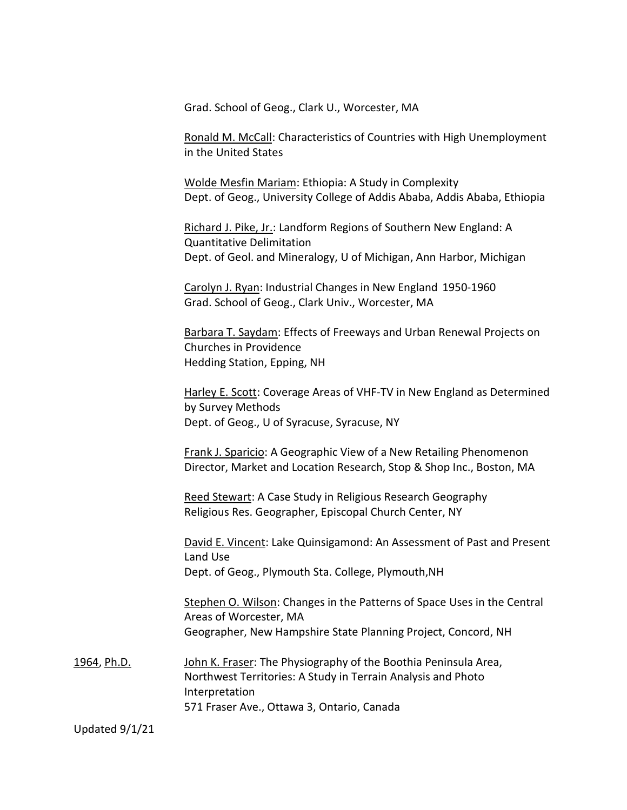Grad. School of Geog., Clark U., Worcester, MA

Ronald M. McCall: Characteristics of Countries with High Unemployment in the United States

Wolde Mesfin Mariam: Ethiopia: A Study in Complexity Dept. of Geog., University College of Addis Ababa, Addis Ababa, Ethiopia

Richard J. Pike, Jr.: Landform Regions of Southern New England: A Quantitative Delimitation Dept. of Geol. and Mineralogy, U of Michigan, Ann Harbor, Michigan

Carolyn J. Ryan: Industrial Changes in New England 1950-1960 Grad. School of Geog., Clark Univ., Worcester, MA

Barbara T. Saydam: Effects of Freeways and Urban Renewal Projects on Churches in Providence Hedding Station, Epping, NH

Harley E. Scott: Coverage Areas of VHF-TV in New England as Determined by Survey Methods Dept. of Geog., U of Syracuse, Syracuse, NY

Frank J. Sparicio: A Geographic View of a New Retailing Phenomenon Director, Market and Location Research, Stop & Shop Inc., Boston, MA

Reed Stewart: A Case Study in Religious Research Geography Religious Res. Geographer, Episcopal Church Center, NY

David E. Vincent: Lake Quinsigamond: An Assessment of Past and Present Land Use Dept. of Geog., Plymouth Sta. College, Plymouth,NH

Stephen O. Wilson: Changes in the Patterns of Space Uses in the Central Areas of Worcester, MA Geographer, New Hampshire State Planning Project, Concord, NH

1964, Ph.D. John K. Fraser: The Physiography of the Boothia Peninsula Area, Northwest Territories: A Study in Terrain Analysis and Photo Interpretation 571 Fraser Ave., Ottawa 3, Ontario, Canada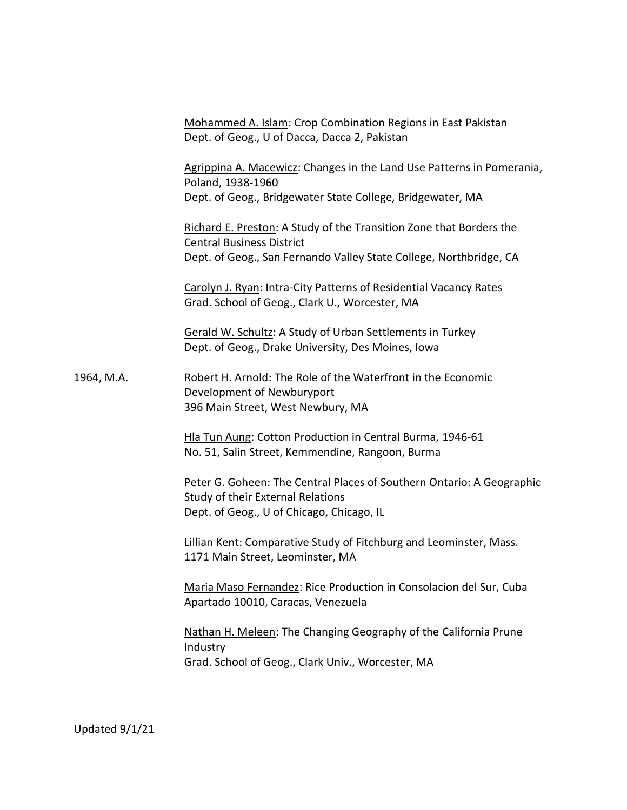Mohammed A. Islam: Crop Combination Regions in East Pakistan Dept. of Geog., U of Dacca, Dacca 2, Pakistan

Agrippina A. Macewicz: Changes in the Land Use Patterns in Pomerania, Poland, 1938-1960 Dept. of Geog., Bridgewater State College, Bridgewater, MA

Richard E. Preston: A Study of the Transition Zone that Borders the Central Business District Dept. of Geog., San Fernando Valley State College, Northbridge, CA

Carolyn J. Ryan: Intra-City Patterns of Residential Vacancy Rates Grad. School of Geog., Clark U., Worcester, MA

Gerald W. Schultz: A Study of Urban Settlements in Turkey Dept. of Geog., Drake University, Des Moines, Iowa

1964, M.A. Robert H. Arnold: The Role of the Waterfront in the Economic Development of Newburyport 396 Main Street, West Newbury, MA

> Hla Tun Aung: Cotton Production in Central Burma, 1946-61 No. 51, Salin Street, Kemmendine, Rangoon, Burma

Peter G. Goheen: The Central Places of Southern Ontario: A Geographic Study of their External Relations Dept. of Geog., U of Chicago, Chicago, IL

Lillian Kent: Comparative Study of Fitchburg and Leominster, Mass. 1171 Main Street, Leominster, MA

Maria Maso Fernandez: Rice Production in Consolacion del Sur, Cuba Apartado 10010, Caracas, Venezuela

Nathan H. Meleen: The Changing Geography of the California Prune Industry Grad. School of Geog., Clark Univ., Worcester, MA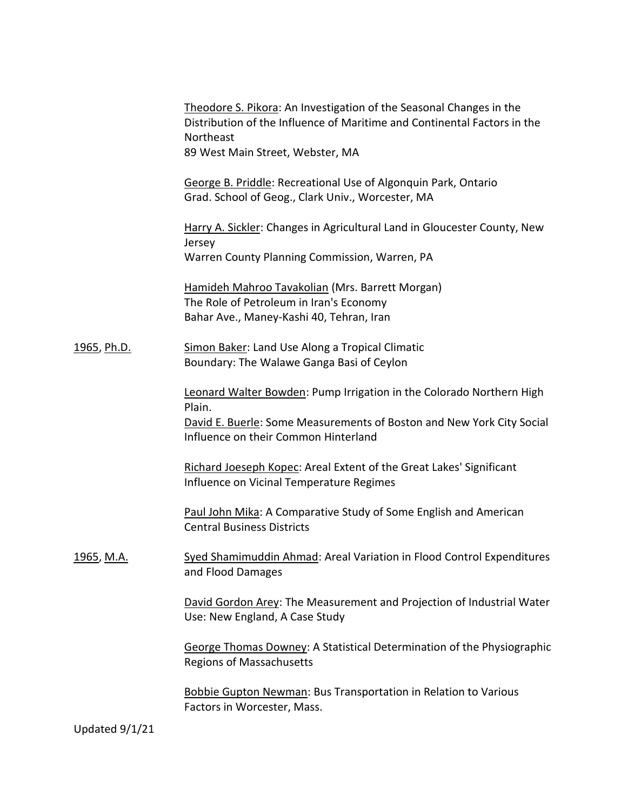|                    | Theodore S. Pikora: An Investigation of the Seasonal Changes in the<br>Distribution of the Influence of Maritime and Continental Factors in the<br>Northeast<br>89 West Main Street, Webster, MA |
|--------------------|--------------------------------------------------------------------------------------------------------------------------------------------------------------------------------------------------|
|                    | George B. Priddle: Recreational Use of Algonquin Park, Ontario<br>Grad. School of Geog., Clark Univ., Worcester, MA                                                                              |
|                    | Harry A. Sickler: Changes in Agricultural Land in Gloucester County, New<br>Jersey<br>Warren County Planning Commission, Warren, PA                                                              |
|                    | Hamideh Mahroo Tavakolian (Mrs. Barrett Morgan)<br>The Role of Petroleum in Iran's Economy<br>Bahar Ave., Maney-Kashi 40, Tehran, Iran                                                           |
| <u>1965, Ph.D.</u> | Simon Baker: Land Use Along a Tropical Climatic<br>Boundary: The Walawe Ganga Basi of Ceylon                                                                                                     |
|                    | Leonard Walter Bowden: Pump Irrigation in the Colorado Northern High<br>Plain.<br>David E. Buerle: Some Measurements of Boston and New York City Social<br>Influence on their Common Hinterland  |
|                    | Richard Joeseph Kopec: Areal Extent of the Great Lakes' Significant<br>Influence on Vicinal Temperature Regimes                                                                                  |
|                    | Paul John Mika: A Comparative Study of Some English and American<br><b>Central Business Districts</b>                                                                                            |
| 1965, M.A.         | Syed Shamimuddin Ahmad: Areal Variation in Flood Control Expenditures<br>and Flood Damages                                                                                                       |
|                    | David Gordon Arey: The Measurement and Projection of Industrial Water<br>Use: New England, A Case Study                                                                                          |
|                    | George Thomas Downey: A Statistical Determination of the Physiographic<br><b>Regions of Massachusetts</b>                                                                                        |
|                    | <b>Bobbie Gupton Newman: Bus Transportation in Relation to Various</b><br>Factors in Worcester, Mass.                                                                                            |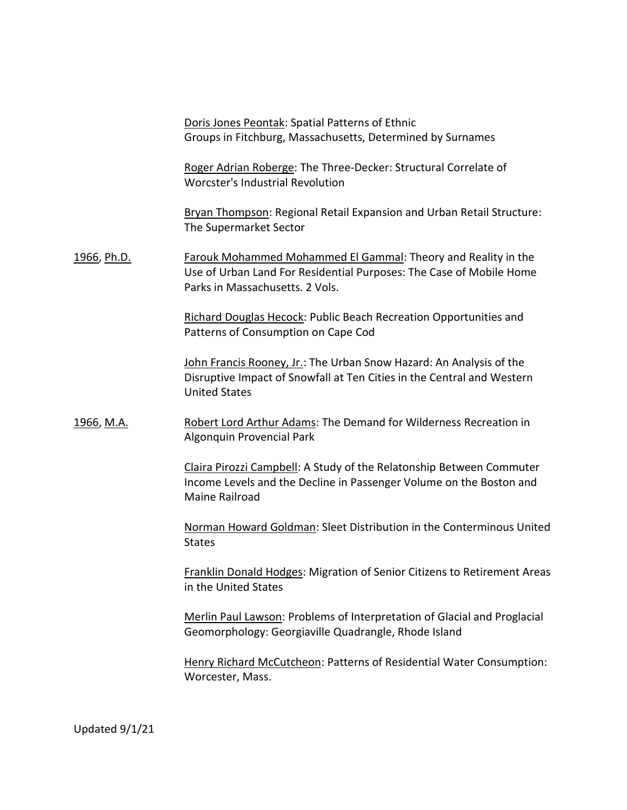Doris Jones Peontak: Spatial Patterns of Ethnic Groups in Fitchburg, Massachusetts, Determined by Surnames

Roger Adrian Roberge: The Three-Decker: Structural Correlate of Worcster's Industrial Revolution

Bryan Thompson: Regional Retail Expansion and Urban Retail Structure: The Supermarket Sector

1966, Ph.D. Farouk Mohammed Mohammed El Gammal: Theory and Reality in the Use of Urban Land For Residential Purposes: The Case of Mobile Home Parks in Massachusetts. 2 Vols.

> Richard Douglas Hecock: Public Beach Recreation Opportunities and Patterns of Consumption on Cape Cod

John Francis Rooney, Jr.: The Urban Snow Hazard: An Analysis of the Disruptive Impact of Snowfall at Ten Cities in the Central and Western United States

1966, M.A. Robert Lord Arthur Adams: The Demand for Wilderness Recreation in Algonquin Provencial Park

> Claira Pirozzi Campbell: A Study of the Relatonship Between Commuter Income Levels and the Decline in Passenger Volume on the Boston and Maine Railroad

Norman Howard Goldman: Sleet Distribution in the Conterminous United **States** 

Franklin Donald Hodges: Migration of Senior Citizens to Retirement Areas in the United States

Merlin Paul Lawson: Problems of Interpretation of Glacial and Proglacial Geomorphology: Georgiaville Quadrangle, Rhode Island

Henry Richard McCutcheon: Patterns of Residential Water Consumption: Worcester, Mass.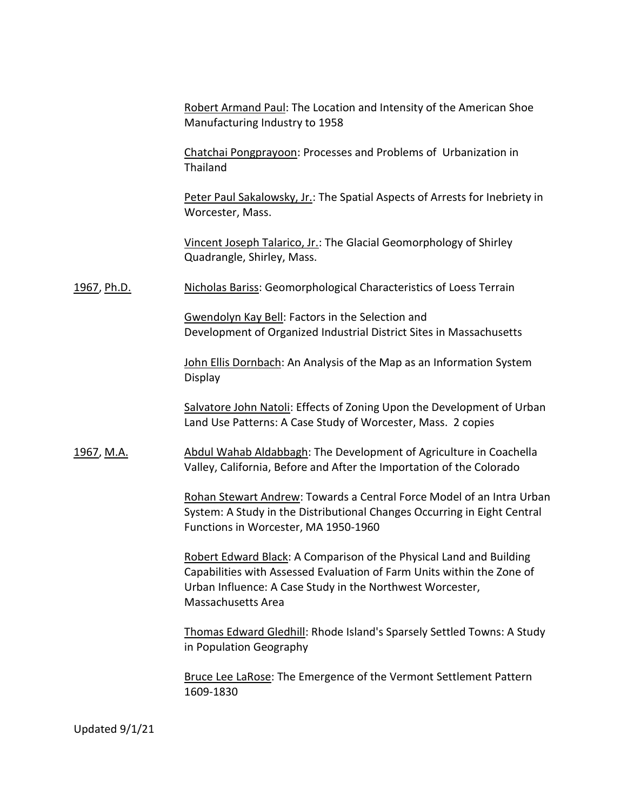Robert Armand Paul: The Location and Intensity of the American Shoe Manufacturing Industry to 1958

Chatchai Pongprayoon: Processes and Problems of Urbanization in Thailand

Peter Paul Sakalowsky, Jr.: The Spatial Aspects of Arrests for Inebriety in Worcester, Mass.

Vincent Joseph Talarico, Jr.: The Glacial Geomorphology of Shirley Quadrangle, Shirley, Mass.

1967, Ph.D. Nicholas Bariss: Geomorphological Characteristics of Loess Terrain

Gwendolyn Kay Bell: Factors in the Selection and Development of Organized Industrial District Sites in Massachusetts

John Ellis Dornbach: An Analysis of the Map as an Information System Display

Salvatore John Natoli: Effects of Zoning Upon the Development of Urban Land Use Patterns: A Case Study of Worcester, Mass. 2 copies

1967, M.A. **Abdul Wahab Aldabbagh:** The Development of Agriculture in Coachella Valley, California, Before and After the Importation of the Colorado

> Rohan Stewart Andrew: Towards a Central Force Model of an Intra Urban System: A Study in the Distributional Changes Occurring in Eight Central Functions in Worcester, MA 1950-1960

Robert Edward Black: A Comparison of the Physical Land and Building Capabilities with Assessed Evaluation of Farm Units within the Zone of Urban Influence: A Case Study in the Northwest Worcester, Massachusetts Area

Thomas Edward Gledhill: Rhode Island's Sparsely Settled Towns: A Study in Population Geography

Bruce Lee LaRose: The Emergence of the Vermont Settlement Pattern 1609-1830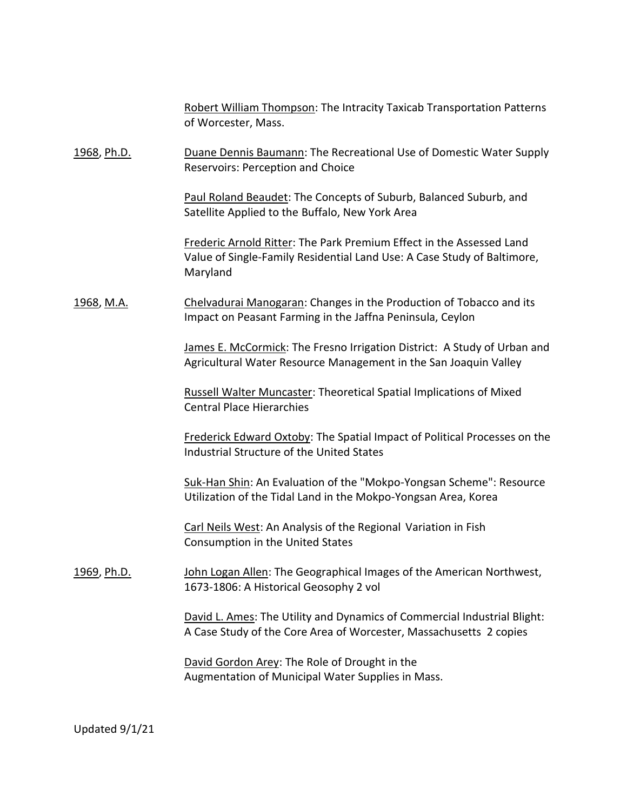|                   | Robert William Thompson: The Intracity Taxicab Transportation Patterns<br>of Worcester, Mass.                                                               |
|-------------------|-------------------------------------------------------------------------------------------------------------------------------------------------------------|
| 1968, Ph.D.       | Duane Dennis Baumann: The Recreational Use of Domestic Water Supply<br>Reservoirs: Perception and Choice                                                    |
|                   | Paul Roland Beaudet: The Concepts of Suburb, Balanced Suburb, and<br>Satellite Applied to the Buffalo, New York Area                                        |
|                   | Frederic Arnold Ritter: The Park Premium Effect in the Assessed Land<br>Value of Single-Family Residential Land Use: A Case Study of Baltimore,<br>Maryland |
| <u>1968, M.A.</u> | Chelvadurai Manogaran: Changes in the Production of Tobacco and its<br>Impact on Peasant Farming in the Jaffna Peninsula, Ceylon                            |
|                   | James E. McCormick: The Fresno Irrigation District: A Study of Urban and<br>Agricultural Water Resource Management in the San Joaquin Valley                |
|                   | <b>Russell Walter Muncaster: Theoretical Spatial Implications of Mixed</b><br><b>Central Place Hierarchies</b>                                              |
|                   | Frederick Edward Oxtoby: The Spatial Impact of Political Processes on the<br>Industrial Structure of the United States                                      |
|                   | Suk-Han Shin: An Evaluation of the "Mokpo-Yongsan Scheme": Resource<br>Utilization of the Tidal Land in the Mokpo-Yongsan Area, Korea                       |
|                   | Carl Neils West: An Analysis of the Regional Variation in Fish<br>Consumption in the United States                                                          |
| 1969, Ph.D.       | John Logan Allen: The Geographical Images of the American Northwest,<br>1673-1806: A Historical Geosophy 2 vol                                              |
|                   | David L. Ames: The Utility and Dynamics of Commercial Industrial Blight:<br>A Case Study of the Core Area of Worcester, Massachusetts 2 copies              |
|                   | David Gordon Arey: The Role of Drought in the<br>Augmentation of Municipal Water Supplies in Mass.                                                          |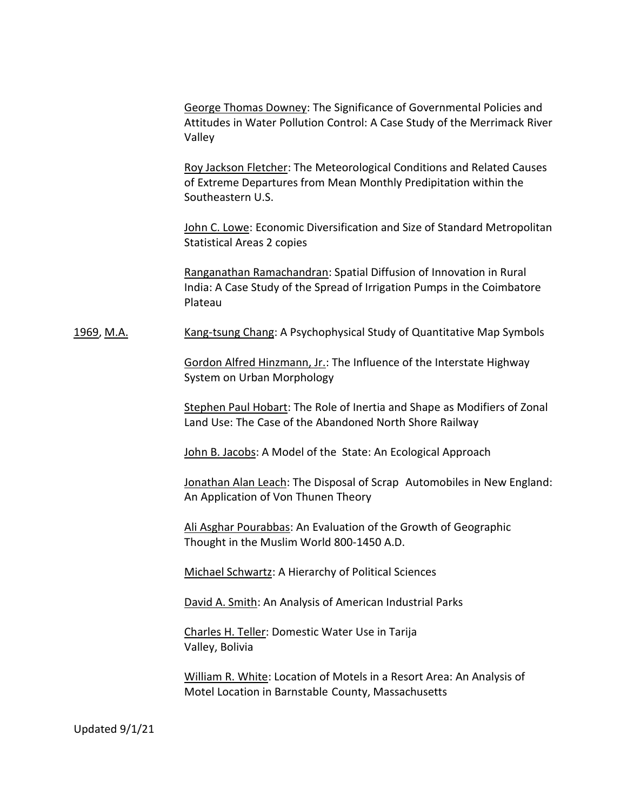George Thomas Downey: The Significance of Governmental Policies and Attitudes in Water Pollution Control: A Case Study of the Merrimack River Valley

Roy Jackson Fletcher: The Meteorological Conditions and Related Causes of Extreme Departures from Mean Monthly Predipitation within the Southeastern U.S.

John C. Lowe: Economic Diversification and Size of Standard Metropolitan Statistical Areas 2 copies

Ranganathan Ramachandran: Spatial Diffusion of Innovation in Rural India: A Case Study of the Spread of Irrigation Pumps in the Coimbatore Plateau

1969, M.A. Kang-tsung Chang: A Psychophysical Study of Quantitative Map Symbols

Gordon Alfred Hinzmann, Jr.: The Influence of the Interstate Highway System on Urban Morphology

Stephen Paul Hobart: The Role of Inertia and Shape as Modifiers of Zonal Land Use: The Case of the Abandoned North Shore Railway

John B. Jacobs: A Model of the State: An Ecological Approach

Jonathan Alan Leach: The Disposal of Scrap Automobiles in New England: An Application of Von Thunen Theory

Ali Asghar Pourabbas: An Evaluation of the Growth of Geographic Thought in the Muslim World 800-1450 A.D.

Michael Schwartz: A Hierarchy of Political Sciences

David A. Smith: An Analysis of American Industrial Parks

Charles H. Teller: Domestic Water Use in Tarija Valley, Bolivia

William R. White: Location of Motels in a Resort Area: An Analysis of Motel Location in Barnstable County, Massachusetts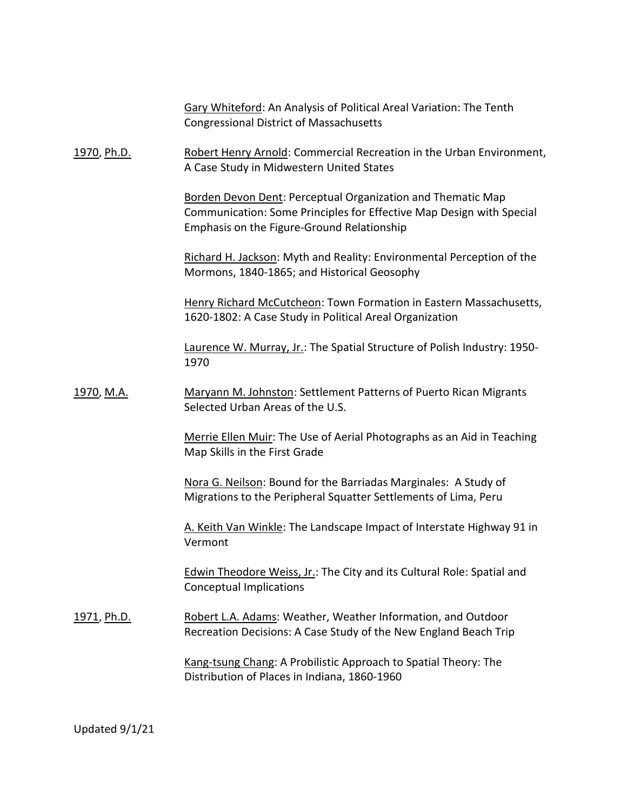|                    | Gary Whiteford: An Analysis of Political Areal Variation: The Tenth<br><b>Congressional District of Massachusetts</b>                                                                    |
|--------------------|------------------------------------------------------------------------------------------------------------------------------------------------------------------------------------------|
| 1970, Ph.D.        | Robert Henry Arnold: Commercial Recreation in the Urban Environment,<br>A Case Study in Midwestern United States                                                                         |
|                    | <b>Borden Devon Dent: Perceptual Organization and Thematic Map</b><br>Communication: Some Principles for Effective Map Design with Special<br>Emphasis on the Figure-Ground Relationship |
|                    | Richard H. Jackson: Myth and Reality: Environmental Perception of the<br>Mormons, 1840-1865; and Historical Geosophy                                                                     |
|                    | Henry Richard McCutcheon: Town Formation in Eastern Massachusetts,<br>1620-1802: A Case Study in Political Areal Organization                                                            |
|                    | Laurence W. Murray, Jr.: The Spatial Structure of Polish Industry: 1950-<br>1970                                                                                                         |
| 1970, M.A.         | Maryann M. Johnston: Settlement Patterns of Puerto Rican Migrants<br>Selected Urban Areas of the U.S.                                                                                    |
|                    | Merrie Ellen Muir: The Use of Aerial Photographs as an Aid in Teaching<br>Map Skills in the First Grade                                                                                  |
|                    | Nora G. Neilson: Bound for the Barriadas Marginales: A Study of<br>Migrations to the Peripheral Squatter Settlements of Lima, Peru                                                       |
|                    | A. Keith Van Winkle: The Landscape Impact of Interstate Highway 91 in<br>Vermont                                                                                                         |
|                    | <b>Edwin Theodore Weiss, Jr.: The City and its Cultural Role: Spatial and</b><br><b>Conceptual Implications</b>                                                                          |
| <u>1971, Ph.D.</u> | Robert L.A. Adams: Weather, Weather Information, and Outdoor<br>Recreation Decisions: A Case Study of the New England Beach Trip                                                         |
|                    | Kang-tsung Chang: A Probilistic Approach to Spatial Theory: The<br>Distribution of Places in Indiana, 1860-1960                                                                          |
|                    |                                                                                                                                                                                          |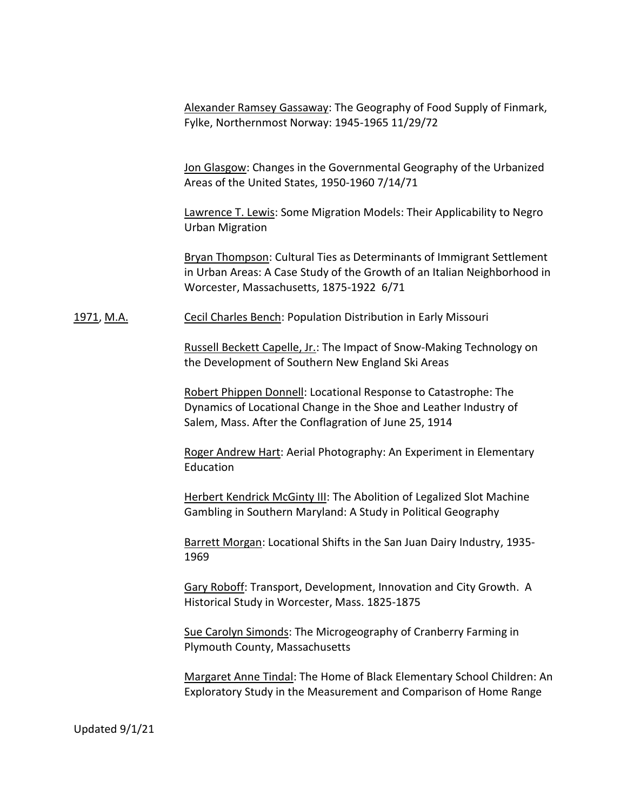Alexander Ramsey Gassaway: The Geography of Food Supply of Finmark, Fylke, Northernmost Norway: 1945-1965 11/29/72

Jon Glasgow: Changes in the Governmental Geography of the Urbanized Areas of the United States, 1950-1960 7/14/71

Lawrence T. Lewis: Some Migration Models: Their Applicability to Negro Urban Migration

Bryan Thompson: Cultural Ties as Determinants of Immigrant Settlement in Urban Areas: A Case Study of the Growth of an Italian Neighborhood in Worcester, Massachusetts, 1875-1922 6/71

1971, M.A. Cecil Charles Bench: Population Distribution in Early Missouri

Russell Beckett Capelle, Jr.: The Impact of Snow-Making Technology on the Development of Southern New England Ski Areas

Robert Phippen Donnell: Locational Response to Catastrophe: The Dynamics of Locational Change in the Shoe and Leather Industry of Salem, Mass. After the Conflagration of June 25, 1914

Roger Andrew Hart: Aerial Photography: An Experiment in Elementary Education

Herbert Kendrick McGinty III: The Abolition of Legalized Slot Machine Gambling in Southern Maryland: A Study in Political Geography

Barrett Morgan: Locational Shifts in the San Juan Dairy Industry, 1935- 1969

Gary Roboff: Transport, Development, Innovation and City Growth. A Historical Study in Worcester, Mass. 1825-1875

Sue Carolyn Simonds: The Microgeography of Cranberry Farming in Plymouth County, Massachusetts

Margaret Anne Tindal: The Home of Black Elementary School Children: An Exploratory Study in the Measurement and Comparison of Home Range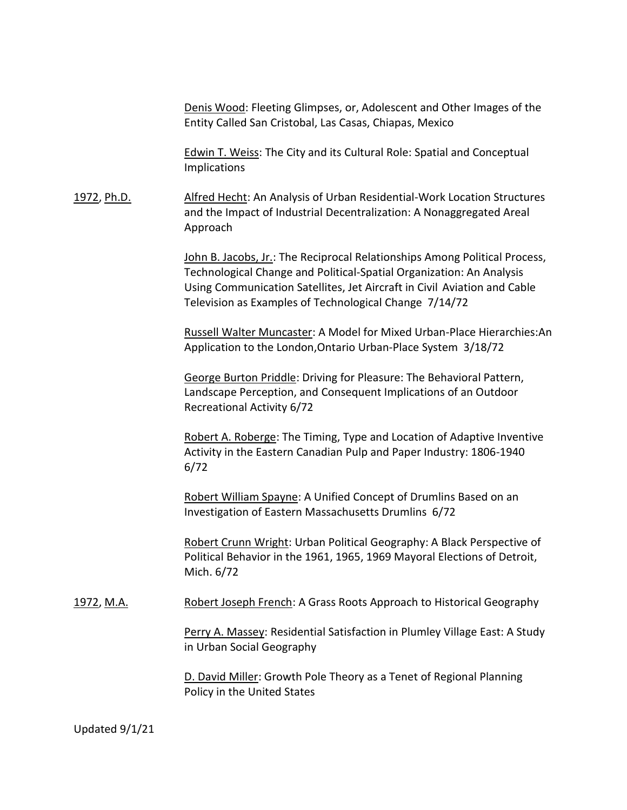Denis Wood: Fleeting Glimpses, or, Adolescent and Other Images of the Entity Called San Cristobal, Las Casas, Chiapas, Mexico

Edwin T. Weiss: The City and its Cultural Role: Spatial and Conceptual Implications

1972, Ph.D. Alfred Hecht: An Analysis of Urban Residential-Work Location Structures and the Impact of Industrial Decentralization: A Nonaggregated Areal Approach

> John B. Jacobs, Jr.: The Reciprocal Relationships Among Political Process, Technological Change and Political-Spatial Organization: An Analysis Using Communication Satellites, Jet Aircraft in Civil Aviation and Cable Television as Examples of Technological Change 7/14/72

Russell Walter Muncaster: A Model for Mixed Urban-Place Hierarchies:An Application to the London,Ontario Urban-Place System 3/18/72

George Burton Priddle: Driving for Pleasure: The Behavioral Pattern, Landscape Perception, and Consequent Implications of an Outdoor Recreational Activity 6/72

Robert A. Roberge: The Timing, Type and Location of Adaptive Inventive Activity in the Eastern Canadian Pulp and Paper Industry: 1806-1940 6/72

Robert William Spayne: A Unified Concept of Drumlins Based on an Investigation of Eastern Massachusetts Drumlins 6/72

Robert Crunn Wright: Urban Political Geography: A Black Perspective of Political Behavior in the 1961, 1965, 1969 Mayoral Elections of Detroit, Mich. 6/72

1972, M.A. Robert Joseph French: A Grass Roots Approach to Historical Geography

Perry A. Massey: Residential Satisfaction in Plumley Village East: A Study in Urban Social Geography

D. David Miller: Growth Pole Theory as a Tenet of Regional Planning Policy in the United States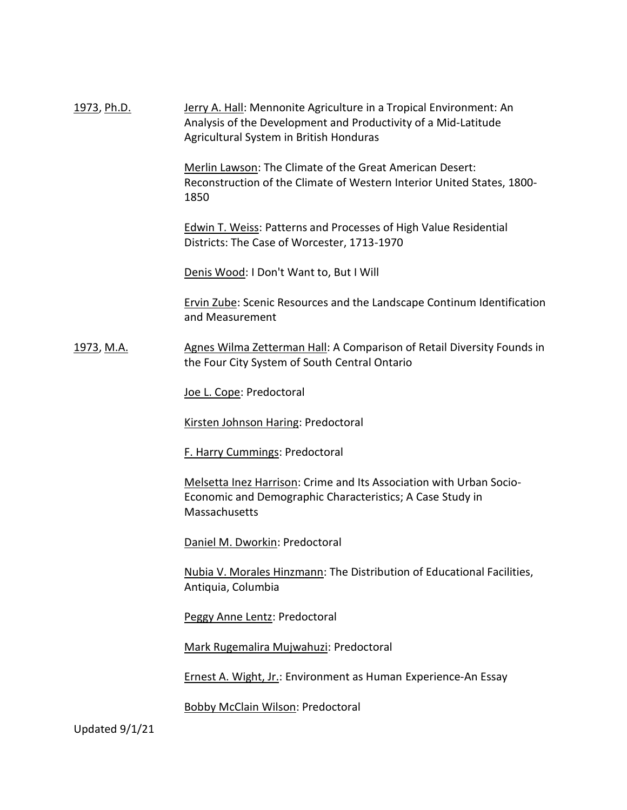| 1973, Ph.D.       | Jerry A. Hall: Mennonite Agriculture in a Tropical Environment: An<br>Analysis of the Development and Productivity of a Mid-Latitude<br>Agricultural System in British Honduras |
|-------------------|---------------------------------------------------------------------------------------------------------------------------------------------------------------------------------|
|                   | Merlin Lawson: The Climate of the Great American Desert:<br>Reconstruction of the Climate of Western Interior United States, 1800-<br>1850                                      |
|                   | <b>Edwin T. Weiss: Patterns and Processes of High Value Residential</b><br>Districts: The Case of Worcester, 1713-1970                                                          |
|                   | Denis Wood: I Don't Want to, But I Will                                                                                                                                         |
|                   | <b>Ervin Zube: Scenic Resources and the Landscape Continum Identification</b><br>and Measurement                                                                                |
| <u>1973, M.A.</u> | Agnes Wilma Zetterman Hall: A Comparison of Retail Diversity Founds in<br>the Four City System of South Central Ontario                                                         |
|                   | Joe L. Cope: Predoctoral                                                                                                                                                        |
|                   | Kirsten Johnson Haring: Predoctoral                                                                                                                                             |
|                   | F. Harry Cummings: Predoctoral                                                                                                                                                  |
|                   | Melsetta Inez Harrison: Crime and Its Association with Urban Socio-<br>Economic and Demographic Characteristics; A Case Study in<br>Massachusetts                               |
|                   | Daniel M. Dworkin: Predoctoral                                                                                                                                                  |
|                   | <b>Nubia V. Morales Hinzmann: The Distribution of Educational Facilities,</b><br>Antiquia, Columbia                                                                             |
|                   | Peggy Anne Lentz: Predoctoral                                                                                                                                                   |
|                   | Mark Rugemalira Mujwahuzi: Predoctoral                                                                                                                                          |
|                   | Ernest A. Wight, Jr.: Environment as Human Experience-An Essay                                                                                                                  |
|                   | Bobby McClain Wilson: Predoctoral                                                                                                                                               |
| Updated 9/1/21    |                                                                                                                                                                                 |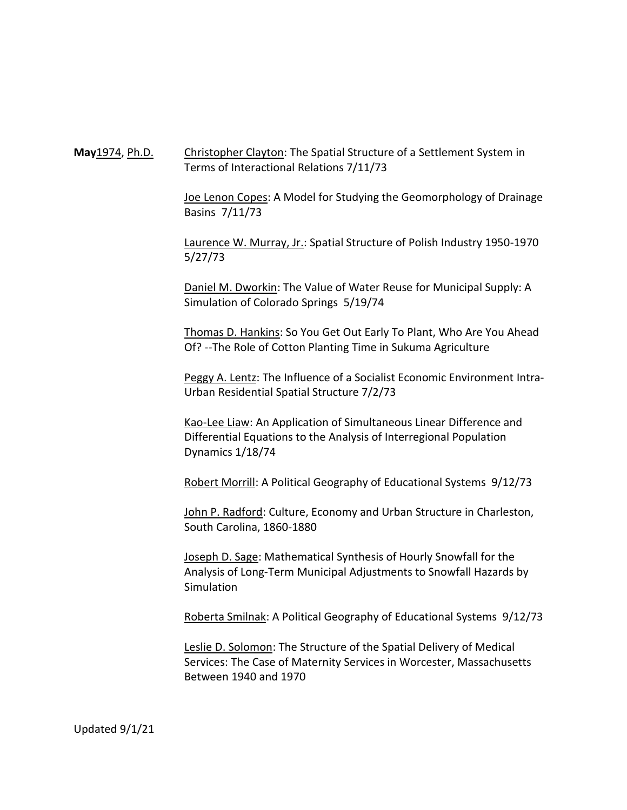**May**1974, Ph.D. Christopher Clayton: The Spatial Structure of a Settlement System in Terms of Interactional Relations 7/11/73

> Joe Lenon Copes: A Model for Studying the Geomorphology of Drainage Basins 7/11/73

Laurence W. Murray, Jr.: Spatial Structure of Polish Industry 1950-1970 5/27/73

Daniel M. Dworkin: The Value of Water Reuse for Municipal Supply: A Simulation of Colorado Springs 5/19/74

Thomas D. Hankins: So You Get Out Early To Plant, Who Are You Ahead Of? --The Role of Cotton Planting Time in Sukuma Agriculture

Peggy A. Lentz: The Influence of a Socialist Economic Environment Intra-Urban Residential Spatial Structure 7/2/73

Kao-Lee Liaw: An Application of Simultaneous Linear Difference and Differential Equations to the Analysis of Interregional Population Dynamics 1/18/74

Robert Morrill: A Political Geography of Educational Systems 9/12/73

John P. Radford: Culture, Economy and Urban Structure in Charleston, South Carolina, 1860-1880

Joseph D. Sage: Mathematical Synthesis of Hourly Snowfall for the Analysis of Long-Term Municipal Adjustments to Snowfall Hazards by Simulation

Roberta Smilnak: A Political Geography of Educational Systems 9/12/73

Leslie D. Solomon: The Structure of the Spatial Delivery of Medical Services: The Case of Maternity Services in Worcester, Massachusetts Between 1940 and 1970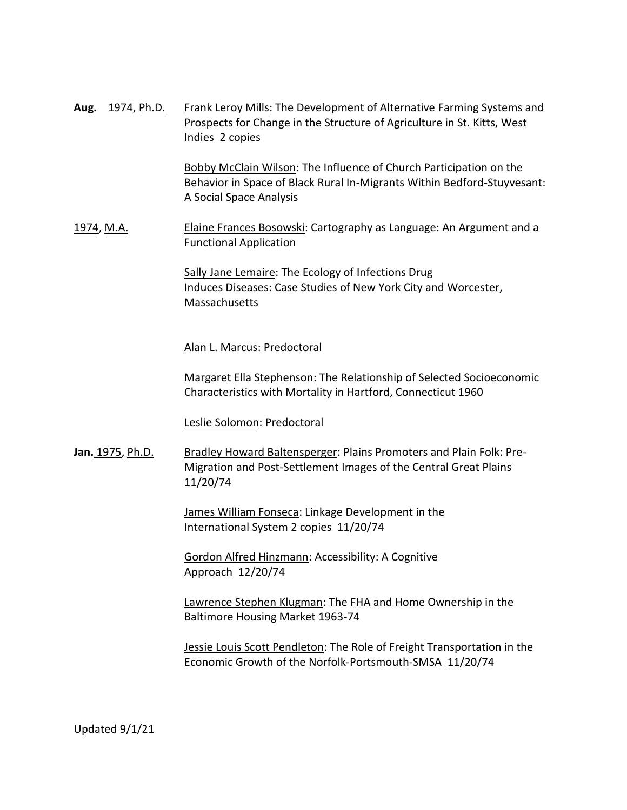| Aug. 1974, Ph.D.        | Frank Leroy Mills: The Development of Alternative Farming Systems and<br>Prospects for Change in the Structure of Agriculture in St. Kitts, West<br>Indies 2 copies      |
|-------------------------|--------------------------------------------------------------------------------------------------------------------------------------------------------------------------|
|                         | Bobby McClain Wilson: The Influence of Church Participation on the<br>Behavior in Space of Black Rural In-Migrants Within Bedford-Stuyvesant:<br>A Social Space Analysis |
| 1974, M.A.              | Elaine Frances Bosowski: Cartography as Language: An Argument and a<br><b>Functional Application</b>                                                                     |
|                         | Sally Jane Lemaire: The Ecology of Infections Drug<br>Induces Diseases: Case Studies of New York City and Worcester,<br>Massachusetts                                    |
|                         | Alan L. Marcus: Predoctoral                                                                                                                                              |
|                         | Margaret Ella Stephenson: The Relationship of Selected Socioeconomic<br>Characteristics with Mortality in Hartford, Connecticut 1960                                     |
|                         | Leslie Solomon: Predoctoral                                                                                                                                              |
| <b>Jan.</b> 1975, Ph.D. | Bradley Howard Baltensperger: Plains Promoters and Plain Folk: Pre-<br>Migration and Post-Settlement Images of the Central Great Plains<br>11/20/74                      |
|                         | James William Fonseca: Linkage Development in the<br>International System 2 copies 11/20/74                                                                              |
|                         | Gordon Alfred Hinzmann: Accessibility: A Cognitive<br>Approach 12/20/74                                                                                                  |
|                         | Lawrence Stephen Klugman: The FHA and Home Ownership in the<br>Baltimore Housing Market 1963-74                                                                          |
|                         | Jessie Louis Scott Pendleton: The Role of Freight Transportation in the<br>Economic Growth of the Norfolk-Portsmouth-SMSA 11/20/74                                       |
|                         |                                                                                                                                                                          |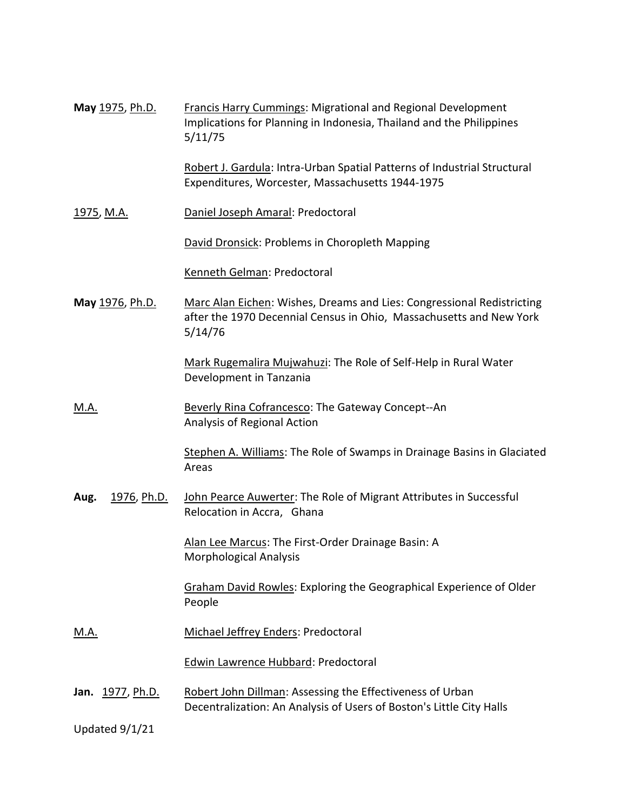| May 1975, Ph.D.         | Francis Harry Cummings: Migrational and Regional Development<br>Implications for Planning in Indonesia, Thailand and the Philippines<br>5/11/75          |
|-------------------------|----------------------------------------------------------------------------------------------------------------------------------------------------------|
|                         | Robert J. Gardula: Intra-Urban Spatial Patterns of Industrial Structural<br>Expenditures, Worcester, Massachusetts 1944-1975                             |
| <u>1975, M.A.</u>       | Daniel Joseph Amaral: Predoctoral                                                                                                                        |
|                         | David Dronsick: Problems in Choropleth Mapping                                                                                                           |
|                         | Kenneth Gelman: Predoctoral                                                                                                                              |
| May 1976, Ph.D.         | Marc Alan Eichen: Wishes, Dreams and Lies: Congressional Redistricting<br>after the 1970 Decennial Census in Ohio, Massachusetts and New York<br>5/14/76 |
|                         | Mark Rugemalira Mujwahuzi: The Role of Self-Help in Rural Water<br>Development in Tanzania                                                               |
| <u>M.A.</u>             | Beverly Rina Cofrancesco: The Gateway Concept--An<br>Analysis of Regional Action                                                                         |
|                         | Stephen A. Williams: The Role of Swamps in Drainage Basins in Glaciated<br>Areas                                                                         |
| 1976, Ph.D.<br>Aug.     | John Pearce Auwerter: The Role of Migrant Attributes in Successful<br>Relocation in Accra, Ghana                                                         |
|                         | Alan Lee Marcus: The First-Order Drainage Basin: A<br>Morphological Analysis                                                                             |
|                         | <b>Graham David Rowles: Exploring the Geographical Experience of Older</b><br>People                                                                     |
| <u>M.A.</u>             | Michael Jeffrey Enders: Predoctoral                                                                                                                      |
|                         | <b>Edwin Lawrence Hubbard: Predoctoral</b>                                                                                                               |
| <b>Jan.</b> 1977, Ph.D. | Robert John Dillman: Assessing the Effectiveness of Urban<br>Decentralization: An Analysis of Users of Boston's Little City Halls                        |
| Updated 9/1/21          |                                                                                                                                                          |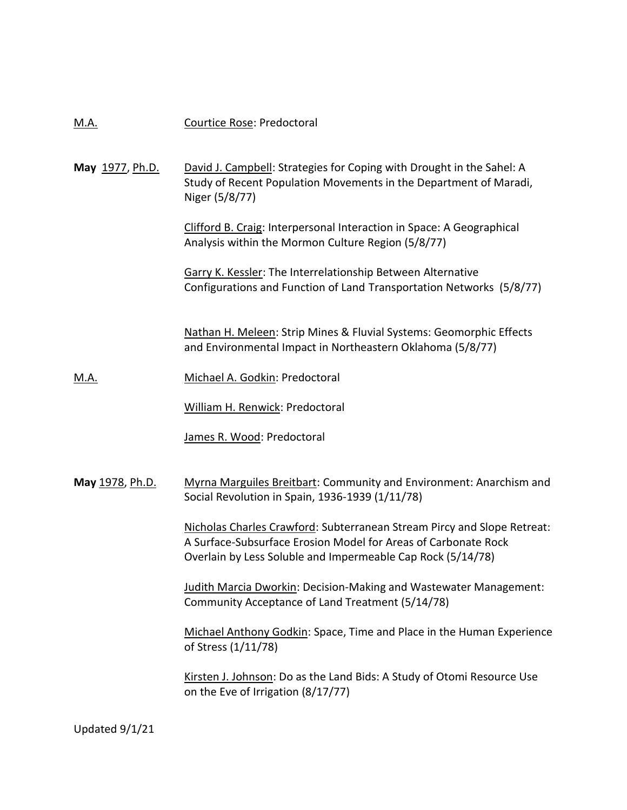### M.A. Courtice Rose: Predoctoral

May 1977, Ph.D. David J. Campbell: Strategies for Coping with Drought in the Sahel: A Study of Recent Population Movements in the Department of Maradi, Niger (5/8/77)

> Clifford B. Craig: Interpersonal Interaction in Space: A Geographical Analysis within the Mormon Culture Region (5/8/77)

Garry K. Kessler: The Interrelationship Between Alternative Configurations and Function of Land Transportation Networks (5/8/77)

Nathan H. Meleen: Strip Mines & Fluvial Systems: Geomorphic Effects and Environmental Impact in Northeastern Oklahoma (5/8/77)

M.A. Michael A. Godkin: Predoctoral

William H. Renwick: Predoctoral

James R. Wood: Predoctoral

**May** 1978, Ph.D. Myrna Marguiles Breitbart: Community and Environment: Anarchism and Social Revolution in Spain, 1936-1939 (1/11/78)

> Nicholas Charles Crawford: Subterranean Stream Pircy and Slope Retreat: A Surface-Subsurface Erosion Model for Areas of Carbonate Rock Overlain by Less Soluble and Impermeable Cap Rock (5/14/78)

Judith Marcia Dworkin: Decision-Making and Wastewater Management: Community Acceptance of Land Treatment (5/14/78)

Michael Anthony Godkin: Space, Time and Place in the Human Experience of Stress (1/11/78)

Kirsten J. Johnson: Do as the Land Bids: A Study of Otomi Resource Use on the Eve of Irrigation (8/17/77)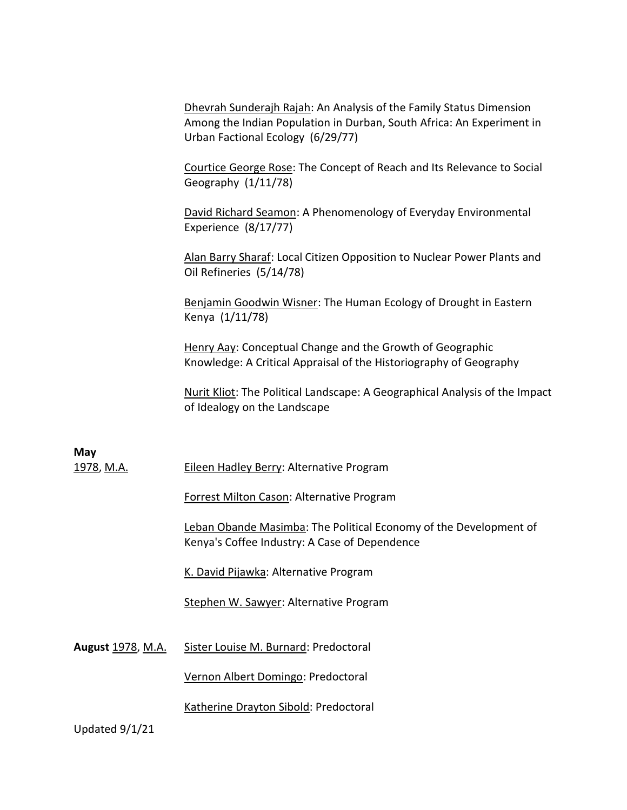Dhevrah Sunderajh Rajah: An Analysis of the Family Status Dimension Among the Indian Population in Durban, South Africa: An Experiment in Urban Factional Ecology (6/29/77)

Courtice George Rose: The Concept of Reach and Its Relevance to Social Geography (1/11/78)

David Richard Seamon: A Phenomenology of Everyday Environmental Experience (8/17/77)

Alan Barry Sharaf: Local Citizen Opposition to Nuclear Power Plants and Oil Refineries (5/14/78)

Benjamin Goodwin Wisner: The Human Ecology of Drought in Eastern Kenya (1/11/78)

Henry Aay: Conceptual Change and the Growth of Geographic Knowledge: A Critical Appraisal of the Historiography of Geography

Nurit Kliot: The Political Landscape: A Geographical Analysis of the Impact of Idealogy on the Landscape

**May** 1978, M.A. **Eileen Hadley Berry: Alternative Program** 

Forrest Milton Cason: Alternative Program

Leban Obande Masimba: The Political Economy of the Development of Kenya's Coffee Industry: A Case of Dependence

K. David Pijawka: Alternative Program

Stephen W. Sawyer: Alternative Program

August 1978, M.A. Sister Louise M. Burnard: Predoctoral

Vernon Albert Domingo: Predoctoral

Katherine Drayton Sibold: Predoctoral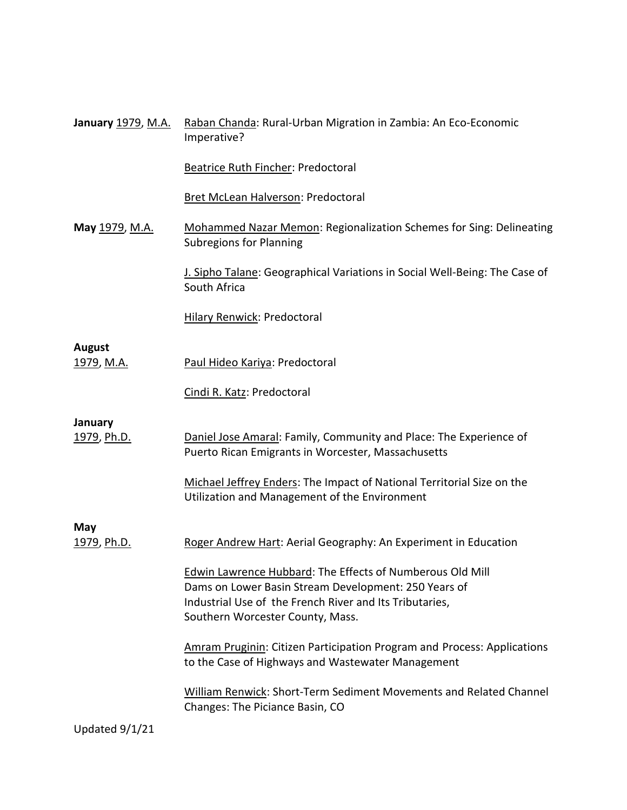| January 1979, M.A.                 | Raban Chanda: Rural-Urban Migration in Zambia: An Eco-Economic<br>Imperative?                                                                                                                                    |
|------------------------------------|------------------------------------------------------------------------------------------------------------------------------------------------------------------------------------------------------------------|
|                                    | <b>Beatrice Ruth Fincher: Predoctoral</b>                                                                                                                                                                        |
|                                    | Bret McLean Halverson: Predoctoral                                                                                                                                                                               |
| May 1979, M.A.                     | Mohammed Nazar Memon: Regionalization Schemes for Sing: Delineating<br><b>Subregions for Planning</b>                                                                                                            |
|                                    | J. Sipho Talane: Geographical Variations in Social Well-Being: The Case of<br>South Africa                                                                                                                       |
|                                    | <b>Hilary Renwick: Predoctoral</b>                                                                                                                                                                               |
|                                    |                                                                                                                                                                                                                  |
| <b>August</b><br><u>1979, M.A.</u> | Paul Hideo Kariya: Predoctoral                                                                                                                                                                                   |
|                                    | Cindi R. Katz: Predoctoral                                                                                                                                                                                       |
| <b>January</b>                     |                                                                                                                                                                                                                  |
| 1979, Ph.D.                        | Daniel Jose Amaral: Family, Community and Place: The Experience of<br>Puerto Rican Emigrants in Worcester, Massachusetts                                                                                         |
|                                    | Michael Jeffrey Enders: The Impact of National Territorial Size on the<br>Utilization and Management of the Environment                                                                                          |
|                                    |                                                                                                                                                                                                                  |
| May<br><u>1979, Ph.D.</u>          | Roger Andrew Hart: Aerial Geography: An Experiment in Education                                                                                                                                                  |
|                                    | Edwin Lawrence Hubbard: The Effects of Numberous Old Mill<br>Dams on Lower Basin Stream Development: 250 Years of<br>Industrial Use of the French River and Its Tributaries,<br>Southern Worcester County, Mass. |
|                                    | <b>Amram Pruginin: Citizen Participation Program and Process: Applications</b><br>to the Case of Highways and Wastewater Management                                                                              |
|                                    | William Renwick: Short-Term Sediment Movements and Related Channel<br>Changes: The Piciance Basin, CO                                                                                                            |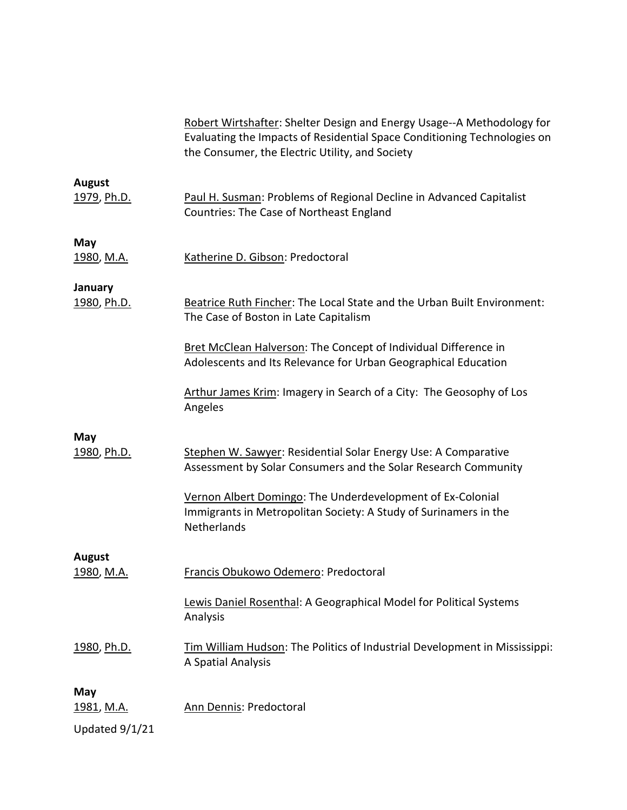|                                      | Robert Wirtshafter: Shelter Design and Energy Usage--A Methodology for<br>Evaluating the Impacts of Residential Space Conditioning Technologies on<br>the Consumer, the Electric Utility, and Society |  |
|--------------------------------------|-------------------------------------------------------------------------------------------------------------------------------------------------------------------------------------------------------|--|
| <b>August</b><br><u>1979</u> , Ph.D. | Paul H. Susman: Problems of Regional Decline in Advanced Capitalist<br>Countries: The Case of Northeast England                                                                                       |  |
| May<br><u>1980, M.A.</u>             | Katherine D. Gibson: Predoctoral                                                                                                                                                                      |  |
| January<br>1980, Ph.D.               | Beatrice Ruth Fincher: The Local State and the Urban Built Environment:<br>The Case of Boston in Late Capitalism                                                                                      |  |
|                                      | Bret McClean Halverson: The Concept of Individual Difference in<br>Adolescents and Its Relevance for Urban Geographical Education                                                                     |  |
|                                      | Arthur James Krim: Imagery in Search of a City: The Geosophy of Los<br>Angeles                                                                                                                        |  |
| May<br>1980, Ph.D.                   | Stephen W. Sawyer: Residential Solar Energy Use: A Comparative<br>Assessment by Solar Consumers and the Solar Research Community                                                                      |  |
|                                      | Vernon Albert Domingo: The Underdevelopment of Ex-Colonial<br>Immigrants in Metropolitan Society: A Study of Surinamers in the<br>Netherlands                                                         |  |
| <b>August</b>                        |                                                                                                                                                                                                       |  |
| 1980, M.A.                           | Francis Obukowo Odemero: Predoctoral                                                                                                                                                                  |  |
|                                      | Lewis Daniel Rosenthal: A Geographical Model for Political Systems<br>Analysis                                                                                                                        |  |
| 1980, Ph.D.                          | Tim William Hudson: The Politics of Industrial Development in Mississippi:<br>A Spatial Analysis                                                                                                      |  |
| May<br>1981, M.A.                    | Ann Dennis: Predoctoral                                                                                                                                                                               |  |
| Updated 9/1/21                       |                                                                                                                                                                                                       |  |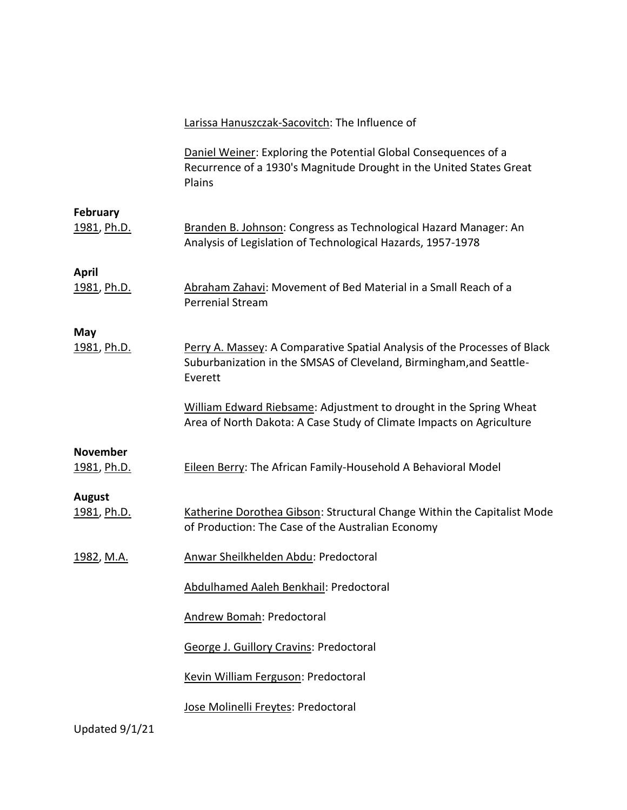|                              | Larissa Hanuszczak-Sacovitch: The Influence of                                                                                                              |
|------------------------------|-------------------------------------------------------------------------------------------------------------------------------------------------------------|
|                              | Daniel Weiner: Exploring the Potential Global Consequences of a<br>Recurrence of a 1930's Magnitude Drought in the United States Great<br>Plains            |
| February<br>1981, Ph.D.      | Branden B. Johnson: Congress as Technological Hazard Manager: An<br>Analysis of Legislation of Technological Hazards, 1957-1978                             |
| <b>April</b><br>1981, Ph.D.  | Abraham Zahavi: Movement of Bed Material in a Small Reach of a<br>Perrenial Stream                                                                          |
| May<br>1981, Ph.D.           | Perry A. Massey: A Comparative Spatial Analysis of the Processes of Black<br>Suburbanization in the SMSAS of Cleveland, Birmingham, and Seattle-<br>Everett |
|                              | William Edward Riebsame: Adjustment to drought in the Spring Wheat<br>Area of North Dakota: A Case Study of Climate Impacts on Agriculture                  |
| November<br>1981, Ph.D.      | Eileen Berry: The African Family-Household A Behavioral Model                                                                                               |
| <b>August</b><br>1981, Ph.D. | Katherine Dorothea Gibson: Structural Change Within the Capitalist Mode<br>of Production: The Case of the Australian Economy                                |
| 1982, M.A.                   | Anwar Sheilkhelden Abdu: Predoctoral                                                                                                                        |
|                              | Abdulhamed Aaleh Benkhail: Predoctoral                                                                                                                      |
|                              | Andrew Bomah: Predoctoral                                                                                                                                   |
|                              | George J. Guillory Cravins: Predoctoral                                                                                                                     |
|                              | Kevin William Ferguson: Predoctoral                                                                                                                         |
| Updated 9/1/21               | Jose Molinelli Freytes: Predoctoral                                                                                                                         |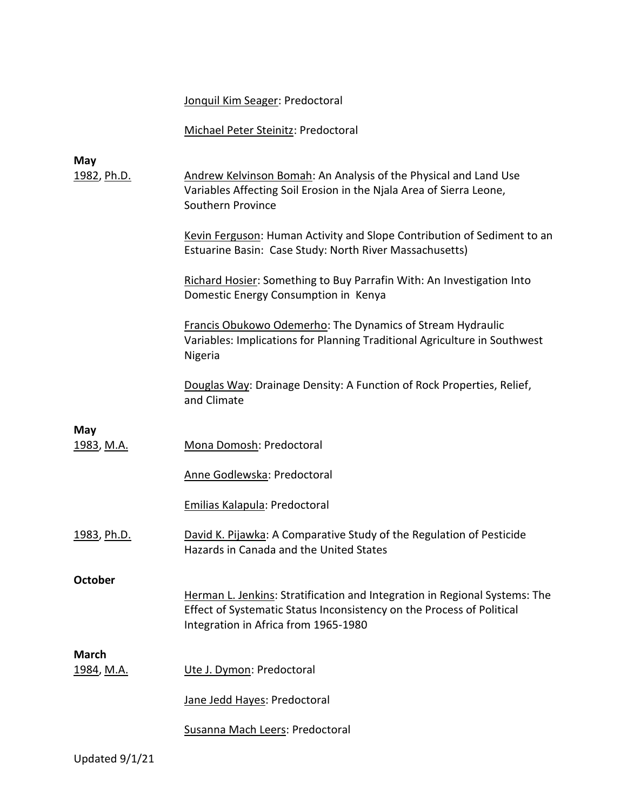# Jonquil Kim Seager: Predoctoral

# Michael Peter Steinitz: Predoctoral

| May                        |                                                                                                                                                                                             |
|----------------------------|---------------------------------------------------------------------------------------------------------------------------------------------------------------------------------------------|
| 1982, Ph.D.                | Andrew Kelvinson Bomah: An Analysis of the Physical and Land Use<br>Variables Affecting Soil Erosion in the Njala Area of Sierra Leone,<br>Southern Province                                |
|                            | Kevin Ferguson: Human Activity and Slope Contribution of Sediment to an<br>Estuarine Basin: Case Study: North River Massachusetts)                                                          |
|                            | Richard Hosier: Something to Buy Parrafin With: An Investigation Into<br>Domestic Energy Consumption in Kenya                                                                               |
|                            | Francis Obukowo Odemerho: The Dynamics of Stream Hydraulic<br>Variables: Implications for Planning Traditional Agriculture in Southwest<br>Nigeria                                          |
|                            | Douglas Way: Drainage Density: A Function of Rock Properties, Relief,<br>and Climate                                                                                                        |
| May                        |                                                                                                                                                                                             |
| <u>1983, M.A.</u>          | Mona Domosh: Predoctoral                                                                                                                                                                    |
|                            | Anne Godlewska: Predoctoral                                                                                                                                                                 |
|                            | Emilias Kalapula: Predoctoral                                                                                                                                                               |
| 1983, Ph.D.                | David K. Pijawka: A Comparative Study of the Regulation of Pesticide<br>Hazards in Canada and the United States                                                                             |
| <b>October</b>             |                                                                                                                                                                                             |
|                            | Herman L. Jenkins: Stratification and Integration in Regional Systems: The<br>Effect of Systematic Status Inconsistency on the Process of Political<br>Integration in Africa from 1965-1980 |
|                            |                                                                                                                                                                                             |
| <b>March</b><br>1984, M.A. | Ute J. Dymon: Predoctoral                                                                                                                                                                   |
|                            | Jane Jedd Hayes: Predoctoral                                                                                                                                                                |
|                            | Susanna Mach Leers: Predoctoral                                                                                                                                                             |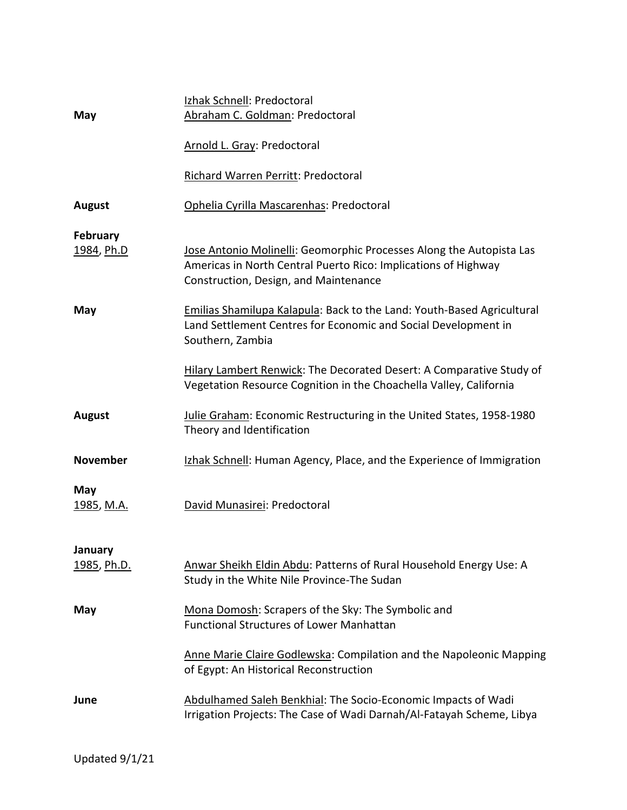| Izhak Schnell: Predoctoral<br>Abraham C. Goldman: Predoctoral                                                                                                                   |  |
|---------------------------------------------------------------------------------------------------------------------------------------------------------------------------------|--|
| Arnold L. Gray: Predoctoral                                                                                                                                                     |  |
| Richard Warren Perritt: Predoctoral                                                                                                                                             |  |
| Ophelia Cyrilla Mascarenhas: Predoctoral                                                                                                                                        |  |
| Jose Antonio Molinelli: Geomorphic Processes Along the Autopista Las<br>Americas in North Central Puerto Rico: Implications of Highway<br>Construction, Design, and Maintenance |  |
| Emilias Shamilupa Kalapula: Back to the Land: Youth-Based Agricultural<br>Land Settlement Centres for Economic and Social Development in<br>Southern, Zambia                    |  |
| Hilary Lambert Renwick: The Decorated Desert: A Comparative Study of<br>Vegetation Resource Cognition in the Choachella Valley, California                                      |  |
| Julie Graham: Economic Restructuring in the United States, 1958-1980<br>Theory and Identification                                                                               |  |
| Izhak Schnell: Human Agency, Place, and the Experience of Immigration                                                                                                           |  |
| David Munasirei: Predoctoral                                                                                                                                                    |  |
| Anwar Sheikh Eldin Abdu: Patterns of Rural Household Energy Use: A<br>Study in the White Nile Province-The Sudan                                                                |  |
| Mona Domosh: Scrapers of the Sky: The Symbolic and<br><b>Functional Structures of Lower Manhattan</b>                                                                           |  |
| Anne Marie Claire Godlewska: Compilation and the Napoleonic Mapping<br>of Egypt: An Historical Reconstruction                                                                   |  |
| Abdulhamed Saleh Benkhial: The Socio-Economic Impacts of Wadi<br>Irrigation Projects: The Case of Wadi Darnah/Al-Fatayah Scheme, Libya                                          |  |
|                                                                                                                                                                                 |  |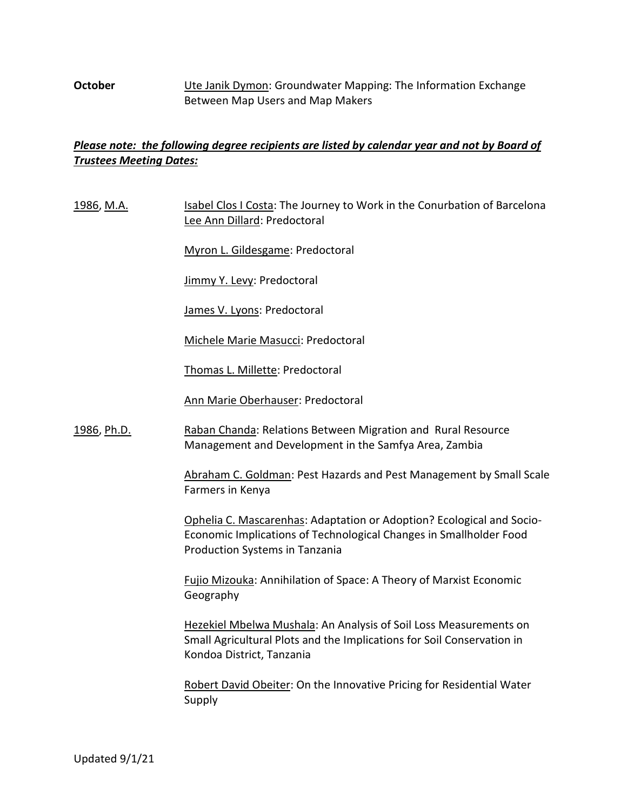## **October** Ute Janik Dymon: Groundwater Mapping: The Information Exchange Between Map Users and Map Makers

# *Please note: the following degree recipients are listed by calendar year and not by Board of Trustees Meeting Dates:*

1986, M.A. Isabel Clos I Costa: The Journey to Work in the Conurbation of Barcelona Lee Ann Dillard: Predoctoral

Myron L. Gildesgame: Predoctoral

Jimmy Y. Levy: Predoctoral

James V. Lyons: Predoctoral

Michele Marie Masucci: Predoctoral

Thomas L. Millette: Predoctoral

Ann Marie Oberhauser: Predoctoral

1986, Ph.D. Raban Chanda: Relations Between Migration and Rural Resource Management and Development in the Samfya Area, Zambia

> Abraham C. Goldman: Pest Hazards and Pest Management by Small Scale Farmers in Kenya

Ophelia C. Mascarenhas: Adaptation or Adoption? Ecological and Socio-Economic Implications of Technological Changes in Smallholder Food Production Systems in Tanzania

Fujio Mizouka: Annihilation of Space: A Theory of Marxist Economic Geography

Hezekiel Mbelwa Mushala: An Analysis of Soil Loss Measurements on Small Agricultural Plots and the Implications for Soil Conservation in Kondoa District, Tanzania

Robert David Obeiter: On the Innovative Pricing for Residential Water Supply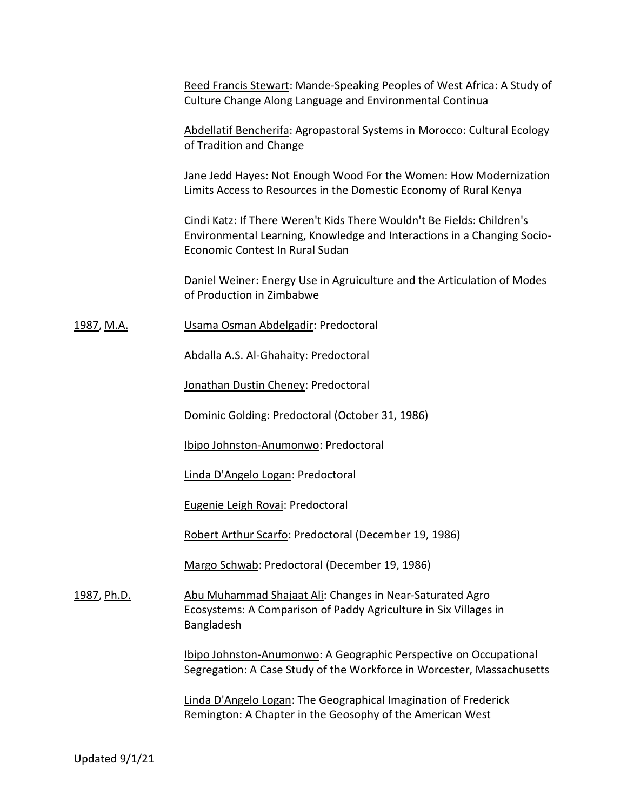Reed Francis Stewart: Mande-Speaking Peoples of West Africa: A Study of Culture Change Along Language and Environmental Continua

Abdellatif Bencherifa: Agropastoral Systems in Morocco: Cultural Ecology of Tradition and Change

Jane Jedd Hayes: Not Enough Wood For the Women: How Modernization Limits Access to Resources in the Domestic Economy of Rural Kenya

Cindi Katz: If There Weren't Kids There Wouldn't Be Fields: Children's Environmental Learning, Knowledge and Interactions in a Changing Socio-Economic Contest In Rural Sudan

Daniel Weiner: Energy Use in Agruiculture and the Articulation of Modes of Production in Zimbabwe

1987, M.A. Usama Osman Abdelgadir: Predoctoral

Abdalla A.S. Al-Ghahaity: Predoctoral

Jonathan Dustin Cheney: Predoctoral

Dominic Golding: Predoctoral (October 31, 1986)

Ibipo Johnston-Anumonwo: Predoctoral

Linda D'Angelo Logan: Predoctoral

Eugenie Leigh Rovai: Predoctoral

Robert Arthur Scarfo: Predoctoral (December 19, 1986)

Margo Schwab: Predoctoral (December 19, 1986)

1987, Ph.D. **Abu Muhammad Shajaat Ali: Changes in Near-Saturated Agro** Ecosystems: A Comparison of Paddy Agriculture in Six Villages in Bangladesh

> Ibipo Johnston-Anumonwo: A Geographic Perspective on Occupational Segregation: A Case Study of the Workforce in Worcester, Massachusetts

Linda D'Angelo Logan: The Geographical Imagination of Frederick Remington: A Chapter in the Geosophy of the American West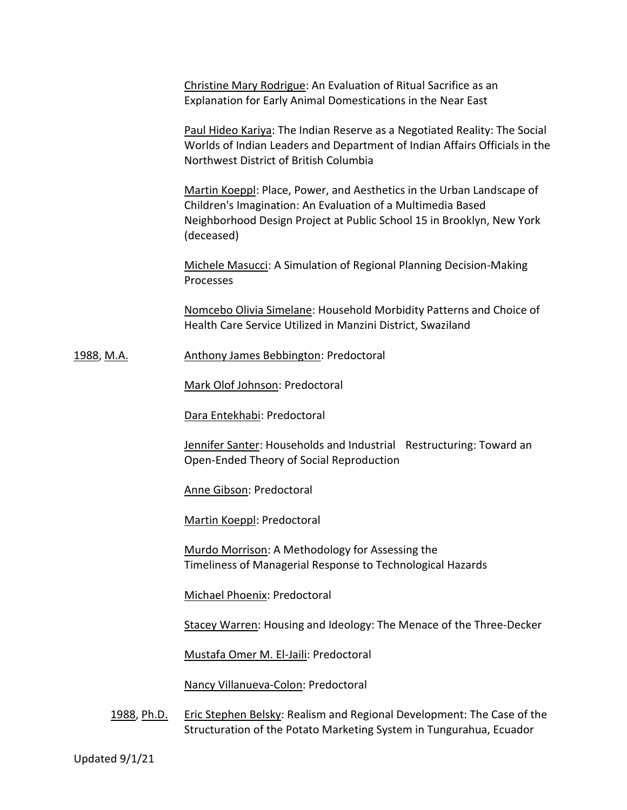Christine Mary Rodrigue: An Evaluation of Ritual Sacrifice as an Explanation for Early Animal Domestications in the Near East

Paul Hideo Kariya: The Indian Reserve as a Negotiated Reality: The Social Worlds of Indian Leaders and Department of Indian Affairs Officials in the Northwest District of British Columbia

Martin Koeppl: Place, Power, and Aesthetics in the Urban Landscape of Children's Imagination: An Evaluation of a Multimedia Based Neighborhood Design Project at Public School 15 in Brooklyn, New York (deceased)

Michele Masucci: A Simulation of Regional Planning Decision-Making Processes

Nomcebo Olivia Simelane: Household Morbidity Patterns and Choice of Health Care Service Utilized in Manzini District, Swaziland

1988, M.A. **Anthony James Bebbington: Predoctoral** 

Mark Olof Johnson: Predoctoral

Dara Entekhabi: Predoctoral

Jennifer Santer: Households and Industrial Restructuring: Toward an Open-Ended Theory of Social Reproduction

Anne Gibson: Predoctoral

Martin Koeppl: Predoctoral

Murdo Morrison: A Methodology for Assessing the Timeliness of Managerial Response to Technological Hazards

Michael Phoenix: Predoctoral

Stacey Warren: Housing and Ideology: The Menace of the Three-Decker

Mustafa Omer M. El-Jaili: Predoctoral

Nancy Villanueva-Colon: Predoctoral

1988, Ph.D. Eric Stephen Belsky: Realism and Regional Development: The Case of the Structuration of the Potato Marketing System in Tungurahua, Ecuador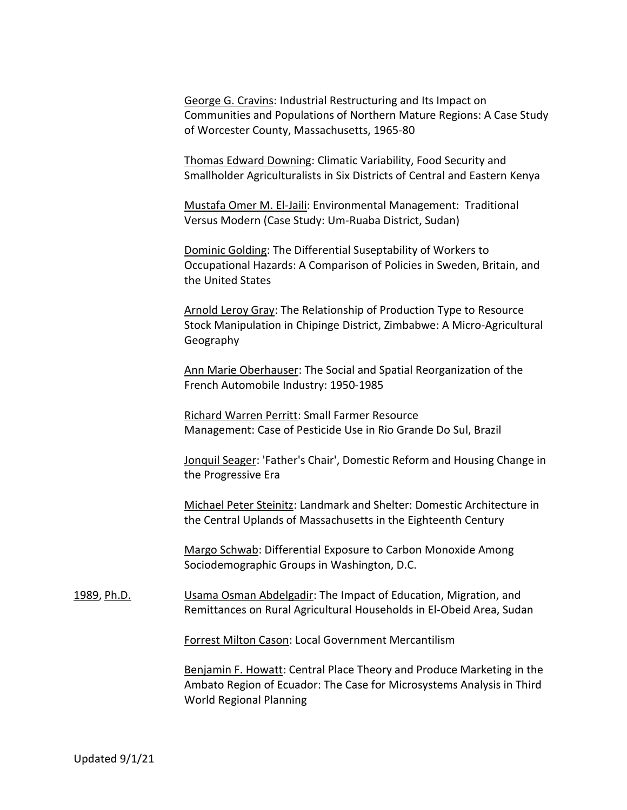George G. Cravins: Industrial Restructuring and Its Impact on Communities and Populations of Northern Mature Regions: A Case Study of Worcester County, Massachusetts, 1965-80

Thomas Edward Downing: Climatic Variability, Food Security and Smallholder Agriculturalists in Six Districts of Central and Eastern Kenya

Mustafa Omer M. El-Jaili: Environmental Management: Traditional Versus Modern (Case Study: Um-Ruaba District, Sudan)

Dominic Golding: The Differential Suseptability of Workers to Occupational Hazards: A Comparison of Policies in Sweden, Britain, and the United States

Arnold Leroy Gray: The Relationship of Production Type to Resource Stock Manipulation in Chipinge District, Zimbabwe: A Micro-Agricultural Geography

Ann Marie Oberhauser: The Social and Spatial Reorganization of the French Automobile Industry: 1950-1985

Richard Warren Perritt: Small Farmer Resource Management: Case of Pesticide Use in Rio Grande Do Sul, Brazil

Jonquil Seager: 'Father's Chair', Domestic Reform and Housing Change in the Progressive Era

Michael Peter Steinitz: Landmark and Shelter: Domestic Architecture in the Central Uplands of Massachusetts in the Eighteenth Century

Margo Schwab: Differential Exposure to Carbon Monoxide Among Sociodemographic Groups in Washington, D.C.

1989, Ph.D. Usama Osman Abdelgadir: The Impact of Education, Migration, and Remittances on Rural Agricultural Households in El-Obeid Area, Sudan

Forrest Milton Cason: Local Government Mercantilism

Benjamin F. Howatt: Central Place Theory and Produce Marketing in the Ambato Region of Ecuador: The Case for Microsystems Analysis in Third World Regional Planning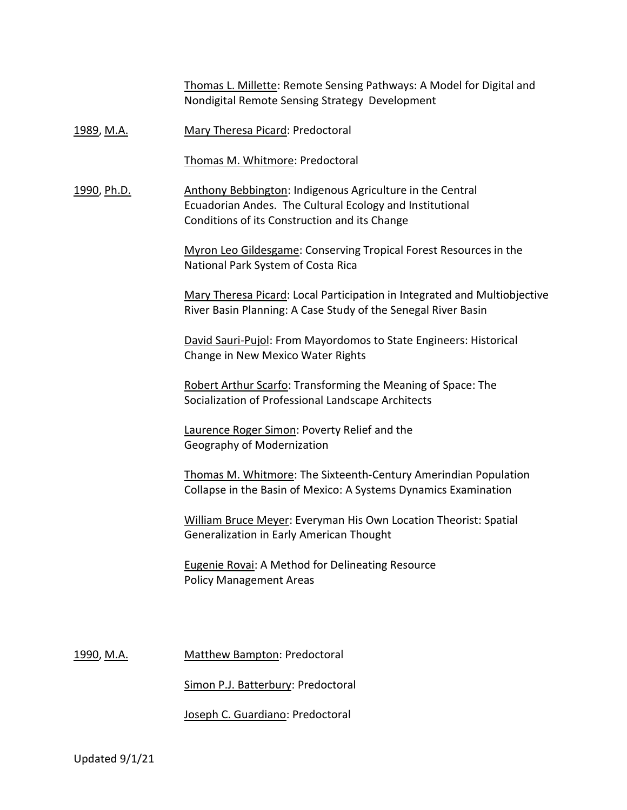Thomas L. Millette: Remote Sensing Pathways: A Model for Digital and Nondigital Remote Sensing Strategy Development

1989, M.A. Mary Theresa Picard: Predoctoral

Thomas M. Whitmore: Predoctoral

1990, Ph.D. Anthony Bebbington: Indigenous Agriculture in the Central Ecuadorian Andes. The Cultural Ecology and Institutional Conditions of its Construction and its Change

> Myron Leo Gildesgame: Conserving Tropical Forest Resources in the National Park System of Costa Rica

Mary Theresa Picard: Local Participation in Integrated and Multiobjective River Basin Planning: A Case Study of the Senegal River Basin

David Sauri-Pujol: From Mayordomos to State Engineers: Historical Change in New Mexico Water Rights

Robert Arthur Scarfo: Transforming the Meaning of Space: The Socialization of Professional Landscape Architects

Laurence Roger Simon: Poverty Relief and the Geography of Modernization

Thomas M. Whitmore: The Sixteenth-Century Amerindian Population Collapse in the Basin of Mexico: A Systems Dynamics Examination

William Bruce Meyer: Everyman His Own Location Theorist: Spatial Generalization in Early American Thought

Eugenie Rovai: A Method for Delineating Resource Policy Management Areas

1990, M.A. Matthew Bampton: Predoctoral

Simon P.J. Batterbury: Predoctoral

Joseph C. Guardiano: Predoctoral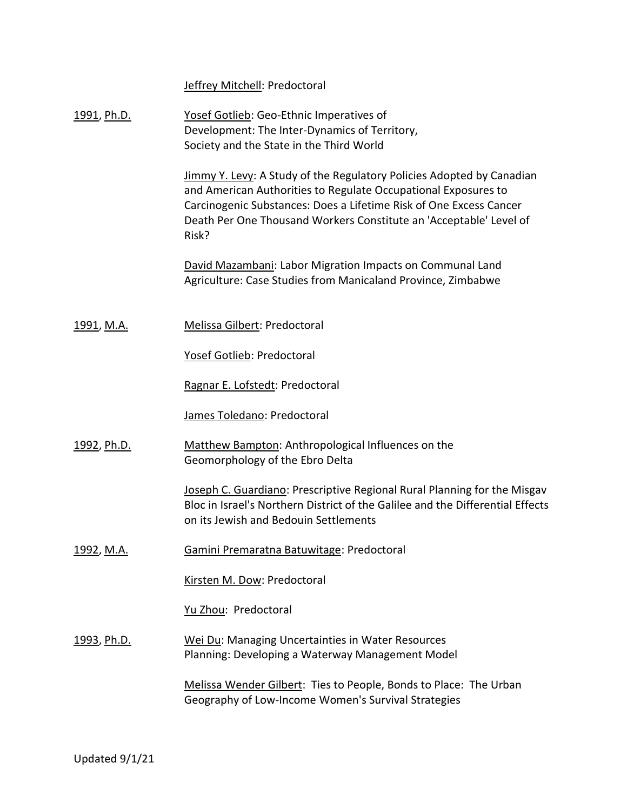Jeffrey Mitchell: Predoctoral

| 1991, Ph.D. | Yosef Gotlieb: Geo-Ethnic Imperatives of      |
|-------------|-----------------------------------------------|
|             | Development: The Inter-Dynamics of Territory, |
|             | Society and the State in the Third World      |

Jimmy Y. Levy: A Study of the Regulatory Policies Adopted by Canadian and American Authorities to Regulate Occupational Exposures to Carcinogenic Substances: Does a Lifetime Risk of One Excess Cancer Death Per One Thousand Workers Constitute an 'Acceptable' Level of Risk?

David Mazambani: Labor Migration Impacts on Communal Land Agriculture: Case Studies from Manicaland Province, Zimbabwe

1991, M.A. Melissa Gilbert: Predoctoral

Yosef Gotlieb: Predoctoral

Ragnar E. Lofstedt: Predoctoral

James Toledano: Predoctoral

1992, Ph.D. Matthew Bampton: Anthropological Influences on the Geomorphology of the Ebro Delta

> Joseph C. Guardiano: Prescriptive Regional Rural Planning for the Misgav Bloc in Israel's Northern District of the Galilee and the Differential Effects on its Jewish and Bedouin Settlements

1992, M.A. Gamini Premaratna Batuwitage: Predoctoral

Kirsten M. Dow: Predoctoral

Yu Zhou: Predoctoral

1993, Ph.D. Wei Du: Managing Uncertainties in Water Resources Planning: Developing a Waterway Management Model

> Melissa Wender Gilbert: Ties to People, Bonds to Place: The Urban Geography of Low-Income Women's Survival Strategies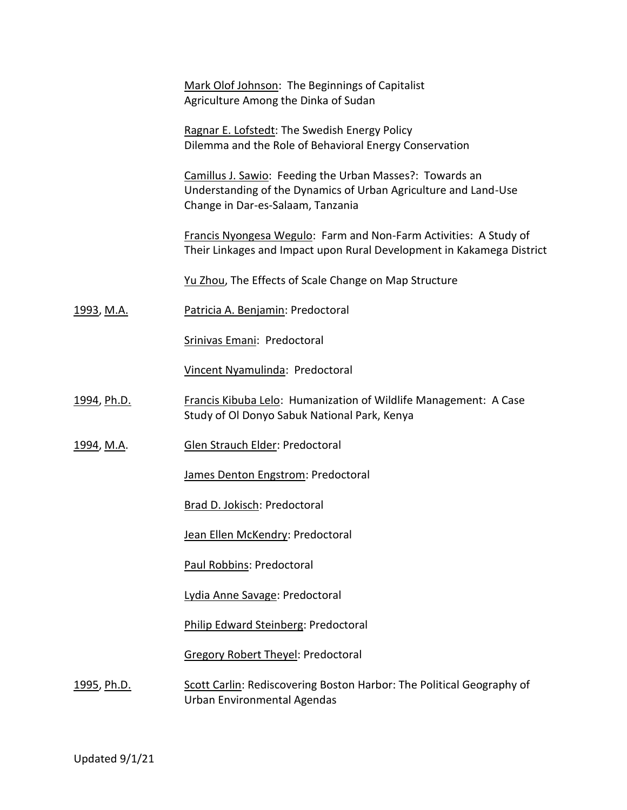|                   | Mark Olof Johnson: The Beginnings of Capitalist<br>Agriculture Among the Dinka of Sudan                                                                          |  |  |
|-------------------|------------------------------------------------------------------------------------------------------------------------------------------------------------------|--|--|
|                   | Ragnar E. Lofstedt: The Swedish Energy Policy<br>Dilemma and the Role of Behavioral Energy Conservation                                                          |  |  |
|                   | Camillus J. Sawio: Feeding the Urban Masses?: Towards an<br>Understanding of the Dynamics of Urban Agriculture and Land-Use<br>Change in Dar-es-Salaam, Tanzania |  |  |
|                   | Francis Nyongesa Wegulo: Farm and Non-Farm Activities: A Study of<br>Their Linkages and Impact upon Rural Development in Kakamega District                       |  |  |
|                   | Yu Zhou, The Effects of Scale Change on Map Structure                                                                                                            |  |  |
| 1993, M.A.        | Patricia A. Benjamin: Predoctoral                                                                                                                                |  |  |
|                   | Srinivas Emani: Predoctoral                                                                                                                                      |  |  |
|                   | Vincent Nyamulinda: Predoctoral                                                                                                                                  |  |  |
| 1994, Ph.D.       | <b>Francis Kibuba Lelo: Humanization of Wildlife Management: A Case</b><br>Study of Ol Donyo Sabuk National Park, Kenya                                          |  |  |
| <u>1994, M.A.</u> | Glen Strauch Elder: Predoctoral                                                                                                                                  |  |  |
|                   | James Denton Engstrom: Predoctoral                                                                                                                               |  |  |
|                   | Brad D. Jokisch: Predoctoral                                                                                                                                     |  |  |
|                   | Jean Ellen McKendry: Predoctoral                                                                                                                                 |  |  |
|                   | Paul Robbins: Predoctoral                                                                                                                                        |  |  |
|                   | Lydia Anne Savage: Predoctoral                                                                                                                                   |  |  |
|                   | Philip Edward Steinberg: Predoctoral                                                                                                                             |  |  |
|                   | <b>Gregory Robert Theyel: Predoctoral</b>                                                                                                                        |  |  |
| 1995, Ph.D.       | Scott Carlin: Rediscovering Boston Harbor: The Political Geography of<br>Urban Environmental Agendas                                                             |  |  |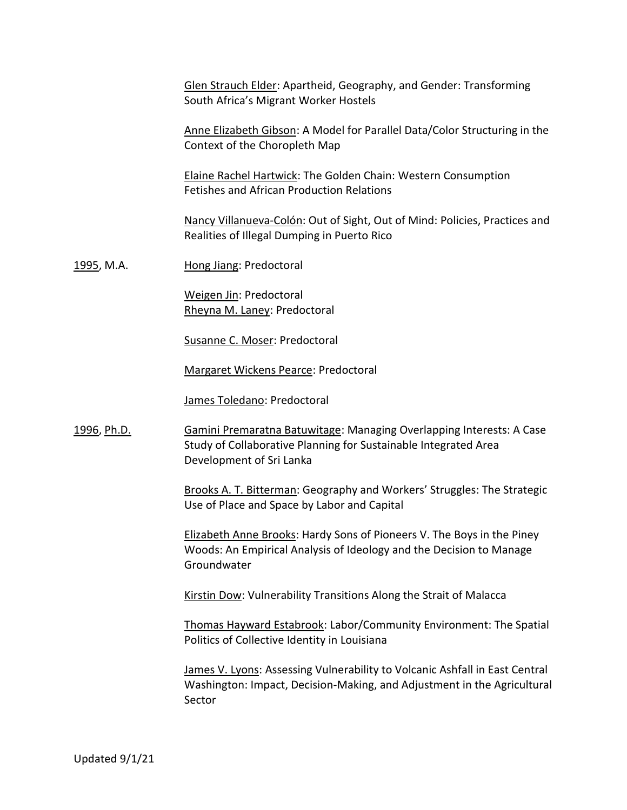Glen Strauch Elder: Apartheid, Geography, and Gender: Transforming South Africa's Migrant Worker Hostels

Anne Elizabeth Gibson: A Model for Parallel Data/Color Structuring in the Context of the Choropleth Map

Elaine Rachel Hartwick: The Golden Chain: Western Consumption Fetishes and African Production Relations

Nancy Villanueva-Colón: Out of Sight, Out of Mind: Policies, Practices and Realities of Illegal Dumping in Puerto Rico

1995, M.A. **Hong Jiang: Predoctoral** 

Weigen Jin: Predoctoral Rheyna M. Laney: Predoctoral

Susanne C. Moser: Predoctoral

Margaret Wickens Pearce: Predoctoral

James Toledano: Predoctoral

1996, Ph.D. Gamini Premaratna Batuwitage: Managing Overlapping Interests: A Case Study of Collaborative Planning for Sustainable Integrated Area Development of Sri Lanka

> Brooks A. T. Bitterman: Geography and Workers' Struggles: The Strategic Use of Place and Space by Labor and Capital

Elizabeth Anne Brooks: Hardy Sons of Pioneers V. The Boys in the Piney Woods: An Empirical Analysis of Ideology and the Decision to Manage Groundwater

Kirstin Dow: Vulnerability Transitions Along the Strait of Malacca

Thomas Hayward Estabrook: Labor/Community Environment: The Spatial Politics of Collective Identity in Louisiana

James V. Lyons: Assessing Vulnerability to Volcanic Ashfall in East Central Washington: Impact, Decision-Making, and Adjustment in the Agricultural Sector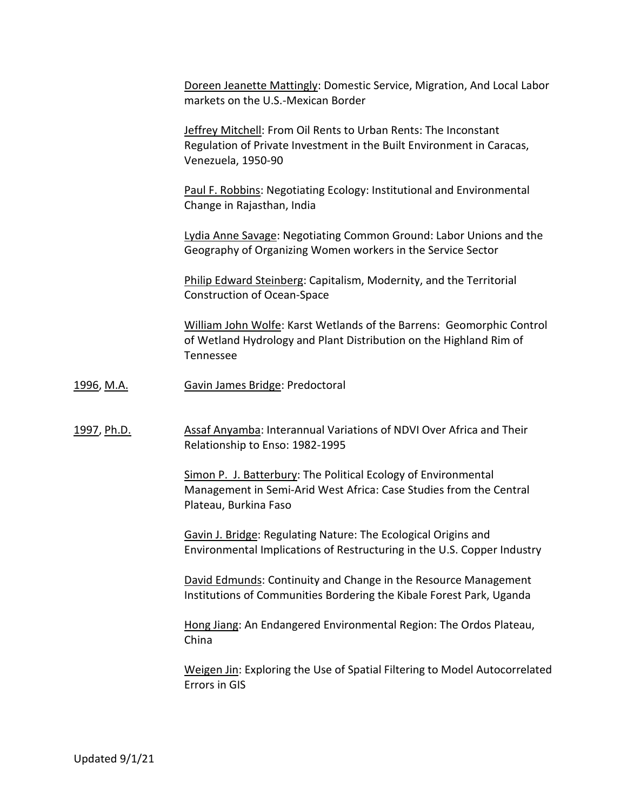Doreen Jeanette Mattingly: Domestic Service, Migration, And Local Labor markets on the U.S.-Mexican Border

Jeffrey Mitchell: From Oil Rents to Urban Rents: The Inconstant Regulation of Private Investment in the Built Environment in Caracas, Venezuela, 1950-90

Paul F. Robbins: Negotiating Ecology: Institutional and Environmental Change in Rajasthan, India

Lydia Anne Savage: Negotiating Common Ground: Labor Unions and the Geography of Organizing Women workers in the Service Sector

Philip Edward Steinberg: Capitalism, Modernity, and the Territorial Construction of Ocean-Space

William John Wolfe: Karst Wetlands of the Barrens: Geomorphic Control of Wetland Hydrology and Plant Distribution on the Highland Rim of Tennessee

1996, M.A. Gavin James Bridge: Predoctoral

1997, Ph.D. **Assaf Anyamba: Interannual Variations of NDVI Over Africa and Their** Relationship to Enso: 1982-1995

> Simon P. J. Batterbury: The Political Ecology of Environmental Management in Semi-Arid West Africa: Case Studies from the Central Plateau, Burkina Faso

Gavin J. Bridge: Regulating Nature: The Ecological Origins and Environmental Implications of Restructuring in the U.S. Copper Industry

David Edmunds: Continuity and Change in the Resource Management Institutions of Communities Bordering the Kibale Forest Park, Uganda

Hong Jiang: An Endangered Environmental Region: The Ordos Plateau, China

Weigen Jin: Exploring the Use of Spatial Filtering to Model Autocorrelated Errors in GIS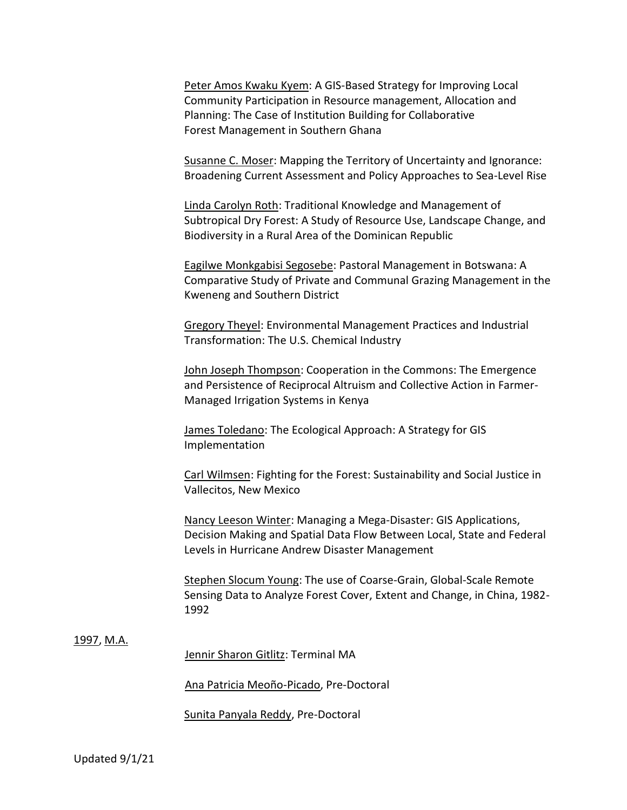Peter Amos Kwaku Kyem: A GIS-Based Strategy for Improving Local Community Participation in Resource management, Allocation and Planning: The Case of Institution Building for Collaborative Forest Management in Southern Ghana

Susanne C. Moser: Mapping the Territory of Uncertainty and Ignorance: Broadening Current Assessment and Policy Approaches to Sea-Level Rise

Linda Carolyn Roth: Traditional Knowledge and Management of Subtropical Dry Forest: A Study of Resource Use, Landscape Change, and Biodiversity in a Rural Area of the Dominican Republic

Eagilwe Monkgabisi Segosebe: Pastoral Management in Botswana: A Comparative Study of Private and Communal Grazing Management in the Kweneng and Southern District

Gregory Theyel: Environmental Management Practices and Industrial Transformation: The U.S. Chemical Industry

John Joseph Thompson: Cooperation in the Commons: The Emergence and Persistence of Reciprocal Altruism and Collective Action in Farmer-Managed Irrigation Systems in Kenya

James Toledano: The Ecological Approach: A Strategy for GIS Implementation

Carl Wilmsen: Fighting for the Forest: Sustainability and Social Justice in Vallecitos, New Mexico

Nancy Leeson Winter: Managing a Mega-Disaster: GIS Applications, Decision Making and Spatial Data Flow Between Local, State and Federal Levels in Hurricane Andrew Disaster Management

Stephen Slocum Young: The use of Coarse-Grain, Global-Scale Remote Sensing Data to Analyze Forest Cover, Extent and Change, in China, 1982- 1992

## 1997, M.A.

Jennir Sharon Gitlitz: Terminal MA

Ana Patricia Meoño-Picado, Pre-Doctoral

Sunita Panyala Reddy, Pre-Doctoral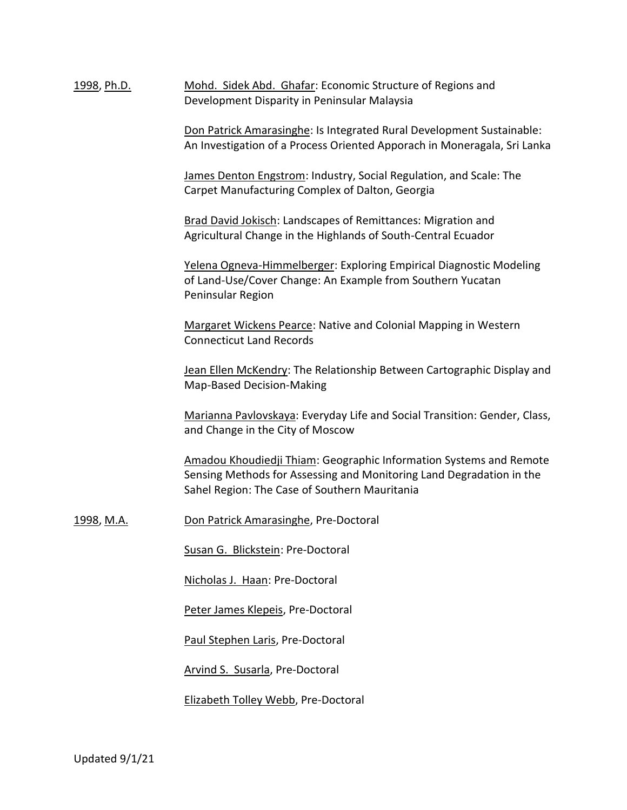1998, Ph.D. Mohd. Sidek Abd. Ghafar: Economic Structure of Regions and Development Disparity in Peninsular Malaysia

> Don Patrick Amarasinghe: Is Integrated Rural Development Sustainable: An Investigation of a Process Oriented Apporach in Moneragala, Sri Lanka

James Denton Engstrom: Industry, Social Regulation, and Scale: The Carpet Manufacturing Complex of Dalton, Georgia

Brad David Jokisch: Landscapes of Remittances: Migration and Agricultural Change in the Highlands of South-Central Ecuador

Yelena Ogneva-Himmelberger: Exploring Empirical Diagnostic Modeling of Land-Use/Cover Change: An Example from Southern Yucatan Peninsular Region

Margaret Wickens Pearce: Native and Colonial Mapping in Western Connecticut Land Records

Jean Ellen McKendry: The Relationship Between Cartographic Display and Map-Based Decision-Making

Marianna Pavlovskaya: Everyday Life and Social Transition: Gender, Class, and Change in the City of Moscow

Amadou Khoudiedji Thiam: Geographic Information Systems and Remote Sensing Methods for Assessing and Monitoring Land Degradation in the Sahel Region: The Case of Southern Mauritania

1998, M.A. Don Patrick Amarasinghe, Pre-Doctoral

Susan G. Blickstein: Pre-Doctoral

Nicholas J. Haan: Pre-Doctoral

Peter James Klepeis, Pre-Doctoral

Paul Stephen Laris, Pre-Doctoral

Arvind S. Susarla, Pre-Doctoral

Elizabeth Tolley Webb, Pre-Doctoral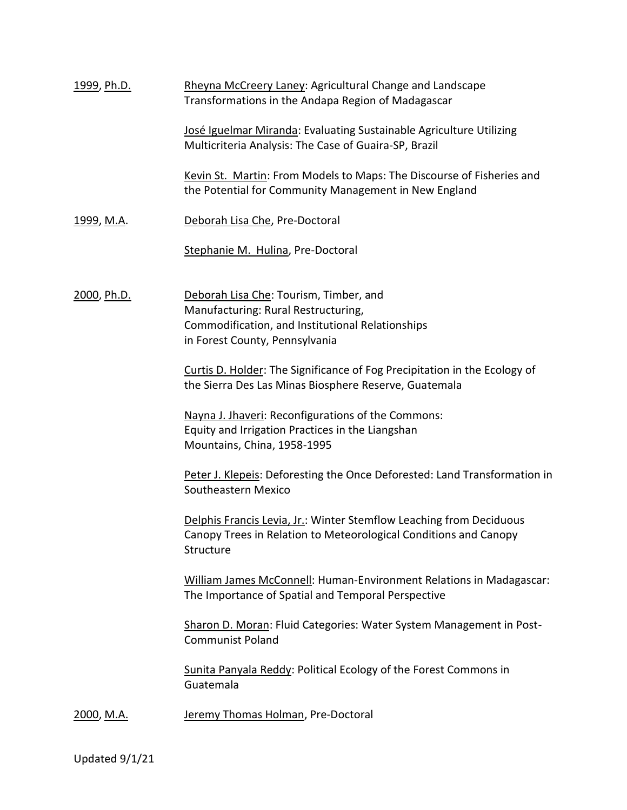| 1999, Ph.D.        | Rheyna McCreery Laney: Agricultural Change and Landscape<br>Transformations in the Andapa Region of Madagascar                                                      |  |
|--------------------|---------------------------------------------------------------------------------------------------------------------------------------------------------------------|--|
|                    | José Iguelmar Miranda: Evaluating Sustainable Agriculture Utilizing<br>Multicriteria Analysis: The Case of Guaira-SP, Brazil                                        |  |
|                    | Kevin St. Martin: From Models to Maps: The Discourse of Fisheries and<br>the Potential for Community Management in New England                                      |  |
| <u>1999, M.A</u> . | Deborah Lisa Che, Pre-Doctoral                                                                                                                                      |  |
|                    | Stephanie M. Hulina, Pre-Doctoral                                                                                                                                   |  |
| 2000, Ph.D.        | Deborah Lisa Che: Tourism, Timber, and<br>Manufacturing: Rural Restructuring,<br>Commodification, and Institutional Relationships<br>in Forest County, Pennsylvania |  |
|                    | Curtis D. Holder: The Significance of Fog Precipitation in the Ecology of<br>the Sierra Des Las Minas Biosphere Reserve, Guatemala                                  |  |
|                    | Nayna J. Jhaveri: Reconfigurations of the Commons:<br>Equity and Irrigation Practices in the Liangshan<br>Mountains, China, 1958-1995                               |  |
|                    | Peter J. Klepeis: Deforesting the Once Deforested: Land Transformation in<br>Southeastern Mexico                                                                    |  |
|                    | Delphis Francis Levia, Jr.: Winter Stemflow Leaching from Deciduous<br>Canopy Trees in Relation to Meteorological Conditions and Canopy<br>Structure                |  |
|                    | William James McConnell: Human-Environment Relations in Madagascar:<br>The Importance of Spatial and Temporal Perspective                                           |  |
|                    | Sharon D. Moran: Fluid Categories: Water System Management in Post-<br><b>Communist Poland</b>                                                                      |  |
|                    | Sunita Panyala Reddy: Political Ecology of the Forest Commons in<br>Guatemala                                                                                       |  |
| <u>2000, M.A.</u>  | Jeremy Thomas Holman, Pre-Doctoral                                                                                                                                  |  |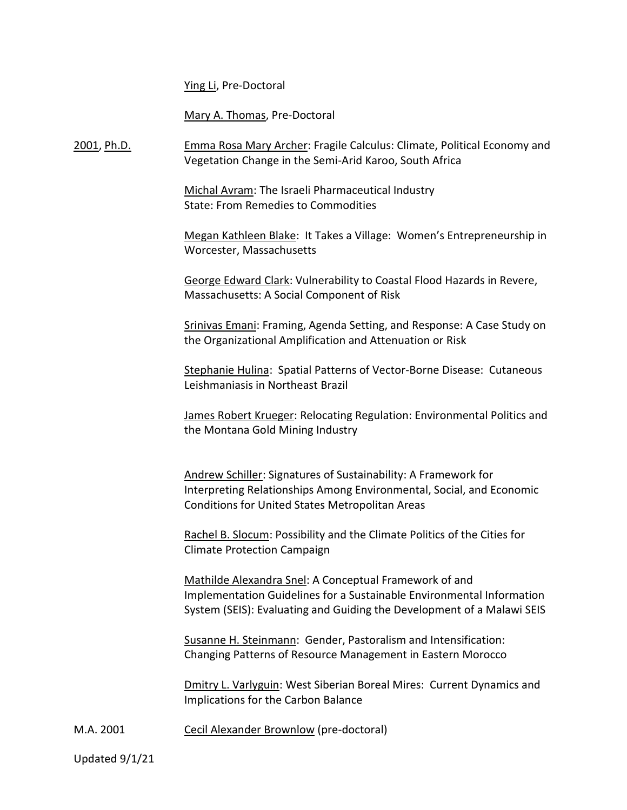Ying Li, Pre-Doctoral

Mary A. Thomas, Pre-Doctoral

2001, Ph.D. Emma Rosa Mary Archer: Fragile Calculus: Climate, Political Economy and Vegetation Change in the Semi-Arid Karoo, South Africa

> Michal Avram: The Israeli Pharmaceutical Industry State: From Remedies to Commodities

Megan Kathleen Blake: It Takes a Village: Women's Entrepreneurship in Worcester, Massachusetts

George Edward Clark: Vulnerability to Coastal Flood Hazards in Revere, Massachusetts: A Social Component of Risk

Srinivas Emani: Framing, Agenda Setting, and Response: A Case Study on the Organizational Amplification and Attenuation or Risk

Stephanie Hulina: Spatial Patterns of Vector-Borne Disease: Cutaneous Leishmaniasis in Northeast Brazil

James Robert Krueger: Relocating Regulation: Environmental Politics and the Montana Gold Mining Industry

Andrew Schiller: Signatures of Sustainability: A Framework for Interpreting Relationships Among Environmental, Social, and Economic Conditions for United States Metropolitan Areas

Rachel B. Slocum: Possibility and the Climate Politics of the Cities for Climate Protection Campaign

Mathilde Alexandra Snel: A Conceptual Framework of and Implementation Guidelines for a Sustainable Environmental Information System (SEIS): Evaluating and Guiding the Development of a Malawi SEIS

Susanne H. Steinmann: Gender, Pastoralism and Intensification: Changing Patterns of Resource Management in Eastern Morocco

Dmitry L. Varlyguin: West Siberian Boreal Mires: Current Dynamics and Implications for the Carbon Balance

M.A. 2001 Cecil Alexander Brownlow (pre-doctoral)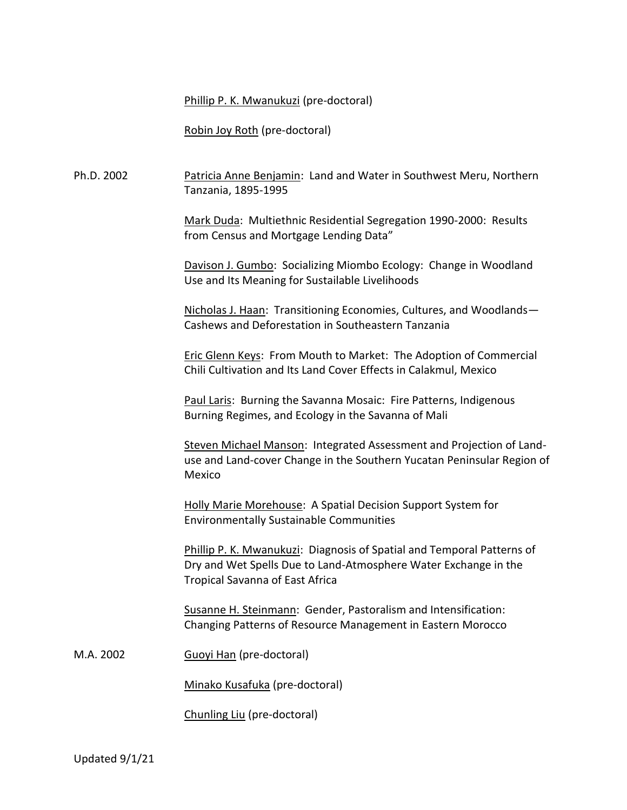Phillip P. K. Mwanukuzi (pre-doctoral)

Robin Joy Roth (pre-doctoral)

Ph.D. 2002 Patricia Anne Benjamin: Land and Water in Southwest Meru, Northern Tanzania, 1895-1995

> Mark Duda: Multiethnic Residential Segregation 1990-2000: Results from Census and Mortgage Lending Data"

Davison J. Gumbo: Socializing Miombo Ecology: Change in Woodland Use and Its Meaning for Sustailable Livelihoods

Nicholas J. Haan: Transitioning Economies, Cultures, and Woodlands— Cashews and Deforestation in Southeastern Tanzania

Eric Glenn Keys: From Mouth to Market: The Adoption of Commercial Chili Cultivation and Its Land Cover Effects in Calakmul, Mexico

Paul Laris: Burning the Savanna Mosaic: Fire Patterns, Indigenous Burning Regimes, and Ecology in the Savanna of Mali

Steven Michael Manson: Integrated Assessment and Projection of Landuse and Land-cover Change in the Southern Yucatan Peninsular Region of Mexico

Holly Marie Morehouse: A Spatial Decision Support System for Environmentally Sustainable Communities

Phillip P. K. Mwanukuzi: Diagnosis of Spatial and Temporal Patterns of Dry and Wet Spells Due to Land-Atmosphere Water Exchange in the Tropical Savanna of East Africa

Susanne H. Steinmann: Gender, Pastoralism and Intensification: Changing Patterns of Resource Management in Eastern Morocco

M.A. 2002 Guoyi Han (pre-doctoral)

Minako Kusafuka (pre-doctoral)

Chunling Liu (pre-doctoral)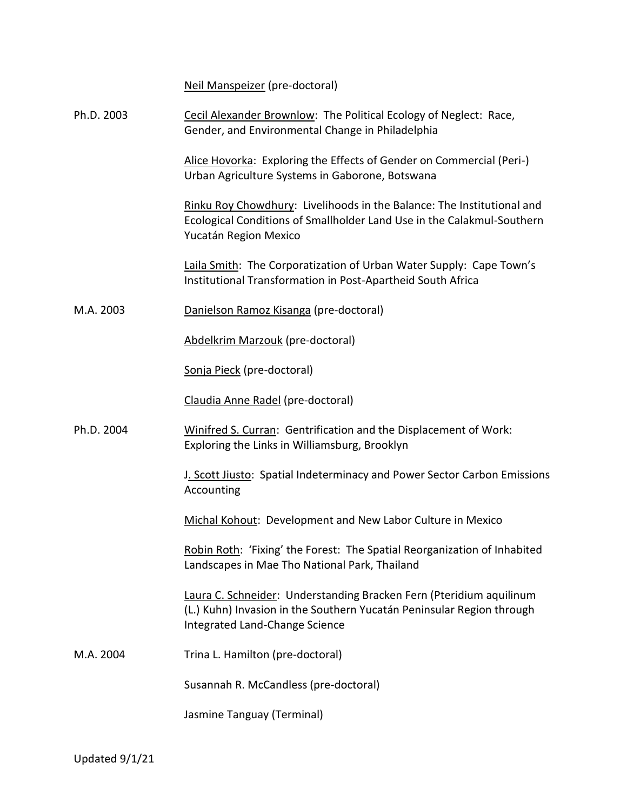Neil Manspeizer (pre-doctoral)

| Ph.D. 2003 | Cecil Alexander Brownlow: The Political Ecology of Neglect: Race,<br>Gender, and Environmental Change in Philadelphia                                                          |
|------------|--------------------------------------------------------------------------------------------------------------------------------------------------------------------------------|
|            | Alice Hovorka: Exploring the Effects of Gender on Commercial (Peri-)<br>Urban Agriculture Systems in Gaborone, Botswana                                                        |
|            | Rinku Roy Chowdhury: Livelihoods in the Balance: The Institutional and<br>Ecological Conditions of Smallholder Land Use in the Calakmul-Southern<br>Yucatán Region Mexico      |
|            | Laila Smith: The Corporatization of Urban Water Supply: Cape Town's<br>Institutional Transformation in Post-Apartheid South Africa                                             |
| M.A. 2003  | Danielson Ramoz Kisanga (pre-doctoral)                                                                                                                                         |
|            | Abdelkrim Marzouk (pre-doctoral)                                                                                                                                               |
|            | Sonja Pieck (pre-doctoral)                                                                                                                                                     |
|            | Claudia Anne Radel (pre-doctoral)                                                                                                                                              |
| Ph.D. 2004 | Winifred S. Curran: Gentrification and the Displacement of Work:<br>Exploring the Links in Williamsburg, Brooklyn                                                              |
|            | J. Scott Jiusto: Spatial Indeterminacy and Power Sector Carbon Emissions<br>Accounting                                                                                         |
|            | Michal Kohout: Development and New Labor Culture in Mexico                                                                                                                     |
|            | Robin Roth: 'Fixing' the Forest: The Spatial Reorganization of Inhabited<br>Landscapes in Mae Tho National Park, Thailand                                                      |
|            | Laura C. Schneider: Understanding Bracken Fern (Pteridium aquilinum<br>(L.) Kuhn) Invasion in the Southern Yucatán Peninsular Region through<br>Integrated Land-Change Science |
| M.A. 2004  | Trina L. Hamilton (pre-doctoral)                                                                                                                                               |
|            | Susannah R. McCandless (pre-doctoral)                                                                                                                                          |
|            | Jasmine Tanguay (Terminal)                                                                                                                                                     |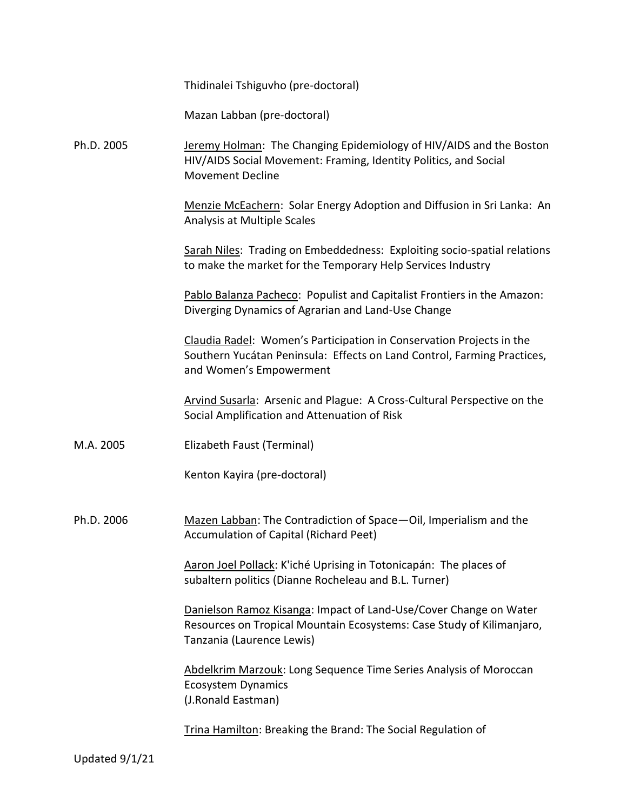| Thidinalei Tshiguvho (pre-doctoral) |  |
|-------------------------------------|--|
|-------------------------------------|--|

Mazan Labban (pre-doctoral)

Ph.D. 2005 Jeremy Holman: The Changing Epidemiology of HIV/AIDS and the Boston HIV/AIDS Social Movement: Framing, Identity Politics, and Social Movement Decline

> Menzie McEachern: Solar Energy Adoption and Diffusion in Sri Lanka: An Analysis at Multiple Scales

> Sarah Niles: Trading on Embeddedness: Exploiting socio-spatial relations to make the market for the Temporary Help Services Industry

Pablo Balanza Pacheco: Populist and Capitalist Frontiers in the Amazon: Diverging Dynamics of Agrarian and Land-Use Change

Claudia Radel: Women's Participation in Conservation Projects in the Southern Yucátan Peninsula: Effects on Land Control, Farming Practices, and Women's Empowerment

Arvind Susarla: Arsenic and Plague: A Cross-Cultural Perspective on the Social Amplification and Attenuation of Risk

M.A. 2005 Elizabeth Faust (Terminal)

Kenton Kayira (pre-doctoral)

Ph.D. 2006 Mazen Labban: The Contradiction of Space-Oil, Imperialism and the Accumulation of Capital (Richard Peet)

> Aaron Joel Pollack: K'iché Uprising in Totonicapán: The places of subaltern politics (Dianne Rocheleau and B.L. Turner)

Danielson Ramoz Kisanga: Impact of Land-Use/Cover Change on Water Resources on Tropical Mountain Ecosystems: Case Study of Kilimanjaro, Tanzania (Laurence Lewis)

Abdelkrim Marzouk: Long Sequence Time Series Analysis of Moroccan Ecosystem Dynamics (J.Ronald Eastman)

Trina Hamilton: Breaking the Brand: The Social Regulation of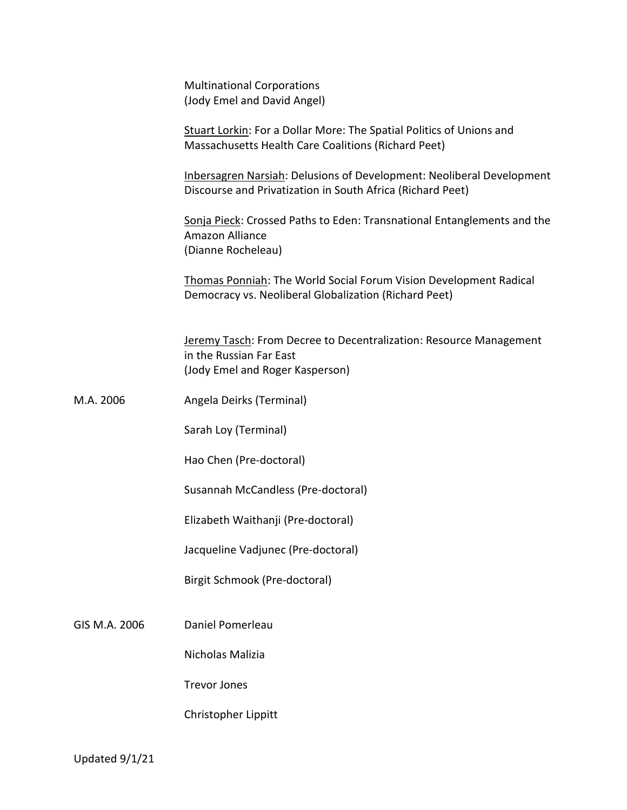| <b>Multinational Corporations</b><br>(Jody Emel and David Angel)                                                                    |
|-------------------------------------------------------------------------------------------------------------------------------------|
| Stuart Lorkin: For a Dollar More: The Spatial Politics of Unions and<br>Massachusetts Health Care Coalitions (Richard Peet)         |
| Inbersagren Narsiah: Delusions of Development: Neoliberal Development<br>Discourse and Privatization in South Africa (Richard Peet) |
| Sonja Pieck: Crossed Paths to Eden: Transnational Entanglements and the<br>Amazon Alliance<br>(Dianne Rocheleau)                    |
| Thomas Ponniah: The World Social Forum Vision Development Radical<br>Democracy vs. Neoliberal Globalization (Richard Peet)          |
| Jeremy Tasch: From Decree to Decentralization: Resource Management<br>in the Russian Far East<br>(Jody Emel and Roger Kasperson)    |
| Angela Deirks (Terminal)                                                                                                            |
| Sarah Loy (Terminal)                                                                                                                |
| Hao Chen (Pre-doctoral)                                                                                                             |
| Susannah McCandless (Pre-doctoral)                                                                                                  |
| Elizabeth Waithanji (Pre-doctoral)                                                                                                  |
| Jacqueline Vadjunec (Pre-doctoral)                                                                                                  |
|                                                                                                                                     |

GIS M.A. 2006 Daniel Pomerleau

Nicholas Malizia

Birgit Schmook (Pre-doctoral)

Trevor Jones

Christopher Lippitt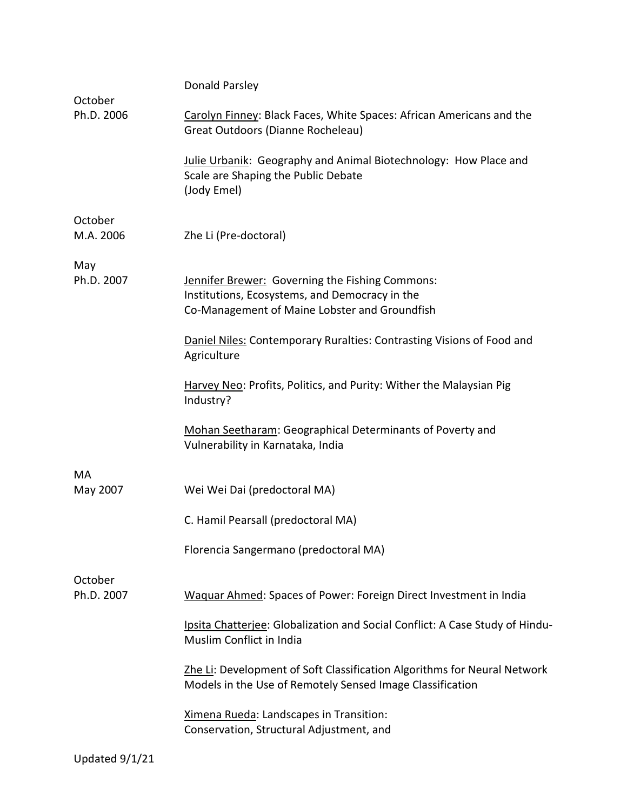| October              | Donald Parsley                                                                                                                                     |  |
|----------------------|----------------------------------------------------------------------------------------------------------------------------------------------------|--|
| Ph.D. 2006           | Carolyn Finney: Black Faces, White Spaces: African Americans and the<br>Great Outdoors (Dianne Rocheleau)                                          |  |
|                      | Julie Urbanik: Geography and Animal Biotechnology: How Place and<br>Scale are Shaping the Public Debate<br>(Jody Emel)                             |  |
| October<br>M.A. 2006 | Zhe Li (Pre-doctoral)                                                                                                                              |  |
| May<br>Ph.D. 2007    | Jennifer Brewer: Governing the Fishing Commons:<br>Institutions, Ecosystems, and Democracy in the<br>Co-Management of Maine Lobster and Groundfish |  |
|                      | Daniel Niles: Contemporary Ruralties: Contrasting Visions of Food and<br>Agriculture                                                               |  |
|                      | Harvey Neo: Profits, Politics, and Purity: Wither the Malaysian Pig<br>Industry?                                                                   |  |
|                      | Mohan Seetharam: Geographical Determinants of Poverty and<br>Vulnerability in Karnataka, India                                                     |  |
| MA                   |                                                                                                                                                    |  |
| May 2007             | Wei Wei Dai (predoctoral MA)                                                                                                                       |  |
|                      | C. Hamil Pearsall (predoctoral MA)                                                                                                                 |  |
|                      | Florencia Sangermano (predoctoral MA)                                                                                                              |  |
| October              |                                                                                                                                                    |  |
| Ph.D. 2007           | Waquar Ahmed: Spaces of Power: Foreign Direct Investment in India                                                                                  |  |
|                      | Ipsita Chatterjee: Globalization and Social Conflict: A Case Study of Hindu-<br>Muslim Conflict in India                                           |  |
|                      | Zhe Li: Development of Soft Classification Algorithms for Neural Network<br>Models in the Use of Remotely Sensed Image Classification              |  |
|                      | Ximena Rueda: Landscapes in Transition:<br>Conservation, Structural Adjustment, and                                                                |  |
|                      |                                                                                                                                                    |  |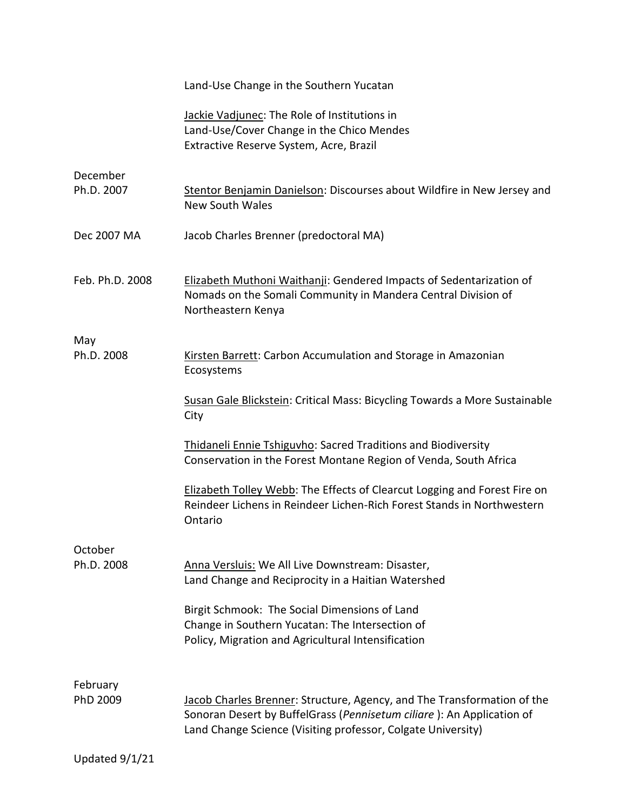|                        | Land-Use Change in the Southern Yucatan                                                                                                                                                                          |
|------------------------|------------------------------------------------------------------------------------------------------------------------------------------------------------------------------------------------------------------|
|                        | Jackie Vadjunec: The Role of Institutions in<br>Land-Use/Cover Change in the Chico Mendes<br>Extractive Reserve System, Acre, Brazil                                                                             |
| December<br>Ph.D. 2007 | Stentor Benjamin Danielson: Discourses about Wildfire in New Jersey and<br><b>New South Wales</b>                                                                                                                |
| Dec 2007 MA            | Jacob Charles Brenner (predoctoral MA)                                                                                                                                                                           |
| Feb. Ph.D. 2008        | Elizabeth Muthoni Waithanji: Gendered Impacts of Sedentarization of<br>Nomads on the Somali Community in Mandera Central Division of<br>Northeastern Kenya                                                       |
| May                    |                                                                                                                                                                                                                  |
| Ph.D. 2008             | Kirsten Barrett: Carbon Accumulation and Storage in Amazonian<br>Ecosystems                                                                                                                                      |
|                        | Susan Gale Blickstein: Critical Mass: Bicycling Towards a More Sustainable<br>City                                                                                                                               |
|                        | <b>Thidaneli Ennie Tshiguvho: Sacred Traditions and Biodiversity</b><br>Conservation in the Forest Montane Region of Venda, South Africa                                                                         |
|                        | Elizabeth Tolley Webb: The Effects of Clearcut Logging and Forest Fire on<br>Reindeer Lichens in Reindeer Lichen-Rich Forest Stands in Northwestern<br>Ontario                                                   |
| October<br>Ph.D. 2008  | Anna Versluis: We All Live Downstream: Disaster,<br>Land Change and Reciprocity in a Haitian Watershed                                                                                                           |
|                        | Birgit Schmook: The Social Dimensions of Land<br>Change in Southern Yucatan: The Intersection of<br>Policy, Migration and Agricultural Intensification                                                           |
|                        |                                                                                                                                                                                                                  |
| February<br>PhD 2009   | Jacob Charles Brenner: Structure, Agency, and The Transformation of the<br>Sonoran Desert by BuffelGrass (Pennisetum ciliare): An Application of<br>Land Change Science (Visiting professor, Colgate University) |
| Updated 9/1/21         |                                                                                                                                                                                                                  |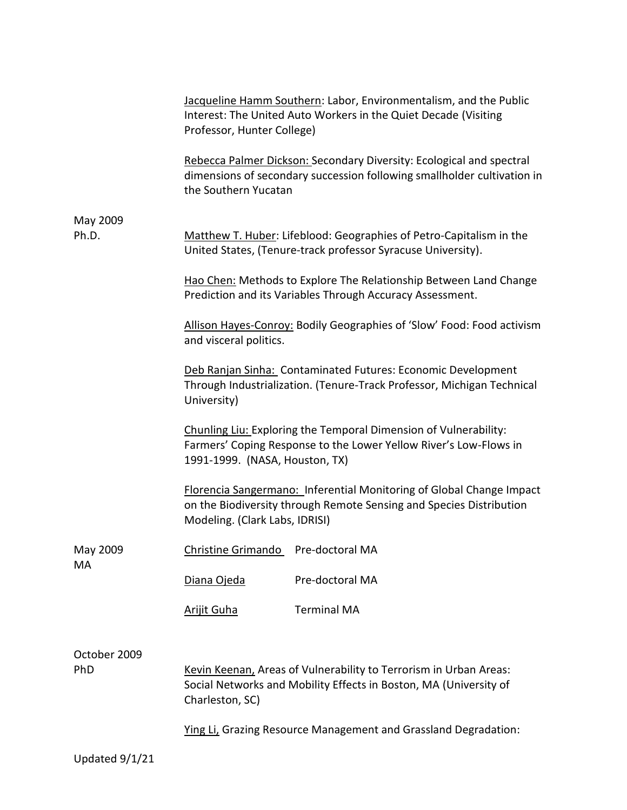|                     | Jacqueline Hamm Southern: Labor, Environmentalism, and the Public<br>Interest: The United Auto Workers in the Quiet Decade (Visiting<br>Professor, Hunter College)<br>Rebecca Palmer Dickson: Secondary Diversity: Ecological and spectral<br>dimensions of secondary succession following smallholder cultivation in<br>the Southern Yucatan |                                                                 |  |
|---------------------|-----------------------------------------------------------------------------------------------------------------------------------------------------------------------------------------------------------------------------------------------------------------------------------------------------------------------------------------------|-----------------------------------------------------------------|--|
|                     |                                                                                                                                                                                                                                                                                                                                               |                                                                 |  |
| May 2009<br>Ph.D.   | Matthew T. Huber: Lifeblood: Geographies of Petro-Capitalism in the                                                                                                                                                                                                                                                                           |                                                                 |  |
|                     |                                                                                                                                                                                                                                                                                                                                               | United States, (Tenure-track professor Syracuse University).    |  |
|                     | Hao Chen: Methods to Explore The Relationship Between Land Change<br>Prediction and its Variables Through Accuracy Assessment.                                                                                                                                                                                                                |                                                                 |  |
|                     | Allison Hayes-Conroy: Bodily Geographies of 'Slow' Food: Food activism<br>and visceral politics.                                                                                                                                                                                                                                              |                                                                 |  |
|                     | Deb Ranjan Sinha: Contaminated Futures: Economic Development<br>Through Industrialization. (Tenure-Track Professor, Michigan Technical<br>University)<br>Chunling Liu: Exploring the Temporal Dimension of Vulnerability:<br>Farmers' Coping Response to the Lower Yellow River's Low-Flows in<br>1991-1999. (NASA, Houston, TX)              |                                                                 |  |
|                     |                                                                                                                                                                                                                                                                                                                                               |                                                                 |  |
|                     | <b>Florencia Sangermano: Inferential Monitoring of Global Change Impact</b><br>on the Biodiversity through Remote Sensing and Species Distribution<br>Modeling. (Clark Labs, IDRISI)                                                                                                                                                          |                                                                 |  |
| May 2009<br>MA      | Christine Grimando                                                                                                                                                                                                                                                                                                                            | Pre-doctoral MA                                                 |  |
|                     | Diana Ojeda                                                                                                                                                                                                                                                                                                                                   | Pre-doctoral MA                                                 |  |
|                     | <b>Arijit Guha</b>                                                                                                                                                                                                                                                                                                                            | <b>Terminal MA</b>                                              |  |
| October 2009<br>PhD | Kevin Keenan, Areas of Vulnerability to Terrorism in Urban Areas:<br>Social Networks and Mobility Effects in Boston, MA (University of<br>Charleston, SC)                                                                                                                                                                                     |                                                                 |  |
|                     |                                                                                                                                                                                                                                                                                                                                               | Ying Li, Grazing Resource Management and Grassland Degradation: |  |
| Updated 9/1/21      |                                                                                                                                                                                                                                                                                                                                               |                                                                 |  |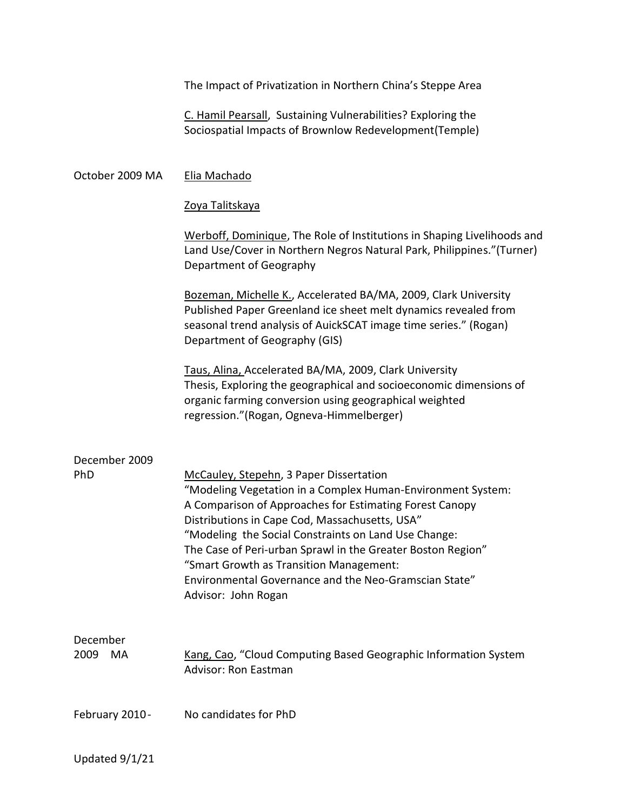|                        | The Impact of Privatization in Northern China's Steppe Area                                                                                                                                                                                                                                                                                                                                                                                                           |
|------------------------|-----------------------------------------------------------------------------------------------------------------------------------------------------------------------------------------------------------------------------------------------------------------------------------------------------------------------------------------------------------------------------------------------------------------------------------------------------------------------|
|                        | C. Hamil Pearsall, Sustaining Vulnerabilities? Exploring the<br>Sociospatial Impacts of Brownlow Redevelopment(Temple)                                                                                                                                                                                                                                                                                                                                                |
| October 2009 MA        | Elia Machado                                                                                                                                                                                                                                                                                                                                                                                                                                                          |
|                        | <u>Zoya Talitskaya</u>                                                                                                                                                                                                                                                                                                                                                                                                                                                |
|                        | Werboff, Dominique, The Role of Institutions in Shaping Livelihoods and<br>Land Use/Cover in Northern Negros Natural Park, Philippines."(Turner)<br>Department of Geography                                                                                                                                                                                                                                                                                           |
|                        | Bozeman, Michelle K., Accelerated BA/MA, 2009, Clark University<br>Published Paper Greenland ice sheet melt dynamics revealed from<br>seasonal trend analysis of AuickSCAT image time series." (Rogan)<br>Department of Geography (GIS)                                                                                                                                                                                                                               |
|                        | Taus, Alina, Accelerated BA/MA, 2009, Clark University<br>Thesis, Exploring the geographical and socioeconomic dimensions of<br>organic farming conversion using geographical weighted<br>regression."(Rogan, Ogneva-Himmelberger)                                                                                                                                                                                                                                    |
| December 2009<br>PhD   | McCauley, Stepehn, 3 Paper Dissertation<br>"Modeling Vegetation in a Complex Human-Environment System:<br>A Comparison of Approaches for Estimating Forest Canopy<br>Distributions in Cape Cod, Massachusetts, USA"<br>"Modeling the Social Constraints on Land Use Change:<br>The Case of Peri-urban Sprawl in the Greater Boston Region"<br>"Smart Growth as Transition Management:<br>Environmental Governance and the Neo-Gramscian State"<br>Advisor: John Rogan |
| December<br>2009<br>MA | Kang, Cao, "Cloud Computing Based Geographic Information System<br>Advisor: Ron Eastman                                                                                                                                                                                                                                                                                                                                                                               |
| February 2010 -        | No candidates for PhD                                                                                                                                                                                                                                                                                                                                                                                                                                                 |
| Updated 9/1/21         |                                                                                                                                                                                                                                                                                                                                                                                                                                                                       |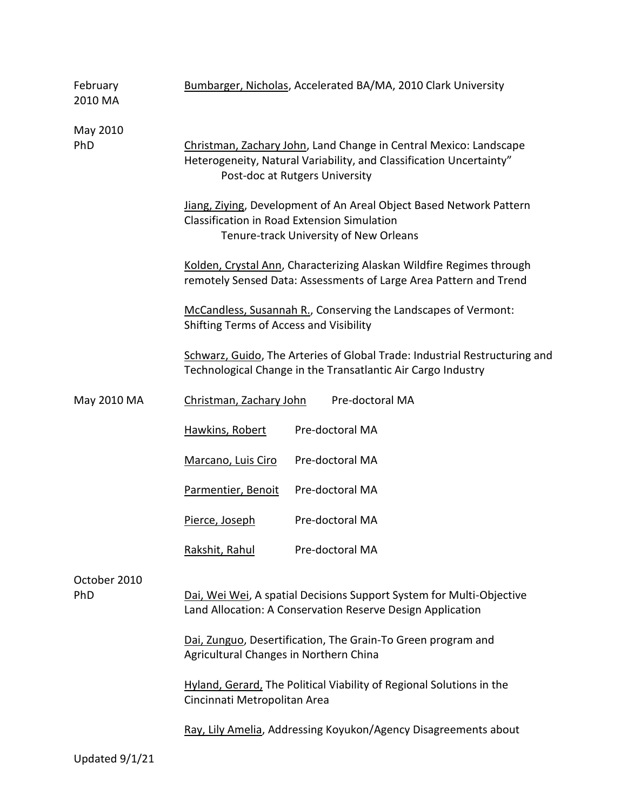| February<br>2010 MA | Bumbarger, Nicholas, Accelerated BA/MA, 2010 Clark University                                                                                                              |  |  |
|---------------------|----------------------------------------------------------------------------------------------------------------------------------------------------------------------------|--|--|
| May 2010<br>PhD     | Christman, Zachary John, Land Change in Central Mexico: Landscape<br>Heterogeneity, Natural Variability, and Classification Uncertainty"<br>Post-doc at Rutgers University |  |  |
|                     | Jiang, Ziying, Development of An Areal Object Based Network Pattern<br><b>Classification in Road Extension Simulation</b><br>Tenure-track University of New Orleans        |  |  |
|                     | Kolden, Crystal Ann, Characterizing Alaskan Wildfire Regimes through<br>remotely Sensed Data: Assessments of Large Area Pattern and Trend                                  |  |  |
|                     | McCandless, Susannah R., Conserving the Landscapes of Vermont:<br>Shifting Terms of Access and Visibility                                                                  |  |  |
|                     | Schwarz, Guido, The Arteries of Global Trade: Industrial Restructuring and<br>Technological Change in the Transatlantic Air Cargo Industry                                 |  |  |
| May 2010 MA         | Christman, Zachary John<br>Pre-doctoral MA                                                                                                                                 |  |  |
|                     | Pre-doctoral MA<br>Hawkins, Robert                                                                                                                                         |  |  |
|                     | Pre-doctoral MA<br>Marcano, Luis Ciro                                                                                                                                      |  |  |
|                     | Pre-doctoral MA<br>Parmentier, Benoit                                                                                                                                      |  |  |
|                     | Pre-doctoral MA<br>Pierce, Joseph                                                                                                                                          |  |  |
|                     | Rakshit, Rahul<br>Pre-doctoral MA                                                                                                                                          |  |  |
| October 2010<br>PhD | Dai, Wei Wei, A spatial Decisions Support System for Multi-Objective<br>Land Allocation: A Conservation Reserve Design Application                                         |  |  |
|                     | Dai, Zunguo, Desertification, The Grain-To Green program and<br>Agricultural Changes in Northern China                                                                     |  |  |
|                     | Hyland, Gerard, The Political Viability of Regional Solutions in the<br>Cincinnati Metropolitan Area                                                                       |  |  |
|                     | Ray, Lily Amelia, Addressing Koyukon/Agency Disagreements about                                                                                                            |  |  |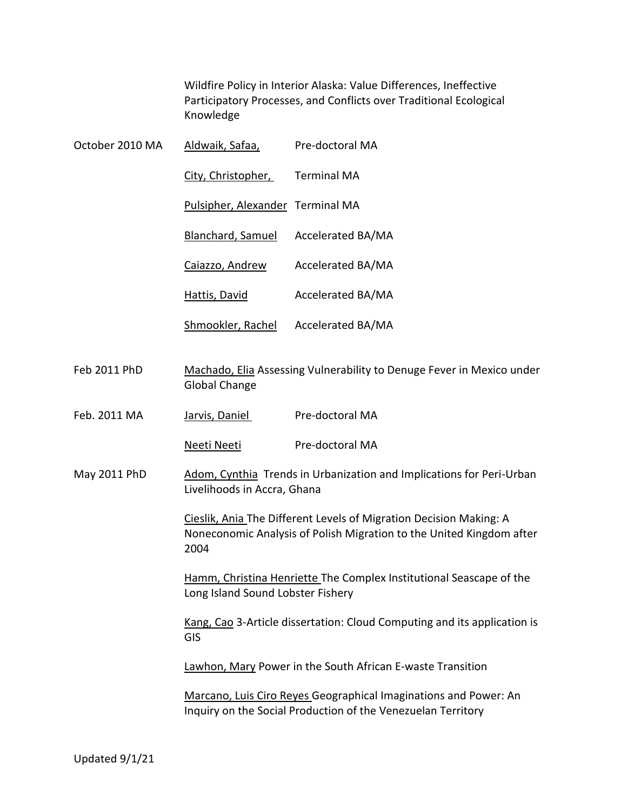Wildfire Policy in Interior Alaska: Value Differences, Ineffective Participatory Processes, and Conflicts over Traditional Ecological Knowledge

| October 2010 MA | Aldwaik, Safaa,                                                                                                                                    | Pre-doctoral MA    |  |
|-----------------|----------------------------------------------------------------------------------------------------------------------------------------------------|--------------------|--|
|                 | City, Christopher,                                                                                                                                 | <b>Terminal MA</b> |  |
|                 | Pulsipher, Alexander Terminal MA                                                                                                                   |                    |  |
|                 | Blanchard, Samuel                                                                                                                                  | Accelerated BA/MA  |  |
|                 | Caiazzo, Andrew                                                                                                                                    | Accelerated BA/MA  |  |
|                 | Hattis, David                                                                                                                                      | Accelerated BA/MA  |  |
|                 | Shmookler, Rachel                                                                                                                                  | Accelerated BA/MA  |  |
| Feb 2011 PhD    | Machado, Elia Assessing Vulnerability to Denuge Fever in Mexico under<br><b>Global Change</b>                                                      |                    |  |
| Feb. 2011 MA    | Jarvis, Daniel                                                                                                                                     | Pre-doctoral MA    |  |
|                 | Neeti Neeti                                                                                                                                        | Pre-doctoral MA    |  |
| May 2011 PhD    | Adom, Cynthia Trends in Urbanization and Implications for Peri-Urban<br>Livelihoods in Accra, Ghana                                                |                    |  |
|                 | Cieslik, Ania The Different Levels of Migration Decision Making: A<br>Noneconomic Analysis of Polish Migration to the United Kingdom after<br>2004 |                    |  |
|                 | Hamm, Christina Henriette The Complex Institutional Seascape of the<br>Long Island Sound Lobster Fishery                                           |                    |  |
|                 | Kang, Cao 3-Article dissertation: Cloud Computing and its application is<br><b>GIS</b>                                                             |                    |  |
|                 | Lawhon, Mary Power in the South African E-waste Transition                                                                                         |                    |  |
|                 | Marcano, Luis Ciro Reyes Geographical Imaginations and Power: An<br>Inquiry on the Social Production of the Venezuelan Territory                   |                    |  |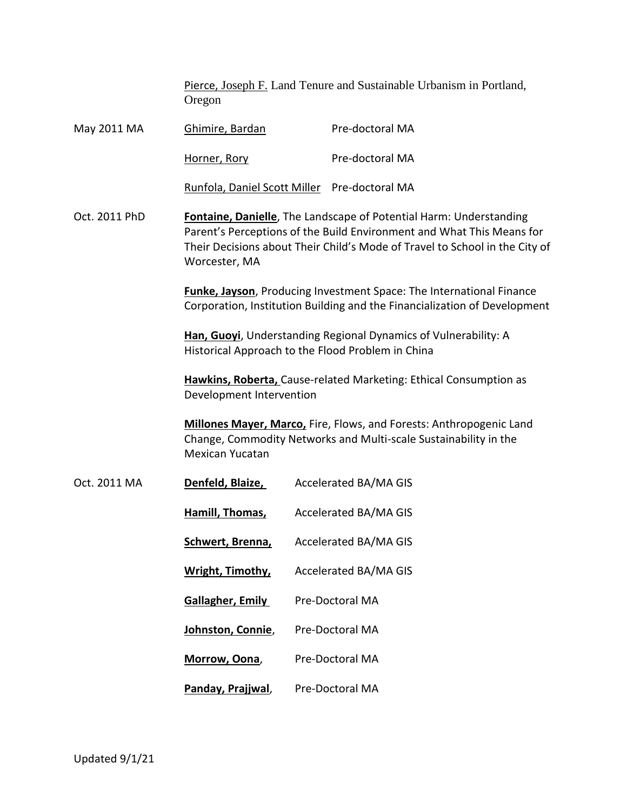Pierce, Joseph F. Land Tenure and Sustainable Urbanism in Portland, Oregon

| May 2011 MA   | Ghimire, Bardan                                                                                                                                                                                                                                             |  | Pre-doctoral MA              |
|---------------|-------------------------------------------------------------------------------------------------------------------------------------------------------------------------------------------------------------------------------------------------------------|--|------------------------------|
|               | Horner, Rory                                                                                                                                                                                                                                                |  | Pre-doctoral MA              |
|               | Runfola, Daniel Scott Miller Pre-doctoral MA                                                                                                                                                                                                                |  |                              |
| Oct. 2011 PhD | Fontaine, Danielle, The Landscape of Potential Harm: Understanding<br>Parent's Perceptions of the Build Environment and What This Means for<br>Their Decisions about Their Child's Mode of Travel to School in the City of<br>Worcester, MA                 |  |                              |
|               | <b>Funke, Jayson</b> , Producing Investment Space: The International Finance<br>Corporation, Institution Building and the Financialization of Development                                                                                                   |  |                              |
|               | Han, Guoyi, Understanding Regional Dynamics of Vulnerability: A<br>Historical Approach to the Flood Problem in China                                                                                                                                        |  |                              |
|               | Hawkins, Roberta, Cause-related Marketing: Ethical Consumption as<br>Development Intervention<br>Millones Mayer, Marco, Fire, Flows, and Forests: Anthropogenic Land<br>Change, Commodity Networks and Multi-scale Sustainability in the<br>Mexican Yucatan |  |                              |
|               |                                                                                                                                                                                                                                                             |  |                              |
| Oct. 2011 MA  | Denfeld, Blaize,                                                                                                                                                                                                                                            |  | <b>Accelerated BA/MA GIS</b> |
|               | Hamill, Thomas,                                                                                                                                                                                                                                             |  | <b>Accelerated BA/MA GIS</b> |
|               | Schwert, Brenna,                                                                                                                                                                                                                                            |  | <b>Accelerated BA/MA GIS</b> |
|               | Wright, Timothy,                                                                                                                                                                                                                                            |  | <b>Accelerated BA/MA GIS</b> |
|               | <b>Gallagher, Emily</b>                                                                                                                                                                                                                                     |  | Pre-Doctoral MA              |
|               | Johnston, Connie,                                                                                                                                                                                                                                           |  | <b>Pre-Doctoral MA</b>       |
|               | Morrow, Oona,                                                                                                                                                                                                                                               |  | Pre-Doctoral MA              |
|               | Panday, Prajjwal,                                                                                                                                                                                                                                           |  | <b>Pre-Doctoral MA</b>       |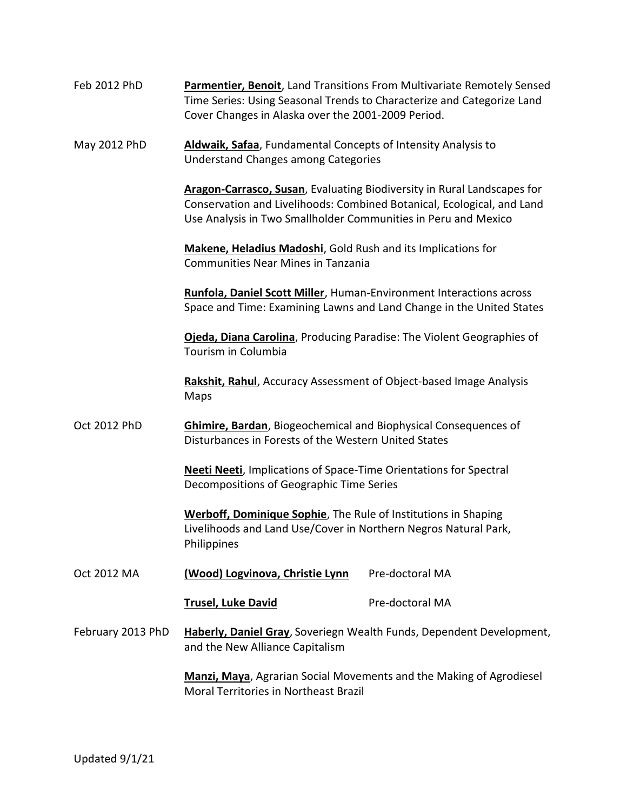| Feb 2012 PhD | Parmentier, Benoit, Land Transitions From Multivariate Remotely Sensed |
|--------------|------------------------------------------------------------------------|
|              | Time Series: Using Seasonal Trends to Characterize and Categorize Land |
|              | Cover Changes in Alaska over the 2001-2009 Period.                     |

May 2012 PhD **Aldwaik, Safaa**, Fundamental Concepts of Intensity Analysis to Understand Changes among Categories

> **Aragon-Carrasco, Susan**, Evaluating Biodiversity in Rural Landscapes for Conservation and Livelihoods: Combined Botanical, Ecological, and Land Use Analysis in Two Smallholder Communities in Peru and Mexico

**Makene, Heladius Madoshi**, Gold Rush and its Implications for Communities Near Mines in Tanzania

**Runfola, Daniel Scott Miller**, Human-Environment Interactions across Space and Time: Examining Lawns and Land Change in the United States

**Ojeda, Diana Carolina**, Producing Paradise: The Violent Geographies of Tourism in Columbia

**Rakshit, Rahul**, Accuracy Assessment of Object-based Image Analysis Maps

Oct 2012 PhD **Ghimire, Bardan**, Biogeochemical and Biophysical Consequences of Disturbances in Forests of the Western United States

> **Neeti Neeti**, Implications of Space-Time Orientations for Spectral Decompositions of Geographic Time Series

> **Werboff, Dominique Sophie**, The Rule of Institutions in Shaping Livelihoods and Land Use/Cover in Northern Negros Natural Park, Philippines

Oct 2012 MA **(Wood) Logvinova, Christie Lynn** Pre-doctoral MA

**Trusel, Luke David** Pre-doctoral MA

February 2013 PhD **Haberly, Daniel Gray**, Soveriegn Wealth Funds, Dependent Development, and the New Alliance Capitalism

> **Manzi, Maya**, Agrarian Social Movements and the Making of Agrodiesel Moral Territories in Northeast Brazil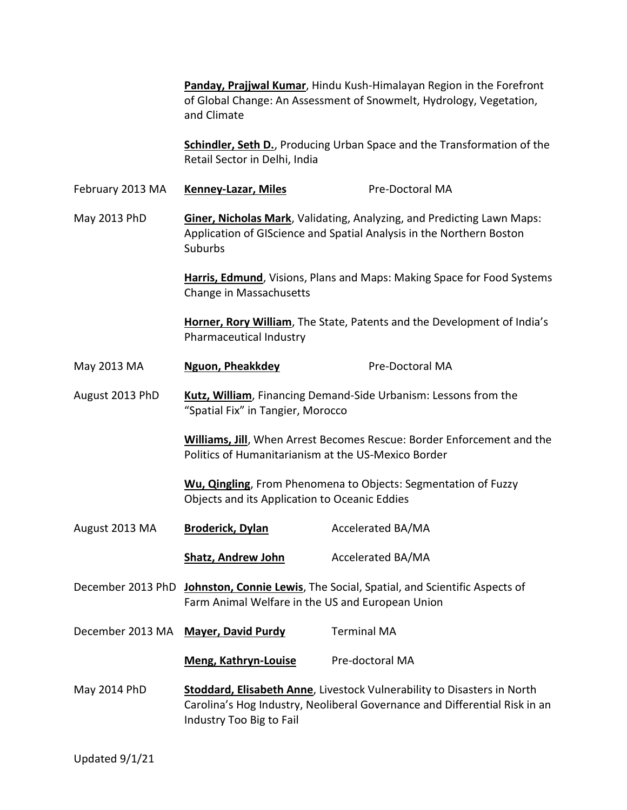**Panday, Prajjwal Kumar**, Hindu Kush-Himalayan Region in the Forefront of Global Change: An Assessment of Snowmelt, Hydrology, Vegetation, and Climate

**Schindler, Seth D.**, Producing Urban Space and the Transformation of the Retail Sector in Delhi, India

February 2013 MA **Kenney-Lazar, Miles** Pre-Doctoral MA

May 2013 PhD **Giner, Nicholas Mark**, Validating, Analyzing, and Predicting Lawn Maps: Application of GIScience and Spatial Analysis in the Northern Boston **Suburbs** 

> **Harris, Edmund**, Visions, Plans and Maps: Making Space for Food Systems Change in Massachusetts

**Horner, Rory William**, The State, Patents and the Development of India's Pharmaceutical Industry

## May 2013 MA **Nguon, Pheakkdey** Pre-Doctoral MA

August 2013 PhD **Kutz, William**, Financing Demand-Side Urbanism: Lessons from the "Spatial Fix" in Tangier, Morocco

> **Williams, Jill**, When Arrest Becomes Rescue: Border Enforcement and the Politics of Humanitarianism at the US-Mexico Border

**Wu, Qingling**, From Phenomena to Objects: Segmentation of Fuzzy Objects and its Application to Oceanic Eddies

August 2013 MA **Broderick, Dylan** Accelerated BA/MA

**Shatz, Andrew John** Accelerated BA/MA

December 2013 PhD **Johnston, Connie Lewis**, The Social, Spatial, and Scientific Aspects of Farm Animal Welfare in the US and European Union

December 2013 MA **Mayer, David Purdy** Terminal MA

**Meng, Kathryn-Louise** Pre-doctoral MA

May 2014 PhD **Stoddard, Elisabeth Anne**, Livestock Vulnerability to Disasters in North Carolina's Hog Industry, Neoliberal Governance and Differential Risk in an Industry Too Big to Fail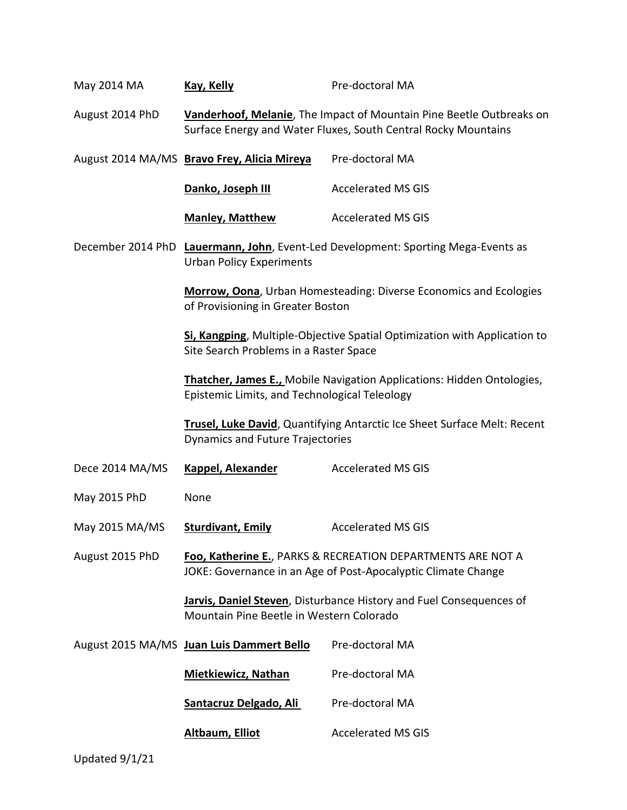| May 2014 MA     | <b>Kay, Kelly</b>                                                                                                                                                                                                                                             | Pre-doctoral MA                                                           |  |
|-----------------|---------------------------------------------------------------------------------------------------------------------------------------------------------------------------------------------------------------------------------------------------------------|---------------------------------------------------------------------------|--|
| August 2014 PhD | Vanderhoof, Melanie, The Impact of Mountain Pine Beetle Outbreaks on<br>Surface Energy and Water Fluxes, South Central Rocky Mountains                                                                                                                        |                                                                           |  |
|                 | Pre-doctoral MA<br>August 2014 MA/MS Bravo Frey, Alicia Mireya                                                                                                                                                                                                |                                                                           |  |
|                 | Danko, Joseph III                                                                                                                                                                                                                                             | <b>Accelerated MS GIS</b>                                                 |  |
|                 | <b>Manley, Matthew</b>                                                                                                                                                                                                                                        | <b>Accelerated MS GIS</b>                                                 |  |
|                 | December 2014 PhD Lauermann, John, Event-Led Development: Sporting Mega-Events as<br><b>Urban Policy Experiments</b>                                                                                                                                          |                                                                           |  |
|                 | of Provisioning in Greater Boston                                                                                                                                                                                                                             | Morrow, Oona, Urban Homesteading: Diverse Economics and Ecologies         |  |
|                 | Site Search Problems in a Raster Space                                                                                                                                                                                                                        | Si, Kangping, Multiple-Objective Spatial Optimization with Application to |  |
|                 | <b>Thatcher, James E., Mobile Navigation Applications: Hidden Ontologies,</b><br>Epistemic Limits, and Technological Teleology<br><b>Trusel, Luke David</b> , Quantifying Antarctic Ice Sheet Surface Melt: Recent<br><b>Dynamics and Future Trajectories</b> |                                                                           |  |
|                 |                                                                                                                                                                                                                                                               |                                                                           |  |
| Dece 2014 MA/MS | <b>Kappel, Alexander</b>                                                                                                                                                                                                                                      | <b>Accelerated MS GIS</b>                                                 |  |
| May 2015 PhD    | None                                                                                                                                                                                                                                                          |                                                                           |  |
| May 2015 MA/MS  | <b>Sturdivant, Emily</b>                                                                                                                                                                                                                                      | <b>Accelerated MS GIS</b>                                                 |  |
| August 2015 PhD | Foo, Katherine E., PARKS & RECREATION DEPARTMENTS ARE NOT A<br>JOKE: Governance in an Age of Post-Apocalyptic Climate Change                                                                                                                                  |                                                                           |  |
|                 | Jarvis, Daniel Steven, Disturbance History and Fuel Consequences of<br>Mountain Pine Beetle in Western Colorado                                                                                                                                               |                                                                           |  |
|                 | August 2015 MA/MS Juan Luis Dammert Bello                                                                                                                                                                                                                     | Pre-doctoral MA                                                           |  |
|                 | <b>Mietkiewicz, Nathan</b>                                                                                                                                                                                                                                    | Pre-doctoral MA                                                           |  |
|                 | Santacruz Delgado, Ali                                                                                                                                                                                                                                        | Pre-doctoral MA                                                           |  |
|                 | <b>Altbaum, Elliot</b>                                                                                                                                                                                                                                        | <b>Accelerated MS GIS</b>                                                 |  |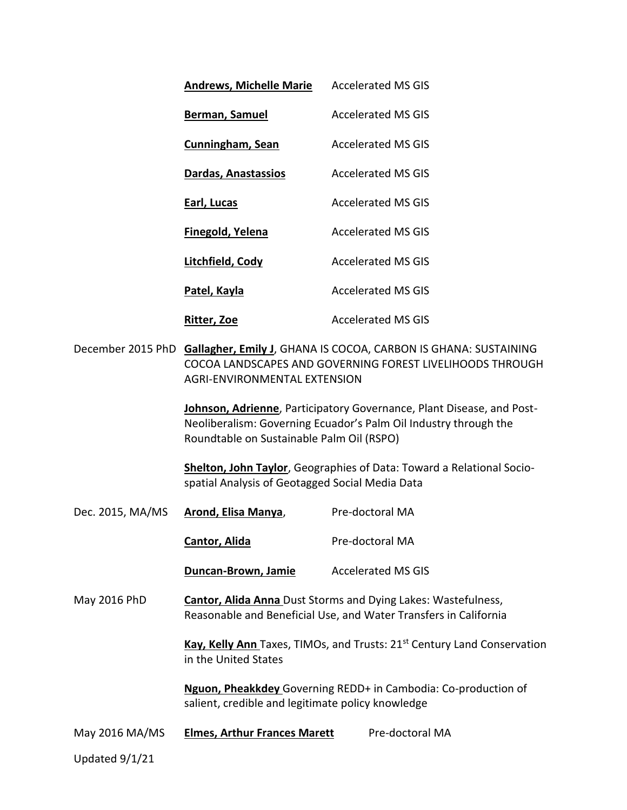|                  | <b>Andrews, Michelle Marie</b>                                                                                                                                                 | <b>Accelerated MS GIS</b>                                                                                                                 |  |
|------------------|--------------------------------------------------------------------------------------------------------------------------------------------------------------------------------|-------------------------------------------------------------------------------------------------------------------------------------------|--|
|                  | <b>Berman, Samuel</b>                                                                                                                                                          | <b>Accelerated MS GIS</b>                                                                                                                 |  |
|                  | <b>Cunningham, Sean</b>                                                                                                                                                        | <b>Accelerated MS GIS</b>                                                                                                                 |  |
|                  | Dardas, Anastassios                                                                                                                                                            | <b>Accelerated MS GIS</b>                                                                                                                 |  |
|                  | Earl, Lucas                                                                                                                                                                    | <b>Accelerated MS GIS</b>                                                                                                                 |  |
|                  | <b>Finegold, Yelena</b>                                                                                                                                                        | <b>Accelerated MS GIS</b>                                                                                                                 |  |
|                  | Litchfield, Cody                                                                                                                                                               | <b>Accelerated MS GIS</b>                                                                                                                 |  |
|                  | Patel, Kayla                                                                                                                                                                   | <b>Accelerated MS GIS</b>                                                                                                                 |  |
|                  | <b>Ritter, Zoe</b>                                                                                                                                                             | <b>Accelerated MS GIS</b>                                                                                                                 |  |
|                  | December 2015 PhD Gallagher, Emily J, GHANA IS COCOA, CARBON IS GHANA: SUSTAINING<br>COCOA LANDSCAPES AND GOVERNING FOREST LIVELIHOODS THROUGH<br>AGRI-ENVIRONMENTAL EXTENSION |                                                                                                                                           |  |
|                  | Roundtable on Sustainable Palm Oil (RSPO)                                                                                                                                      | Johnson, Adrienne, Participatory Governance, Plant Disease, and Post-<br>Neoliberalism: Governing Ecuador's Palm Oil Industry through the |  |
|                  | spatial Analysis of Geotagged Social Media Data                                                                                                                                | Shelton, John Taylor, Geographies of Data: Toward a Relational Socio-                                                                     |  |
| Dec. 2015, MA/MS | Arond, Elisa Manya,                                                                                                                                                            | Pre-doctoral MA                                                                                                                           |  |
|                  | <b>Cantor, Alida</b>                                                                                                                                                           | Pre-doctoral MA                                                                                                                           |  |
|                  | Duncan-Brown, Jamie                                                                                                                                                            | <b>Accelerated MS GIS</b>                                                                                                                 |  |
| May 2016 PhD     | <b>Cantor, Alida Anna Dust Storms and Dying Lakes: Wastefulness,</b><br>Reasonable and Beneficial Use, and Water Transfers in California                                       |                                                                                                                                           |  |
|                  | Kay, Kelly Ann Taxes, TIMOs, and Trusts: 21 <sup>st</sup> Century Land Conservation<br>in the United States                                                                    |                                                                                                                                           |  |
|                  | salient, credible and legitimate policy knowledge                                                                                                                              | Nguon, Pheakkdey Governing REDD+ in Cambodia: Co-production of                                                                            |  |
| May 2016 MA/MS   | <b>Elmes, Arthur Frances Marett</b>                                                                                                                                            | Pre-doctoral MA                                                                                                                           |  |
| Updated 9/1/21   |                                                                                                                                                                                |                                                                                                                                           |  |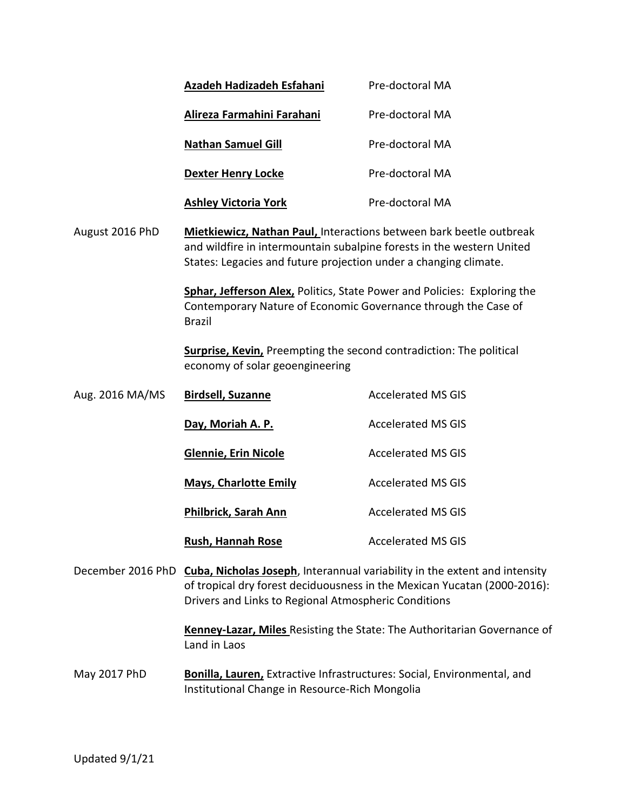|                                                                                                                                                                                                                                  | <b>Azadeh Hadizadeh Esfahani</b>                                                                                                                                                                                                                                                                                                                                                       | Pre-doctoral MA           |  |
|----------------------------------------------------------------------------------------------------------------------------------------------------------------------------------------------------------------------------------|----------------------------------------------------------------------------------------------------------------------------------------------------------------------------------------------------------------------------------------------------------------------------------------------------------------------------------------------------------------------------------------|---------------------------|--|
|                                                                                                                                                                                                                                  | Alireza Farmahini Farahani                                                                                                                                                                                                                                                                                                                                                             | Pre-doctoral MA           |  |
|                                                                                                                                                                                                                                  | <b>Nathan Samuel Gill</b>                                                                                                                                                                                                                                                                                                                                                              | Pre-doctoral MA           |  |
|                                                                                                                                                                                                                                  | <b>Dexter Henry Locke</b>                                                                                                                                                                                                                                                                                                                                                              | Pre-doctoral MA           |  |
|                                                                                                                                                                                                                                  | <b>Ashley Victoria York</b>                                                                                                                                                                                                                                                                                                                                                            | Pre-doctoral MA           |  |
| August 2016 PhD                                                                                                                                                                                                                  | <b>Mietkiewicz, Nathan Paul, Interactions between bark beetle outbreak</b><br>and wildfire in intermountain subalpine forests in the western United<br>States: Legacies and future projection under a changing climate.<br>Sphar, Jefferson Alex, Politics, State Power and Policies: Exploring the<br>Contemporary Nature of Economic Governance through the Case of<br><b>Brazil</b> |                           |  |
|                                                                                                                                                                                                                                  |                                                                                                                                                                                                                                                                                                                                                                                        |                           |  |
|                                                                                                                                                                                                                                  | Surprise, Kevin, Preempting the second contradiction: The political<br>economy of solar geoengineering                                                                                                                                                                                                                                                                                 |                           |  |
| Aug. 2016 MA/MS                                                                                                                                                                                                                  | <b>Birdsell, Suzanne</b>                                                                                                                                                                                                                                                                                                                                                               | <b>Accelerated MS GIS</b> |  |
|                                                                                                                                                                                                                                  | Day, Moriah A. P.                                                                                                                                                                                                                                                                                                                                                                      | <b>Accelerated MS GIS</b> |  |
|                                                                                                                                                                                                                                  | <b>Glennie, Erin Nicole</b>                                                                                                                                                                                                                                                                                                                                                            | <b>Accelerated MS GIS</b> |  |
|                                                                                                                                                                                                                                  | <b>Mays, Charlotte Emily</b>                                                                                                                                                                                                                                                                                                                                                           | <b>Accelerated MS GIS</b> |  |
|                                                                                                                                                                                                                                  | <b>Philbrick, Sarah Ann</b>                                                                                                                                                                                                                                                                                                                                                            | <b>Accelerated MS GIS</b> |  |
|                                                                                                                                                                                                                                  | <b>Rush, Hannah Rose</b>                                                                                                                                                                                                                                                                                                                                                               | <b>Accelerated MS GIS</b> |  |
| December 2016 PhD Cuba, Nicholas Joseph, Interannual variability in the extent and intensity<br>of tropical dry forest deciduousness in the Mexican Yucatan (2000-2016):<br>Drivers and Links to Regional Atmospheric Conditions |                                                                                                                                                                                                                                                                                                                                                                                        |                           |  |
|                                                                                                                                                                                                                                  | <b>Kenney-Lazar, Miles</b> Resisting the State: The Authoritarian Governance of<br>Land in Laos                                                                                                                                                                                                                                                                                        |                           |  |
| May 2017 PhD                                                                                                                                                                                                                     | <b>Bonilla, Lauren, Extractive Infrastructures: Social, Environmental, and</b><br>Institutional Change in Resource-Rich Mongolia                                                                                                                                                                                                                                                       |                           |  |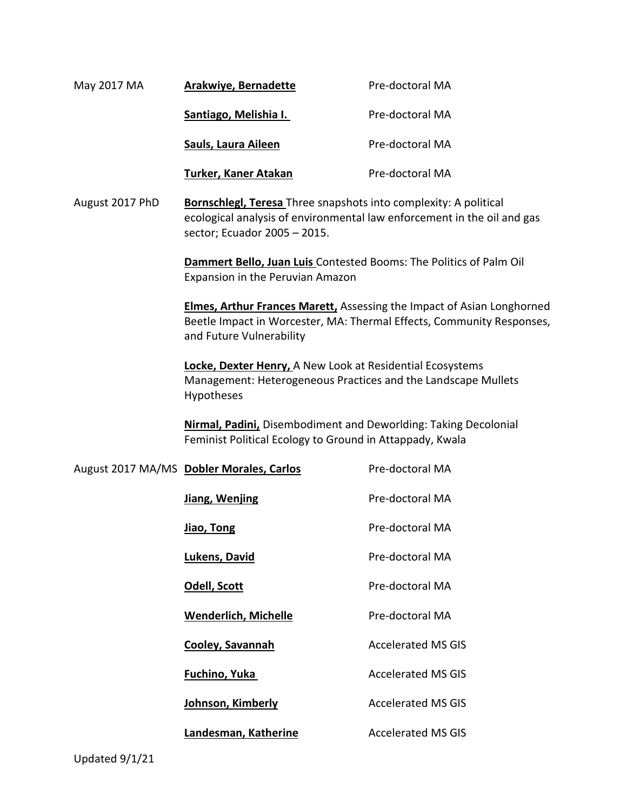| May 2017 MA     | <b>Arakwiye, Bernadette</b> | Pre-doctoral MA                                                                                                                              |
|-----------------|-----------------------------|----------------------------------------------------------------------------------------------------------------------------------------------|
|                 | Santiago, Melishia I.       | Pre-doctoral MA                                                                                                                              |
|                 | Sauls, Laura Aileen         | Pre-doctoral MA                                                                                                                              |
|                 | Turker, Kaner Atakan        | Pre-doctoral MA                                                                                                                              |
| August 2017 PhD |                             | <b>Bornschlegl, Teresa</b> Three snapshots into complexity: A political<br>ecological analysis of environmental law enforcement in the oil a |

sector; Ecuador 2005 – 2015.

**Dammert Bello, Juan Luis** Contested Booms: The Politics of Palm Oil Expansion in the Peruvian Amazon

**Elmes, Arthur Frances Marett,** Assessing the Impact of Asian Longhorned Beetle Impact in Worcester, MA: Thermal Effects, Community Responses, and Future Vulnerability

the oil and gas

**Locke, Dexter Henry,** A New Look at Residential Ecosystems Management: Heterogeneous Practices and the Landscape Mullets Hypotheses

**Nirmal, Padini,** Disembodiment and Deworlding: Taking Decolonial Feminist Political Ecology to Ground in Attappady, Kwala

| August 2017 MA/MS Dobler Morales, Carlos | Pre-doctoral MA           |
|------------------------------------------|---------------------------|
| Jiang, Wenjing                           | Pre-doctoral MA           |
| <u>Jiao, Tong</u>                        | Pre-doctoral MA           |
| Lukens, David                            | Pre-doctoral MA           |
| Odell, Scott                             | Pre-doctoral MA           |
| <b>Wenderlich, Michelle</b>              | Pre-doctoral MA           |
| Cooley, Savannah                         | <b>Accelerated MS GIS</b> |
| Fuchino, Yuka                            | <b>Accelerated MS GIS</b> |
| Johnson, Kimberly                        | <b>Accelerated MS GIS</b> |
| Landesman, Katherine                     | <b>Accelerated MS GIS</b> |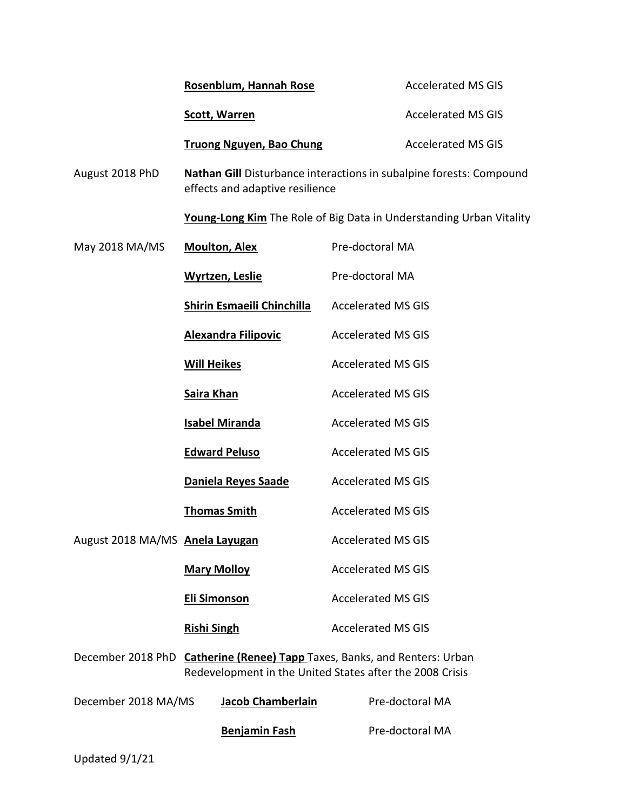|                                        | Rosenblum, Hannah Rose                                                                                                     | <b>Accelerated MS GIS</b>                                                  |
|----------------------------------------|----------------------------------------------------------------------------------------------------------------------------|----------------------------------------------------------------------------|
|                                        | <b>Scott, Warren</b>                                                                                                       | <b>Accelerated MS GIS</b>                                                  |
|                                        | <b>Truong Nguyen, Bao Chung</b>                                                                                            | <b>Accelerated MS GIS</b>                                                  |
| August 2018 PhD                        | effects and adaptive resilience                                                                                            | Nathan Gill Disturbance interactions in subalpine forests: Compound        |
|                                        |                                                                                                                            | <b>Young-Long Kim</b> The Role of Big Data in Understanding Urban Vitality |
| May 2018 MA/MS                         | <b>Moulton, Alex</b>                                                                                                       | Pre-doctoral MA                                                            |
|                                        | <b>Wyrtzen, Leslie</b>                                                                                                     | Pre-doctoral MA                                                            |
|                                        | <b>Shirin Esmaeili Chinchilla</b>                                                                                          | <b>Accelerated MS GIS</b>                                                  |
|                                        | <b>Alexandra Filipovic</b>                                                                                                 | <b>Accelerated MS GIS</b>                                                  |
|                                        | <b>Will Heikes</b>                                                                                                         | <b>Accelerated MS GIS</b>                                                  |
|                                        | <b>Saira Khan</b>                                                                                                          | <b>Accelerated MS GIS</b>                                                  |
|                                        | <b>Isabel Miranda</b>                                                                                                      | <b>Accelerated MS GIS</b>                                                  |
|                                        | <b>Edward Peluso</b>                                                                                                       | <b>Accelerated MS GIS</b>                                                  |
|                                        | Daniela Reyes Saade                                                                                                        | <b>Accelerated MS GIS</b>                                                  |
|                                        | <b>Thomas Smith</b>                                                                                                        | <b>Accelerated MS GIS</b>                                                  |
| August 2018 MA/MS <b>Anela Layugan</b> |                                                                                                                            | <b>Accelerated MS GIS</b>                                                  |
|                                        | <b>Mary Molloy</b>                                                                                                         | <b>Accelerated MS GIS</b>                                                  |
|                                        | <b>Eli Simonson</b>                                                                                                        | <b>Accelerated MS GIS</b>                                                  |
|                                        | <b>Rishi Singh</b>                                                                                                         | <b>Accelerated MS GIS</b>                                                  |
| December 2018 PhD                      | <b>Catherine (Renee) Tapp</b> Taxes, Banks, and Renters: Urban<br>Redevelopment in the United States after the 2008 Crisis |                                                                            |
| December 2018 MA/MS                    | <b>Jacob Chamberlain</b>                                                                                                   | Pre-doctoral MA                                                            |
|                                        | <b>Benjamin Fash</b>                                                                                                       | Pre-doctoral MA                                                            |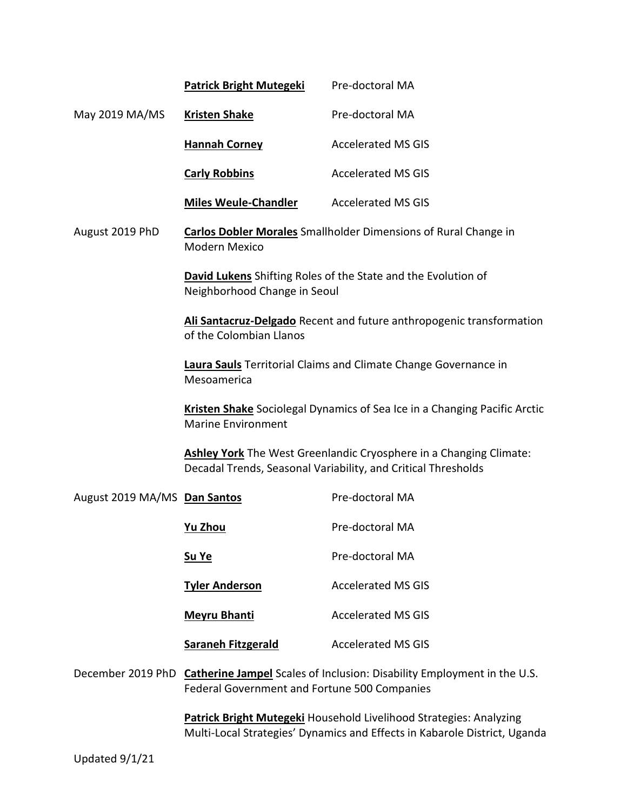|                              | <b>Patrick Bright Mutegeki</b>                                                                                                                                                                                                                                                                                                         | Pre-doctoral MA           |  |
|------------------------------|----------------------------------------------------------------------------------------------------------------------------------------------------------------------------------------------------------------------------------------------------------------------------------------------------------------------------------------|---------------------------|--|
| May 2019 MA/MS               | <b>Kristen Shake</b>                                                                                                                                                                                                                                                                                                                   | Pre-doctoral MA           |  |
|                              | <b>Hannah Corney</b>                                                                                                                                                                                                                                                                                                                   | <b>Accelerated MS GIS</b> |  |
|                              | <b>Carly Robbins</b>                                                                                                                                                                                                                                                                                                                   | <b>Accelerated MS GIS</b> |  |
|                              | <b>Miles Weule-Chandler</b>                                                                                                                                                                                                                                                                                                            | <b>Accelerated MS GIS</b> |  |
| August 2019 PhD              | <b>Carlos Dobler Morales</b> Smallholder Dimensions of Rural Change in<br>Modern Mexico                                                                                                                                                                                                                                                |                           |  |
|                              | <b>David Lukens</b> Shifting Roles of the State and the Evolution of<br>Neighborhood Change in Seoul                                                                                                                                                                                                                                   |                           |  |
|                              | Ali Santacruz-Delgado Recent and future anthropogenic transformation<br>of the Colombian Llanos                                                                                                                                                                                                                                        |                           |  |
|                              | Laura Sauls Territorial Claims and Climate Change Governance in<br>Mesoamerica<br><b>Kristen Shake</b> Sociolegal Dynamics of Sea Ice in a Changing Pacific Arctic<br><b>Marine Environment</b><br>Ashley York The West Greenlandic Cryosphere in a Changing Climate:<br>Decadal Trends, Seasonal Variability, and Critical Thresholds |                           |  |
|                              |                                                                                                                                                                                                                                                                                                                                        |                           |  |
|                              |                                                                                                                                                                                                                                                                                                                                        |                           |  |
| August 2019 MA/MS Dan Santos |                                                                                                                                                                                                                                                                                                                                        | Pre-doctoral MA           |  |
|                              | <b>Yu Zhou</b>                                                                                                                                                                                                                                                                                                                         | Pre-doctoral MA           |  |
|                              | Su Ye                                                                                                                                                                                                                                                                                                                                  | Pre-doctoral MA           |  |
|                              | <b>Tyler Anderson</b>                                                                                                                                                                                                                                                                                                                  | <b>Accelerated MS GIS</b> |  |
|                              | <b>Meyru Bhanti</b>                                                                                                                                                                                                                                                                                                                    | <b>Accelerated MS GIS</b> |  |
|                              | <b>Saraneh Fitzgerald</b>                                                                                                                                                                                                                                                                                                              | <b>Accelerated MS GIS</b> |  |
|                              | December 2019 PhD Catherine Jampel Scales of Inclusion: Disability Employment in the U.S.<br>Federal Government and Fortune 500 Companies                                                                                                                                                                                              |                           |  |
|                              | Patrick Bright Mutegeki Household Livelihood Strategies: Analyzing                                                                                                                                                                                                                                                                     |                           |  |

**Patrick Bright Mutegeki** Household Livelihood Strategies: Analyzing Multi-Local Strategies' Dynamics and Effects in Kabarole District, Uganda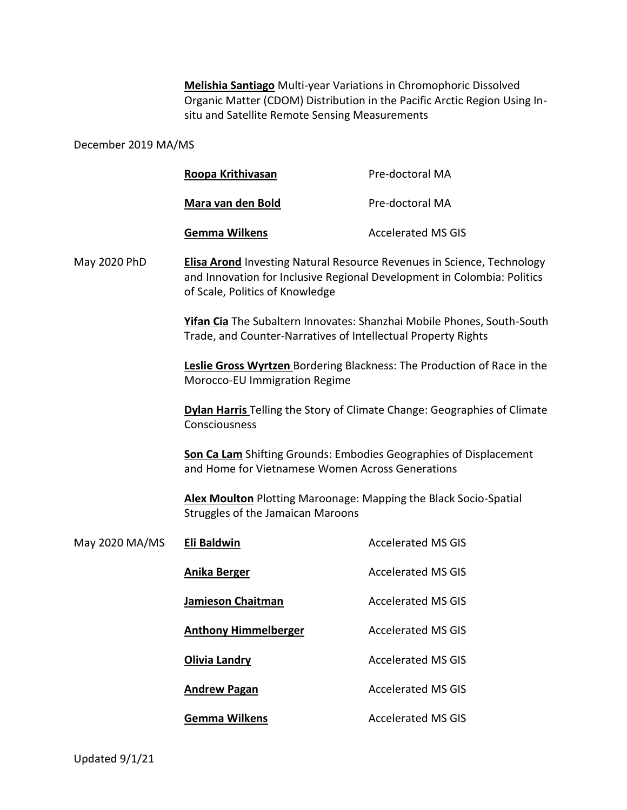**Melishia Santiago** Multi-year Variations in Chromophoric Dissolved Organic Matter (CDOM) Distribution in the Pacific Arctic Region Using Insitu and Satellite Remote Sensing Measurements

## December 2019 MA/MS

| Roopa Krithivasan    | Pre-doctoral MA           |
|----------------------|---------------------------|
| Mara van den Bold    | Pre-doctoral MA           |
| <b>Gemma Wilkens</b> | <b>Accelerated MS GIS</b> |

May 2020 PhD **Elisa Arond** Investing Natural Resource Revenues in Science, Technology and Innovation for Inclusive Regional Development in Colombia: Politics of Scale, Politics of Knowledge

> **Yifan Cia** The Subaltern Innovates: Shanzhai Mobile Phones, South-South Trade, and Counter-Narratives of Intellectual Property Rights

> **Leslie Gross Wyrtzen** Bordering Blackness: The Production of Race in the Morocco-EU Immigration Regime

> **Dylan Harris** Telling the Story of Climate Change: Geographies of Climate Consciousness

**Son Ca Lam** Shifting Grounds: Embodies Geographies of Displacement and Home for Vietnamese Women Across Generations

**Alex Moulton** Plotting Maroonage: Mapping the Black Socio-Spatial Struggles of the Jamaican Maroons

| May 2020 MA/MS | Eli Baldwin                 | <b>Accelerated MS GIS</b> |
|----------------|-----------------------------|---------------------------|
|                | Anika Berger                | <b>Accelerated MS GIS</b> |
|                | Jamieson Chaitman           | Accelerated MS GIS        |
|                | <b>Anthony Himmelberger</b> | <b>Accelerated MS GIS</b> |
|                | <b>Olivia Landry</b>        | <b>Accelerated MS GIS</b> |
|                | <b>Andrew Pagan</b>         | <b>Accelerated MS GIS</b> |
|                | Gemma Wilkens               | Accelerated MS GIS        |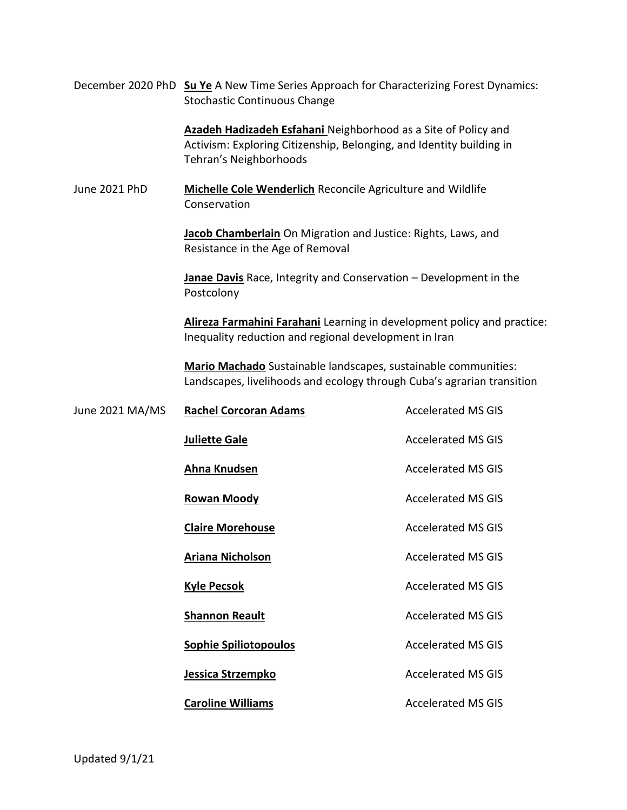December 2020 PhD **Su Ye** A New Time Series Approach for Characterizing Forest Dynamics: Stochastic Continuous Change

> **Azadeh Hadizadeh Esfahani** Neighborhood as a Site of Policy and Activism: Exploring Citizenship, Belonging, and Identity building in Tehran's Neighborhoods

June 2021 PhD **Michelle Cole Wenderlich** Reconcile Agriculture and Wildlife Conservation

> **Jacob Chamberlain** On Migration and Justice: Rights, Laws, and Resistance in the Age of Removal

**Janae Davis** Race, Integrity and Conservation – Development in the Postcolony

**Alireza Farmahini Farahani** Learning in development policy and practice: Inequality reduction and regional development in Iran

**Mario Machado** Sustainable landscapes, sustainable communities: Landscapes, livelihoods and ecology through Cuba's agrarian transition

| June 2021 MA/MS | <b>Rachel Corcoran Adams</b> | <b>Accelerated MS GIS</b> |
|-----------------|------------------------------|---------------------------|
|                 | <b>Juliette Gale</b>         | <b>Accelerated MS GIS</b> |
|                 | Ahna Knudsen                 | <b>Accelerated MS GIS</b> |
|                 | <b>Rowan Moody</b>           | <b>Accelerated MS GIS</b> |
|                 | <b>Claire Morehouse</b>      | <b>Accelerated MS GIS</b> |
|                 | Ariana Nicholson             | <b>Accelerated MS GIS</b> |
|                 | <b>Kyle Pecsok</b>           | <b>Accelerated MS GIS</b> |
|                 | <b>Shannon Reault</b>        | <b>Accelerated MS GIS</b> |
|                 | <b>Sophie Spiliotopoulos</b> | <b>Accelerated MS GIS</b> |
|                 | Jessica Strzempko            | <b>Accelerated MS GIS</b> |
|                 | <b>Caroline Williams</b>     | <b>Accelerated MS GIS</b> |